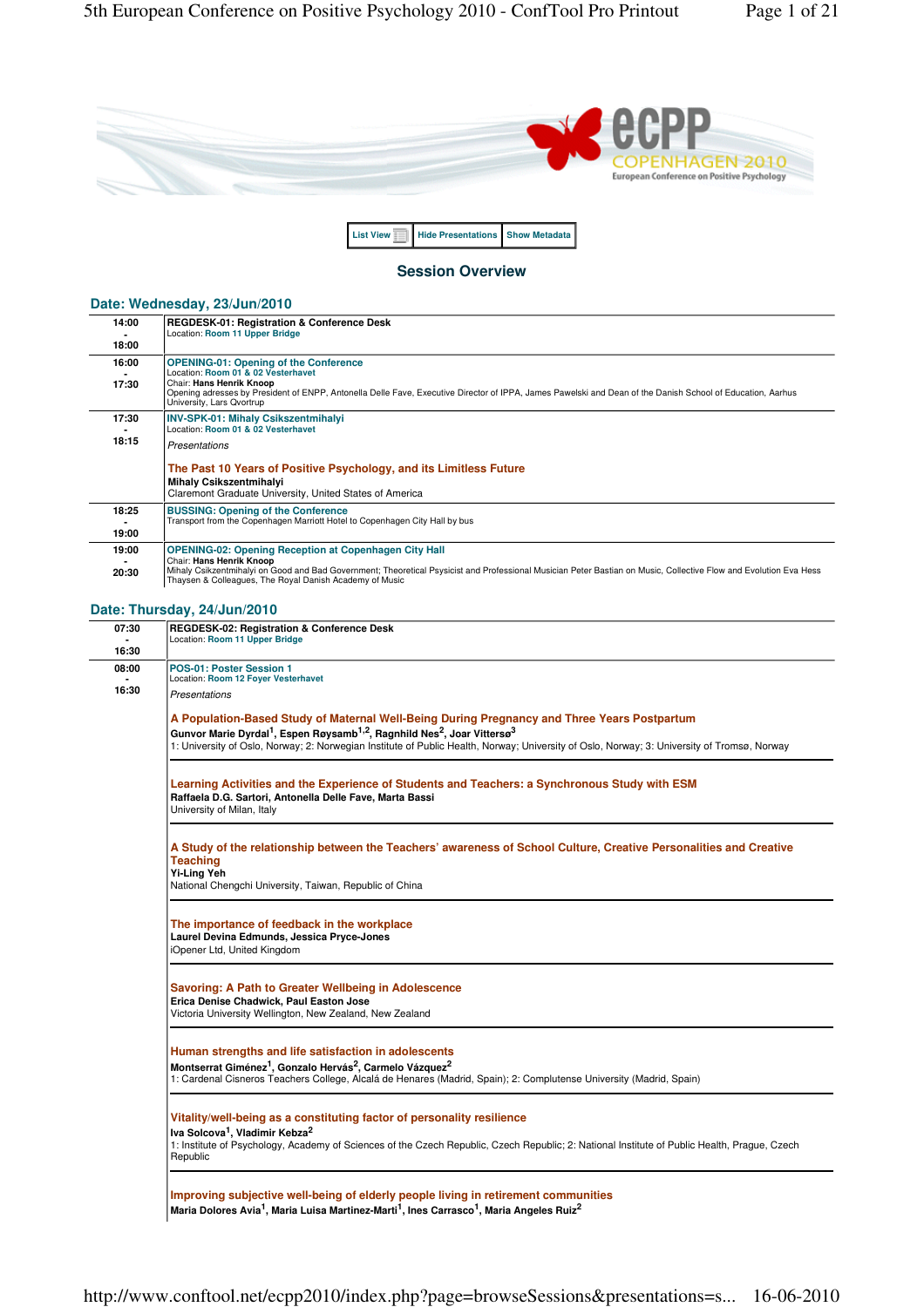

#### **Session Overview**

**List View Hide Presentations** Show Metadata

#### **Date: Wednesday, 23/Jun/2010**

| 14:00<br>18:00 | <b>REGDESK-01: Registration &amp; Conference Desk</b><br>Location: Room 11 Upper Bridge                                                                                                                                                                                                                   |
|----------------|-----------------------------------------------------------------------------------------------------------------------------------------------------------------------------------------------------------------------------------------------------------------------------------------------------------|
| 16:00<br>17:30 | <b>OPENING-01: Opening of the Conference</b><br>Location: Room 01 & 02 Vesterhavet<br>Chair: Hans Henrik Knoop<br>Opening adresses by President of ENPP, Antonella Delle Fave, Executive Director of IPPA, James Pawelski and Dean of the Danish School of Education, Aarhus<br>University, Lars Qvortrup |
| 17:30          | <b>INV-SPK-01: Mihaly Csikszentmihalyi</b><br>Location: Room 01 & 02 Vesterhavet                                                                                                                                                                                                                          |
| 18:15          | Presentations                                                                                                                                                                                                                                                                                             |
|                | The Past 10 Years of Positive Psychology, and its Limitless Future<br><b>Mihaly Csikszentmihalyi</b><br>Claremont Graduate University, United States of America                                                                                                                                           |
| 18:25<br>19:00 | <b>BUSSING: Opening of the Conference</b><br>Transport from the Copenhagen Marriott Hotel to Copenhagen City Hall by bus                                                                                                                                                                                  |
| 19:00          | <b>OPENING-02: Opening Reception at Copenhagen City Hall</b><br>Chair: Hans Henrik Knoop                                                                                                                                                                                                                  |
| 20:30          | Mihaly Csikzentmihalyi on Good and Bad Government; Theoretical Psysicist and Professional Musician Peter Bastian on Music, Collective Flow and Evolution Eva Hess<br>Thaysen & Colleagues, The Royal Danish Academy of Music                                                                              |

## **Date: Thursday, 24/Jun/2010**

| 07:30 | REGDESK-02: Registration & Conference Desk<br>Location: Room 11 Upper Bridge                                                                                                                                                                                                                                                                                           |
|-------|------------------------------------------------------------------------------------------------------------------------------------------------------------------------------------------------------------------------------------------------------------------------------------------------------------------------------------------------------------------------|
| 16:30 |                                                                                                                                                                                                                                                                                                                                                                        |
| 08:00 | POS-01: Poster Session 1<br>Location: Room 12 Foyer Vesterhavet                                                                                                                                                                                                                                                                                                        |
| 16:30 | <b>Presentations</b>                                                                                                                                                                                                                                                                                                                                                   |
|       | A Population-Based Study of Maternal Well-Being During Pregnancy and Three Years Postpartum<br>Gunvor Marie Dyrdal <sup>1</sup> , Espen Røysamb <sup>1,2</sup> , Ragnhild Nes <sup>2</sup> , Joar Vittersø <sup>3</sup><br>1: University of Oslo, Norway; 2: Norwegian Institute of Public Health, Norway; University of Oslo, Norway; 3: University of Tromsø, Norway |
|       | Learning Activities and the Experience of Students and Teachers: a Synchronous Study with ESM<br>Raffaela D.G. Sartori, Antonella Delle Fave, Marta Bassi<br>University of Milan, Italy                                                                                                                                                                                |
|       | A Study of the relationship between the Teachers' awareness of School Culture, Creative Personalities and Creative<br><b>Teaching</b><br><b>Yi-Ling Yeh</b><br>National Chengchi University, Taiwan, Republic of China                                                                                                                                                 |
|       | The importance of feedback in the workplace<br>Laurel Devina Edmunds, Jessica Pryce-Jones<br>iOpener Ltd, United Kingdom                                                                                                                                                                                                                                               |
|       | Savoring: A Path to Greater Wellbeing in Adolescence<br>Erica Denise Chadwick, Paul Easton Jose<br>Victoria University Wellington, New Zealand, New Zealand                                                                                                                                                                                                            |
|       | Human strengths and life satisfaction in adolescents<br>Montserrat Giménez <sup>1</sup> , Gonzalo Hervás <sup>2</sup> , Carmelo Vázquez <sup>2</sup><br>1: Cardenal Cisneros Teachers College, Alcalá de Henares (Madrid, Spain); 2: Complutense University (Madrid, Spain)                                                                                            |
|       | Vitality/well-being as a constituting factor of personality resilience<br>Iva Solcova <sup>1</sup> , Vladimir Kebza <sup>2</sup><br>1: Institute of Psychology, Academy of Sciences of the Czech Republic, Czech Republic; 2: National Institute of Public Health, Prague, Czech<br>Republic                                                                           |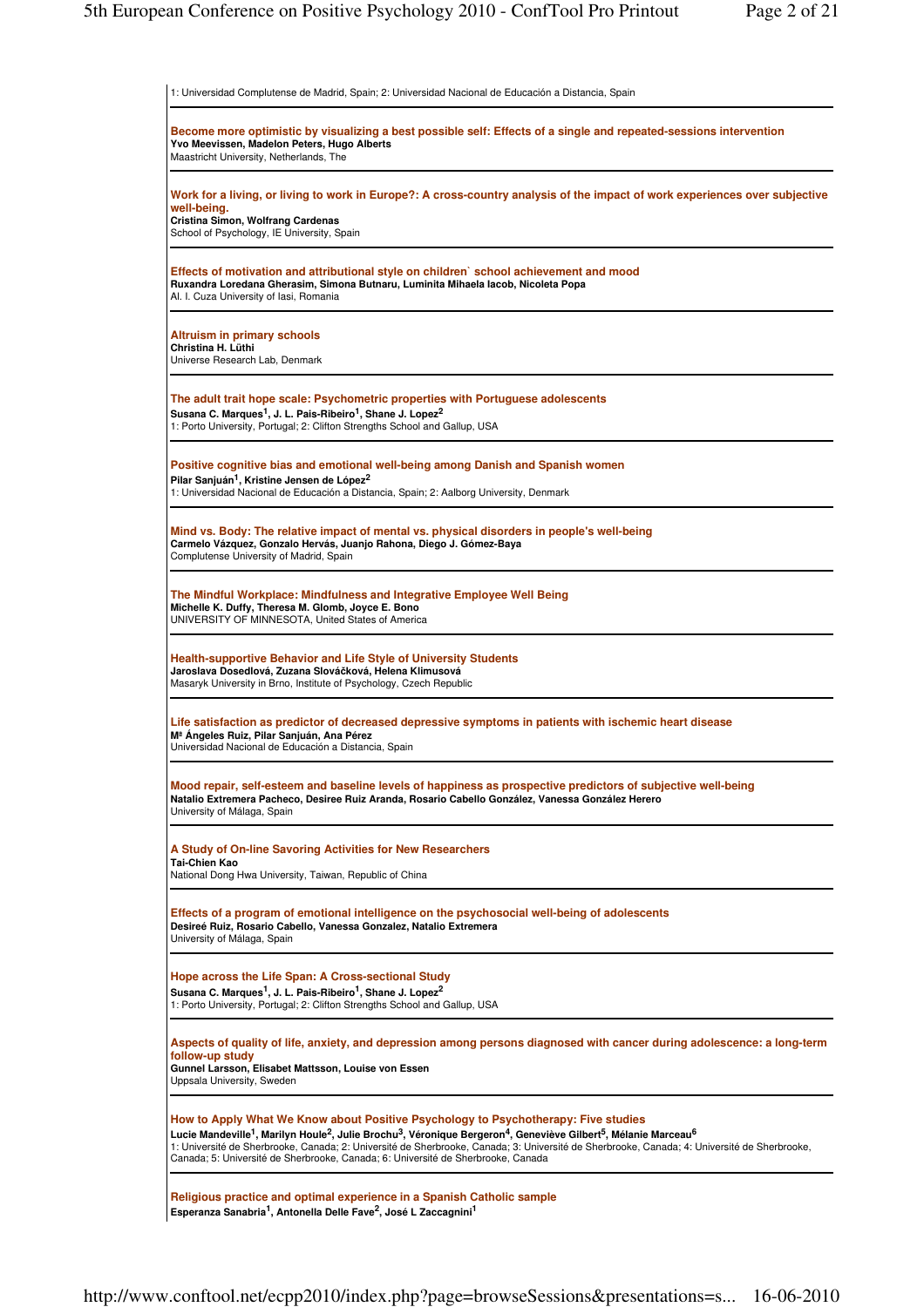| 1: Universidad Complutense de Madrid, Spain; 2: Universidad Nacional de Educación a Distancia, Spain                                                                                                                                                                                                                                                                                                                                                                                                              |
|-------------------------------------------------------------------------------------------------------------------------------------------------------------------------------------------------------------------------------------------------------------------------------------------------------------------------------------------------------------------------------------------------------------------------------------------------------------------------------------------------------------------|
| Become more optimistic by visualizing a best possible self: Effects of a single and repeated-sessions intervention<br>Yvo Meevissen, Madelon Peters, Hugo Alberts<br>Maastricht University, Netherlands, The                                                                                                                                                                                                                                                                                                      |
| Work for a living, or living to work in Europe?: A cross-country analysis of the impact of work experiences over subjective<br>well-being.<br>Cristina Simon, Wolfrang Cardenas<br>School of Psychology, IE University, Spain                                                                                                                                                                                                                                                                                     |
| Effects of motivation and attributional style on children' school achievement and mood<br>Ruxandra Loredana Gherasim, Simona Butnaru, Luminita Mihaela lacob, Nicoleta Popa<br>Al. I. Cuza University of Iasi, Romania                                                                                                                                                                                                                                                                                            |
| <b>Altruism in primary schools</b><br>Christina H. Lüthi<br>Universe Research Lab, Denmark                                                                                                                                                                                                                                                                                                                                                                                                                        |
| The adult trait hope scale: Psychometric properties with Portuguese adolescents<br>Susana C. Marques <sup>1</sup> , J. L. Pais-Ribeiro <sup>1</sup> , Shane J. Lopez <sup>2</sup><br>1: Porto University, Portugal; 2: Clifton Strengths School and Gallup, USA                                                                                                                                                                                                                                                   |
| Positive cognitive bias and emotional well-being among Danish and Spanish women<br>Pilar Sanjuán <sup>1</sup> , Kristine Jensen de López <sup>2</sup><br>1: Universidad Nacional de Educación a Distancia, Spain; 2: Aalborg University, Denmark                                                                                                                                                                                                                                                                  |
| Mind vs. Body: The relative impact of mental vs. physical disorders in people's well-being<br>Carmelo Vázquez, Gonzalo Hervás, Juanjo Rahona, Diego J. Gómez-Baya<br>Complutense University of Madrid, Spain                                                                                                                                                                                                                                                                                                      |
| The Mindful Workplace: Mindfulness and Integrative Employee Well Being<br>Michelle K. Duffy, Theresa M. Glomb, Joyce E. Bono<br>UNIVERSITY OF MINNESOTA, United States of America                                                                                                                                                                                                                                                                                                                                 |
| Health-supportive Behavior and Life Style of University Students<br>Jaroslava Dosedlová, Zuzana Slováčková, Helena Klimusová<br>Masaryk University in Brno, Institute of Psychology, Czech Republic                                                                                                                                                                                                                                                                                                               |
| Life satisfaction as predictor of decreased depressive symptoms in patients with ischemic heart disease<br>M <sup>ª</sup> Ángeles Ruiz, Pilar Sanjuán, Ana Pérez<br>Universidad Nacional de Educación a Distancia, Spain                                                                                                                                                                                                                                                                                          |
| Mood repair, self-esteem and baseline levels of happiness as prospective predictors of subjective well-being<br>Natalio Extremera Pacheco, Desiree Ruiz Aranda, Rosario Cabello González, Vanessa González Herero<br>University of Málaga, Spain                                                                                                                                                                                                                                                                  |
| A Study of On-line Savoring Activities for New Researchers<br>Tai-Chien Kao<br>National Dong Hwa University, Taiwan, Republic of China                                                                                                                                                                                                                                                                                                                                                                            |
| Effects of a program of emotional intelligence on the psychosocial well-being of adolescents<br>Desireé Ruiz, Rosario Cabello, Vanessa Gonzalez, Natalio Extremera<br>University of Málaga, Spain                                                                                                                                                                                                                                                                                                                 |
| Hope across the Life Span: A Cross-sectional Study<br>Susana C. Marques <sup>1</sup> , J. L. Pais-Ribeiro <sup>1</sup> , Shane J. Lopez <sup>2</sup><br>1: Porto University, Portugal; 2: Clifton Strengths School and Gallup, USA                                                                                                                                                                                                                                                                                |
| Aspects of quality of life, anxiety, and depression among persons diagnosed with cancer during adolescence: a long-term<br>follow-up study<br>Gunnel Larsson, Elisabet Mattsson, Louise von Essen<br>Uppsala University, Sweden                                                                                                                                                                                                                                                                                   |
| How to Apply What We Know about Positive Psychology to Psychotherapy: Five studies<br>Lucie Mandeville <sup>1</sup> , Marilyn Houle <sup>2</sup> , Julie Brochu <sup>3</sup> , Véronique Bergeron <sup>4</sup> , Geneviève Gilbert <sup>5</sup> , Mélanie Marceau <sup>6</sup><br>1: Université de Sherbrooke, Canada; 2: Université de Sherbrooke, Canada; 3: Université de Sherbrooke, Canada; 4: Université de Sherbrooke,<br>Canada; 5: Université de Sherbrooke, Canada; 6: Université de Sherbrooke, Canada |
| Religious practice and optimal experience in a Spanish Catholic sample<br>Esperanza Sanabria <sup>1</sup> , Antonella Delle Fave <sup>2</sup> , José L Zaccagnini <sup>1</sup>                                                                                                                                                                                                                                                                                                                                    |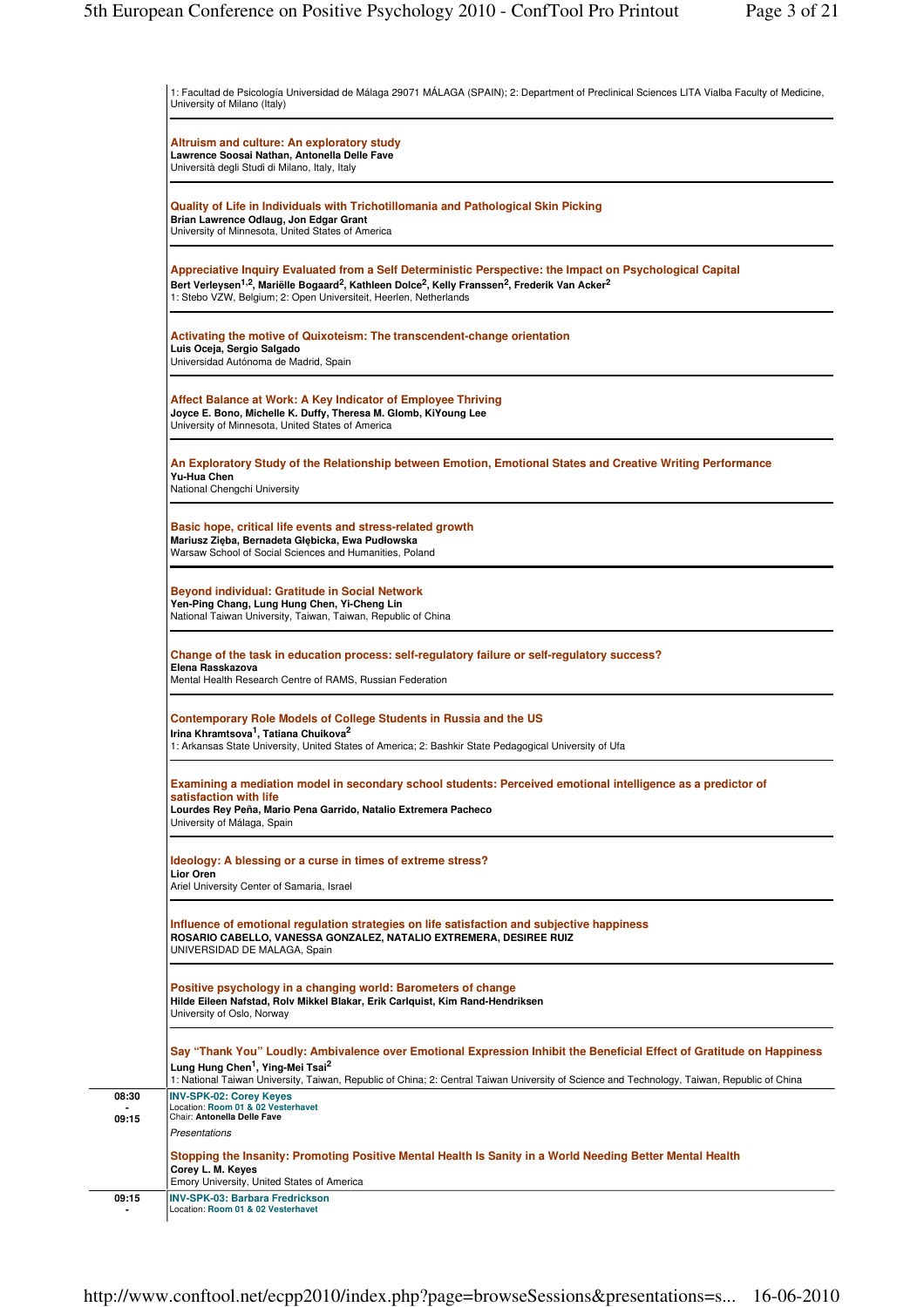|       | 1: Facultad de Psicología Universidad de Málaga 29071 MÁLAGA (SPAIN); 2: Department of Preclinical Sciences LITA Vialba Faculty of Medicine,<br>University of Milano (Italy)                                                                                                                                                                  |
|-------|-----------------------------------------------------------------------------------------------------------------------------------------------------------------------------------------------------------------------------------------------------------------------------------------------------------------------------------------------|
|       | Altruism and culture: An exploratory study<br>Lawrence Soosai Nathan, Antonella Delle Fave<br>Università degli Studi di Milano, Italy, Italy                                                                                                                                                                                                  |
|       | Quality of Life in Individuals with Trichotillomania and Pathological Skin Picking<br>Brian Lawrence Odlaug, Jon Edgar Grant<br>University of Minnesota, United States of America                                                                                                                                                             |
|       | Appreciative Inquiry Evaluated from a Self Deterministic Perspective: the Impact on Psychological Capital<br>Bert Verleysen <sup>1,2</sup> , Mariëlle Bogaard <sup>2</sup> , Kathleen Dolce <sup>2</sup> , Kelly Franssen <sup>2</sup> , Frederik Van Acker <sup>2</sup><br>1: Stebo VZW, Belgium; 2: Open Universiteit, Heerlen, Netherlands |
|       | Activating the motive of Quixoteism: The transcendent-change orientation<br>Luis Oceja, Sergio Salgado<br>Universidad Autónoma de Madrid, Spain                                                                                                                                                                                               |
|       | Affect Balance at Work: A Key Indicator of Employee Thriving<br>Joyce E. Bono, Michelle K. Duffy, Theresa M. Glomb, KiYoung Lee<br>University of Minnesota, United States of America                                                                                                                                                          |
|       | An Exploratory Study of the Relationship between Emotion, Emotional States and Creative Writing Performance<br>Yu-Hua Chen<br>National Chengchi University                                                                                                                                                                                    |
|       | Basic hope, critical life events and stress-related growth<br>Mariusz Zięba, Bernadeta Głębicka, Ewa Pudłowska<br>Warsaw School of Social Sciences and Humanities, Poland                                                                                                                                                                     |
|       | Beyond individual: Gratitude in Social Network<br>Yen-Ping Chang, Lung Hung Chen, Yi-Cheng Lin<br>National Taiwan University, Taiwan, Taiwan, Republic of China                                                                                                                                                                               |
|       | Change of the task in education process: self-regulatory failure or self-regulatory success?<br>Elena Rasskazova<br>Mental Health Research Centre of RAMS, Russian Federation                                                                                                                                                                 |
|       | Contemporary Role Models of College Students in Russia and the US<br>Irina Khramtsova <sup>1</sup> , Tatiana Chuikova <sup>2</sup><br>1: Arkansas State University, United States of America; 2: Bashkir State Pedagogical University of Ufa                                                                                                  |
|       | Examining a mediation model in secondary school students: Perceived emotional intelligence as a predictor of<br>satisfaction with life<br>Lourdes Rey Peña, Mario Pena Garrido, Natalio Extremera Pacheco<br>University of Málaga, Spain                                                                                                      |
|       | Ideology: A blessing or a curse in times of extreme stress?<br>Lior Oren<br>Ariel University Center of Samaria, Israel                                                                                                                                                                                                                        |
|       | Influence of emotional regulation strategies on life satisfaction and subjective happiness<br>ROSARIO CABELLO, VANESSA GONZALEZ, NATALIO EXTREMERA, DESIREE RUIZ<br>UNIVERSIDAD DE MALAGA, Spain                                                                                                                                              |
|       | Positive psychology in a changing world: Barometers of change<br>Hilde Eileen Nafstad, Rolv Mikkel Blakar, Erik Carlquist, Kim Rand-Hendriksen<br>University of Oslo, Norway                                                                                                                                                                  |
|       | Say "Thank You" Loudly: Ambivalence over Emotional Expression Inhibit the Beneficial Effect of Gratitude on Happiness<br>Lung Hung Chen <sup>1</sup> , Ying-Mei Tsai <sup>2</sup><br>1: National Taiwan University, Taiwan, Republic of China; 2: Central Taiwan University of Science and Technology, Taiwan, Republic of China              |
| 08:30 | <b>INV-SPK-02: Corey Keyes</b><br>Location: Room 01 & 02 Vesterhavet                                                                                                                                                                                                                                                                          |
| 09:15 | Chair: Antonella Delle Fave                                                                                                                                                                                                                                                                                                                   |
|       | Presentations                                                                                                                                                                                                                                                                                                                                 |
|       | Stopping the Insanity: Promoting Positive Mental Health Is Sanity in a World Needing Better Mental Health<br>Corey L. M. Keyes                                                                                                                                                                                                                |
| 09:15 | Emory University, United States of America<br><b>INV-SPK-03: Barbara Fredrickson</b>                                                                                                                                                                                                                                                          |
|       | Location: Room 01 & 02 Vesterhavet                                                                                                                                                                                                                                                                                                            |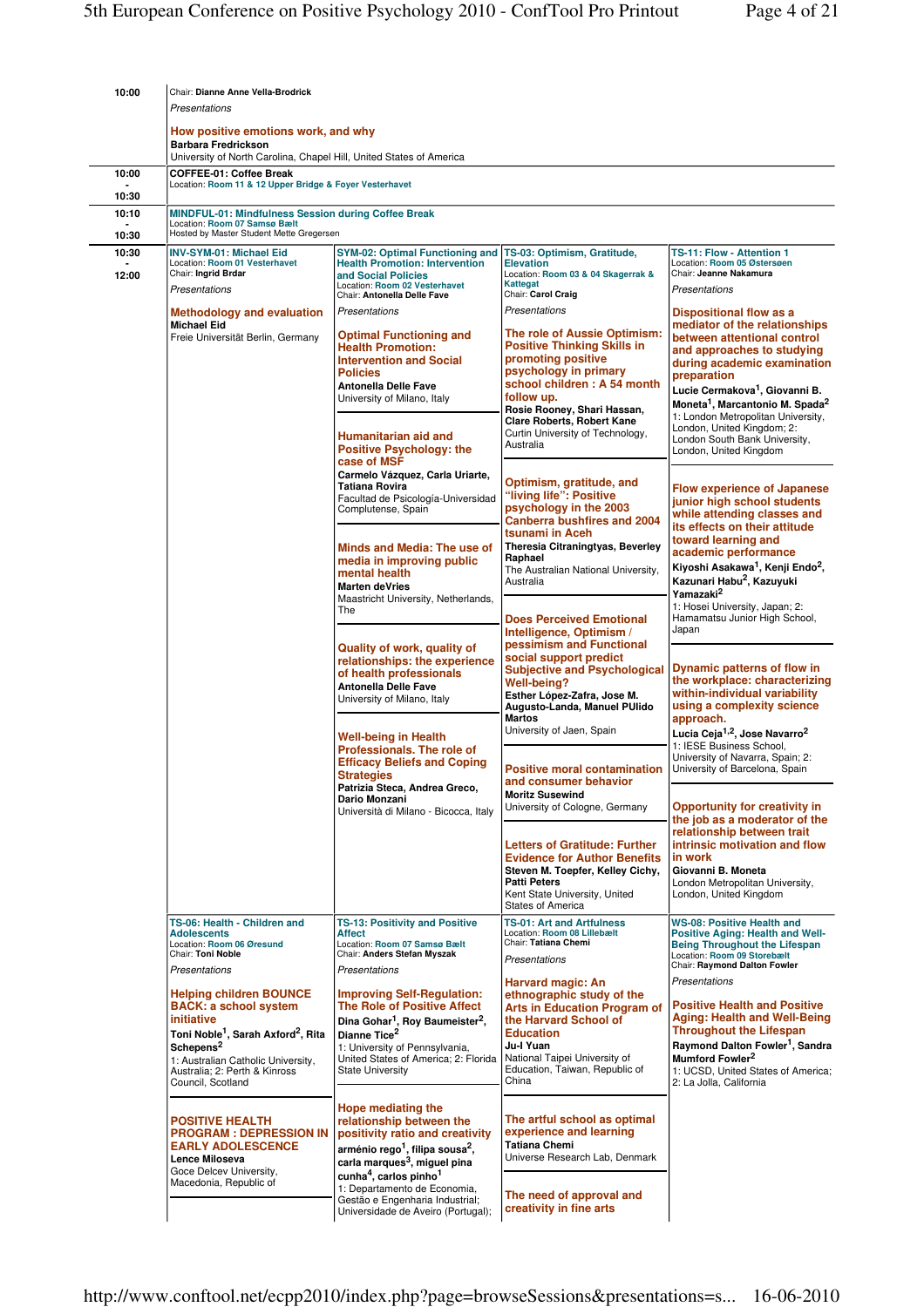| 10:00          | Chair: Dianne Anne Vella-Brodrick                                                                                                                                                                                                                               |                                                                                                                                                                                                                                                                                                                                                     |                                                                                                                                                                                                                                                                                                      |                                                                                                                                                                                                                                                                                                                                                                                   |  |
|----------------|-----------------------------------------------------------------------------------------------------------------------------------------------------------------------------------------------------------------------------------------------------------------|-----------------------------------------------------------------------------------------------------------------------------------------------------------------------------------------------------------------------------------------------------------------------------------------------------------------------------------------------------|------------------------------------------------------------------------------------------------------------------------------------------------------------------------------------------------------------------------------------------------------------------------------------------------------|-----------------------------------------------------------------------------------------------------------------------------------------------------------------------------------------------------------------------------------------------------------------------------------------------------------------------------------------------------------------------------------|--|
|                | Presentations                                                                                                                                                                                                                                                   |                                                                                                                                                                                                                                                                                                                                                     |                                                                                                                                                                                                                                                                                                      |                                                                                                                                                                                                                                                                                                                                                                                   |  |
|                | How positive emotions work, and why<br><b>Barbara Fredrickson</b><br>University of North Carolina, Chapel Hill, United States of America                                                                                                                        |                                                                                                                                                                                                                                                                                                                                                     |                                                                                                                                                                                                                                                                                                      |                                                                                                                                                                                                                                                                                                                                                                                   |  |
| 10:00          | <b>COFFEE-01: Coffee Break</b>                                                                                                                                                                                                                                  |                                                                                                                                                                                                                                                                                                                                                     |                                                                                                                                                                                                                                                                                                      |                                                                                                                                                                                                                                                                                                                                                                                   |  |
| 10:30          | Location: Room 11 & 12 Upper Bridge & Foyer Vesterhavet                                                                                                                                                                                                         |                                                                                                                                                                                                                                                                                                                                                     |                                                                                                                                                                                                                                                                                                      |                                                                                                                                                                                                                                                                                                                                                                                   |  |
| 10:10          | MINDFUL-01: Mindfulness Session during Coffee Break<br>Location: Room 07 Samsø Bælt<br>Hosted by Master Student Mette Gregersen                                                                                                                                 |                                                                                                                                                                                                                                                                                                                                                     |                                                                                                                                                                                                                                                                                                      |                                                                                                                                                                                                                                                                                                                                                                                   |  |
| 10:30<br>10:30 | <b>INV-SYM-01: Michael Eid</b>                                                                                                                                                                                                                                  | <b>SYM-02: Optimal Functioning and</b>                                                                                                                                                                                                                                                                                                              | TS-03: Optimism, Gratitude,                                                                                                                                                                                                                                                                          | TS-11: Flow - Attention 1                                                                                                                                                                                                                                                                                                                                                         |  |
| 12:00          | Location: Room 01 Vesterhavet<br>Chair: Ingrid Brdar<br>Presentations                                                                                                                                                                                           | <b>Health Promotion: Intervention</b><br>and Social Policies<br>Location: Room 02 Vesterhavet                                                                                                                                                                                                                                                       | <b>Elevation</b><br>Location: Room 03 & 04 Skagerrak &<br><b>Kattegat</b><br>Chair: Carol Craig                                                                                                                                                                                                      | Location: Room 05 Østersøen<br>Chair: Jeanne Nakamura<br>Presentations                                                                                                                                                                                                                                                                                                            |  |
|                | <b>Methodology and evaluation</b><br><b>Michael Eid</b><br>Freie Universität Berlin, Germany                                                                                                                                                                    | Chair: Antonella Delle Fave<br>Presentations<br><b>Optimal Functioning and</b><br><b>Health Promotion:</b><br><b>Intervention and Social</b><br><b>Policies</b><br><b>Antonella Delle Fave</b><br>University of Milano, Italy<br>Humanitarian aid and<br><b>Positive Psychology: the</b>                                                            | Presentations<br>The role of Aussie Optimism:<br><b>Positive Thinking Skills in</b><br>promoting positive<br>psychology in primary<br>school children: A 54 month<br>follow up.<br>Rosie Rooney, Shari Hassan,<br><b>Clare Roberts, Robert Kane</b><br>Curtin University of Technology,<br>Australia | Dispositional flow as a<br>mediator of the relationships<br>between attentional control<br>and approaches to studying<br>during academic examination<br>preparation<br>Lucie Cermakova <sup>1</sup> , Giovanni B.<br>Moneta <sup>1</sup> , Marcantonio M. Spada <sup>2</sup><br>1: London Metropolitan University.<br>London, United Kingdom; 2:<br>London South Bank University, |  |
|                |                                                                                                                                                                                                                                                                 | case of MSF<br>Carmelo Vázquez, Carla Uriarte,<br><b>Tatiana Rovira</b><br>Facultad de Psicología-Universidad<br>Complutense, Spain<br>Minds and Media: The use of<br>media in improving public<br>mental health                                                                                                                                    | Optimism, gratitude, and<br>"living life": Positive<br>psychology in the 2003<br><b>Canberra bushfires and 2004</b><br>tsunami in Aceh<br>Theresia Citraningtyas, Beverley<br>Raphael<br>The Australian National University,<br>Australia                                                            | London, United Kingdom<br><b>Flow experience of Japanese</b><br>junior high school students<br>while attending classes and<br>its effects on their attitude<br>toward learning and<br>academic performance<br>Kiyoshi Asakawa <sup>1</sup> , Kenji Endo <sup>2</sup> ,<br>Kazunari Habu <sup>2</sup> , Kazuyuki                                                                   |  |
|                |                                                                                                                                                                                                                                                                 | Marten deVries<br>Maastricht University, Netherlands,<br>The<br>Quality of work, quality of                                                                                                                                                                                                                                                         | <b>Does Perceived Emotional</b><br>Intelligence, Optimism /<br>pessimism and Functional                                                                                                                                                                                                              | Yamazaki <sup>2</sup><br>1: Hosei University, Japan; 2:<br>Hamamatsu Junior High School,<br>Japan                                                                                                                                                                                                                                                                                 |  |
|                |                                                                                                                                                                                                                                                                 | relationships: the experience<br>of health professionals<br><b>Antonella Delle Fave</b><br>University of Milano, Italy<br><b>Well-being in Health</b>                                                                                                                                                                                               | social support predict<br><b>Subjective and Psychological</b><br><b>Well-beina?</b><br>Esther López-Zafra, Jose M.<br>Augusto-Landa, Manuel PUlido<br><b>Martos</b><br>University of Jaen, Spain                                                                                                     | Dynamic patterns of flow in<br>the workplace: characterizing<br>within-individual variability<br>using a complexity science<br>approach.<br>Lucia Ceja <sup>1,2</sup> , Jose Navarro <sup>2</sup>                                                                                                                                                                                 |  |
|                |                                                                                                                                                                                                                                                                 | Professionals. The role of<br><b>Efficacy Beliefs and Coping</b><br>Strategies<br>Patrizia Steca, Andrea Greco,<br><b>Dario Monzani</b>                                                                                                                                                                                                             | <b>Positive moral contamination</b><br>and consumer behavior<br><b>Moritz Susewind</b>                                                                                                                                                                                                               | 1: IESE Business School,<br>University of Navarra, Spain; 2:<br>University of Barcelona, Spain                                                                                                                                                                                                                                                                                    |  |
|                |                                                                                                                                                                                                                                                                 | Università di Milano - Bicocca, Italy                                                                                                                                                                                                                                                                                                               | University of Cologne, Germany<br><b>Letters of Gratitude: Further</b><br><b>Evidence for Author Benefits</b><br>Steven M. Toepfer, Kelley Cichy,<br><b>Patti Peters</b><br>Kent State University, United<br><b>States of America</b>                                                                | <b>Opportunity for creativity in</b><br>the job as a moderator of the<br>relationship between trait<br>intrinsic motivation and flow<br>in work<br>Giovanni B. Moneta<br>London Metropolitan University,<br>London, United Kingdom                                                                                                                                                |  |
|                | TS-06: Health - Children and<br><b>Adolescents</b><br>Location: Room 06 Øresund<br>Chair: Toni Noble<br>Presentations                                                                                                                                           | <b>TS-13: Positivity and Positive</b><br><b>Affect</b><br>Location: Room 07 Samsø Bælt<br>Chair: Anders Stefan Myszak<br>Presentations                                                                                                                                                                                                              | <b>TS-01: Art and Artfulness</b><br>Location: Room 08 Lillebælt<br>Chair: Tatiana Chemi<br>Presentations<br>Harvard magic: An                                                                                                                                                                        | <b>WS-08: Positive Health and</b><br>Positive Aging: Health and Well-<br><b>Being Throughout the Lifespan</b><br>Location: Room 09 Storebælt<br>Chair: Raymond Dalton Fowler<br>Presentations                                                                                                                                                                                     |  |
|                | <b>Helping children BOUNCE</b><br><b>BACK: a school system</b><br>initiative<br>Toni Noble <sup>1</sup> , Sarah Axford <sup>2</sup> , Rita<br>Schepens <sup>2</sup><br>1: Australian Catholic University,<br>Australia; 2: Perth & Kinross<br>Council, Scotland | <b>Improving Self-Regulation:</b><br><b>The Role of Positive Affect</b><br>Dina Gohar <sup>1</sup> , Roy Baumeister <sup>2</sup> ,<br>Dianne Tice <sup>2</sup><br>1: University of Pennsylvania,<br>United States of America; 2: Florida<br><b>State University</b>                                                                                 | ethnographic study of the<br><b>Arts in Education Program of</b><br>the Harvard School of<br><b>Education</b><br>Ju-l Yuan<br>National Taipei University of<br>Education, Taiwan, Republic of<br>China                                                                                               | <b>Positive Health and Positive</b><br><b>Aging: Health and Well-Being</b><br><b>Throughout the Lifespan</b><br>Raymond Dalton Fowler <sup>1</sup> , Sandra<br>Mumford Fowler <sup>2</sup><br>1: UCSD, United States of America;<br>2: La Jolla, California                                                                                                                       |  |
|                | <b>POSITIVE HEALTH</b><br><b>PROGRAM: DEPRESSION IN</b><br><b>EARLY ADOLESCENCE</b><br>Lence Miloseva<br>Goce Delcev University,<br>Macedonia, Republic of                                                                                                      | Hope mediating the<br>relationship between the<br>positivity ratio and creativity<br>arménio rego <sup>1</sup> , filipa sousa <sup>2</sup> ,<br>carla marques <sup>3</sup> , miguel pina<br>cunha <sup>4</sup> , carlos pinho <sup>1</sup><br>1: Departamento de Economia,<br>Gestão e Engenharia Industrial;<br>Universidade de Aveiro (Portugal); | The artful school as optimal<br>experience and learning<br><b>Tatiana Chemi</b><br>Universe Research Lab, Denmark<br>The need of approval and<br>creativity in fine arts                                                                                                                             |                                                                                                                                                                                                                                                                                                                                                                                   |  |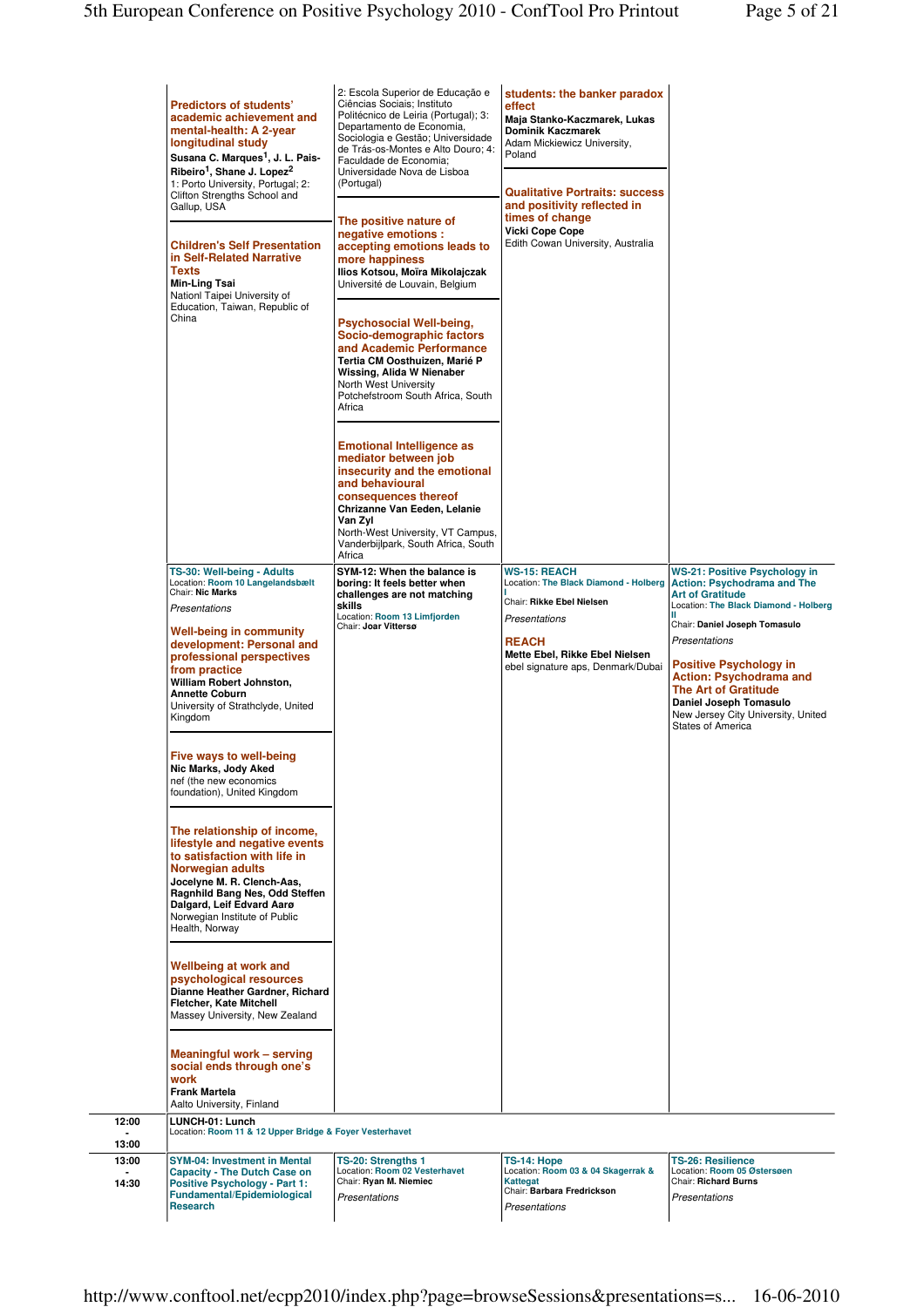|                | <b>Predictors of students'</b><br>academic achievement and<br>mental-health: A 2-year<br>longitudinal study<br>Susana C. Marques <sup>1</sup> , J. L. Pais-<br>Ribeiro <sup>1</sup> , Shane J. Lopez <sup>2</sup><br>1: Porto University, Portugal; 2:<br>Clifton Strengths School and<br>Gallup, USA<br><b>Children's Self Presentation</b><br>in Self-Related Narrative<br><b>Texts</b><br>Min-Ling Tsai<br>Nationl Taipei University of<br>Education, Taiwan, Republic of<br>China                                                                                                                                                                                                                                                                                                                                                                                                                | 2: Escola Superior de Educação e<br>Ciências Sociais; Instituto<br>Politécnico de Leiria (Portugal); 3:<br>Departamento de Economia,<br>Sociologia e Gestão; Universidade<br>de Trás-os-Montes e Alto Douro; 4:<br>Faculdade de Economia:<br>Universidade Nova de Lisboa<br>(Portugal)<br>The positive nature of<br>negative emotions :<br>accepting emotions leads to<br>more happiness<br>Ilios Kotsou, Moïra Mikolajczak<br>Université de Louvain, Belgium<br>Psychosocial Well-being,<br>Socio-demographic factors<br>and Academic Performance<br>Tertia CM Oosthuizen, Marié P<br>Wissing, Alida W Nienaber<br>North West University<br>Potchefstroom South Africa, South<br>Africa<br><b>Emotional Intelligence as</b><br>mediator between job<br>insecurity and the emotional<br>and behavioural<br>consequences thereof<br>Chrizanne Van Eeden, Lelanie<br>Van Zyl<br>North-West University, VT Campus,<br>Vanderbijlpark, South Africa, South<br>Africa | students: the banker paradox<br>effect<br>Maja Stanko-Kaczmarek, Lukas<br><b>Dominik Kaczmarek</b><br>Adam Mickiewicz University,<br>Poland<br><b>Qualitative Portraits: success</b><br>and positivity reflected in<br>times of change<br><b>Vicki Cope Cope</b><br>Edith Cowan University, Australia |                                                                                                                                                                                                                                                                                                                                                                                         |
|----------------|------------------------------------------------------------------------------------------------------------------------------------------------------------------------------------------------------------------------------------------------------------------------------------------------------------------------------------------------------------------------------------------------------------------------------------------------------------------------------------------------------------------------------------------------------------------------------------------------------------------------------------------------------------------------------------------------------------------------------------------------------------------------------------------------------------------------------------------------------------------------------------------------------|------------------------------------------------------------------------------------------------------------------------------------------------------------------------------------------------------------------------------------------------------------------------------------------------------------------------------------------------------------------------------------------------------------------------------------------------------------------------------------------------------------------------------------------------------------------------------------------------------------------------------------------------------------------------------------------------------------------------------------------------------------------------------------------------------------------------------------------------------------------------------------------------------------------------------------------------------------------|-------------------------------------------------------------------------------------------------------------------------------------------------------------------------------------------------------------------------------------------------------------------------------------------------------|-----------------------------------------------------------------------------------------------------------------------------------------------------------------------------------------------------------------------------------------------------------------------------------------------------------------------------------------------------------------------------------------|
|                | TS-30: Well-being - Adults<br>Location: Room 10 Langelandsbælt<br>Chair: Nic Marks<br>Presentations<br><b>Well-being in community</b><br>development: Personal and<br>professional perspectives<br>from practice<br>William Robert Johnston,<br><b>Annette Coburn</b><br>University of Strathclyde, United<br>Kingdom<br>Five ways to well-being<br>Nic Marks, Jody Aked<br>nef (the new economics<br>foundation), United Kingdom<br>The relationship of income,<br>lifestyle and negative events<br>to satisfaction with life in<br><b>Norwegian adults</b><br>Jocelvne M. R. Clench-Aas.<br>Ragnhild Bang Nes, Odd Steffen<br>Dalgard, Leif Edvard Aarø<br>Norwegian Institute of Public<br>Health, Norway<br>Wellbeing at work and<br>psychological resources<br>Dianne Heather Gardner, Richard<br>Fletcher, Kate Mitchell<br>Massey University, New Zealand<br><b>Meaningful work - serving</b> | SYM-12: When the balance is<br>boring: It feels better when<br>challenges are not matching<br>skills<br>Location: Room 13 Limfjorden<br>Chair: Joar Vittersø                                                                                                                                                                                                                                                                                                                                                                                                                                                                                                                                                                                                                                                                                                                                                                                                     | <b>WS-15: REACH</b><br>Location: The Black Diamond - Holberg<br>Chair: Rikke Ebel Nielsen<br>Presentations<br><b>REACH</b><br>Mette Ebel, Rikke Ebel Nielsen<br>ebel signature aps, Denmark/Dubai                                                                                                     | <b>WS-21: Positive Psychology in</b><br><b>Action: Psychodrama and The</b><br><b>Art of Gratitude</b><br>Location: The Black Diamond - Holberg<br>Chair: Daniel Joseph Tomasulo<br>Presentations<br><b>Positive Psychology in</b><br><b>Action: Psychodrama and</b><br><b>The Art of Gratitude</b><br>Daniel Joseph Tomasulo<br>New Jersey City University, United<br>States of America |
|                | social ends through one's<br>work<br><b>Frank Martela</b><br>Aalto University, Finland                                                                                                                                                                                                                                                                                                                                                                                                                                                                                                                                                                                                                                                                                                                                                                                                               |                                                                                                                                                                                                                                                                                                                                                                                                                                                                                                                                                                                                                                                                                                                                                                                                                                                                                                                                                                  |                                                                                                                                                                                                                                                                                                       |                                                                                                                                                                                                                                                                                                                                                                                         |
| 12:00          | LUNCH-01: Lunch<br>Location: Room 11 & 12 Upper Bridge & Foyer Vesterhavet                                                                                                                                                                                                                                                                                                                                                                                                                                                                                                                                                                                                                                                                                                                                                                                                                           |                                                                                                                                                                                                                                                                                                                                                                                                                                                                                                                                                                                                                                                                                                                                                                                                                                                                                                                                                                  |                                                                                                                                                                                                                                                                                                       |                                                                                                                                                                                                                                                                                                                                                                                         |
| 13:00          |                                                                                                                                                                                                                                                                                                                                                                                                                                                                                                                                                                                                                                                                                                                                                                                                                                                                                                      |                                                                                                                                                                                                                                                                                                                                                                                                                                                                                                                                                                                                                                                                                                                                                                                                                                                                                                                                                                  |                                                                                                                                                                                                                                                                                                       |                                                                                                                                                                                                                                                                                                                                                                                         |
| 13:00<br>14:30 | <b>SYM-04: Investment in Mental</b><br><b>Capacity - The Dutch Case on</b><br><b>Positive Psychology - Part 1:</b><br><b>Fundamental/Epidemiological</b><br><b>Research</b>                                                                                                                                                                                                                                                                                                                                                                                                                                                                                                                                                                                                                                                                                                                          | TS-20: Strengths 1<br>Location: Room 02 Vesterhavet<br>Chair: Ryan M. Niemiec<br>Presentations                                                                                                                                                                                                                                                                                                                                                                                                                                                                                                                                                                                                                                                                                                                                                                                                                                                                   | TS-14: Hope<br>Location: Room 03 & 04 Skagerrak &<br><b>Kattegat</b><br>Chair: Barbara Fredrickson<br>Presentations                                                                                                                                                                                   | <b>TS-26: Resilience</b><br>Location: Room 05 Østersøen<br><b>Chair: Richard Burns</b><br>Presentations                                                                                                                                                                                                                                                                                 |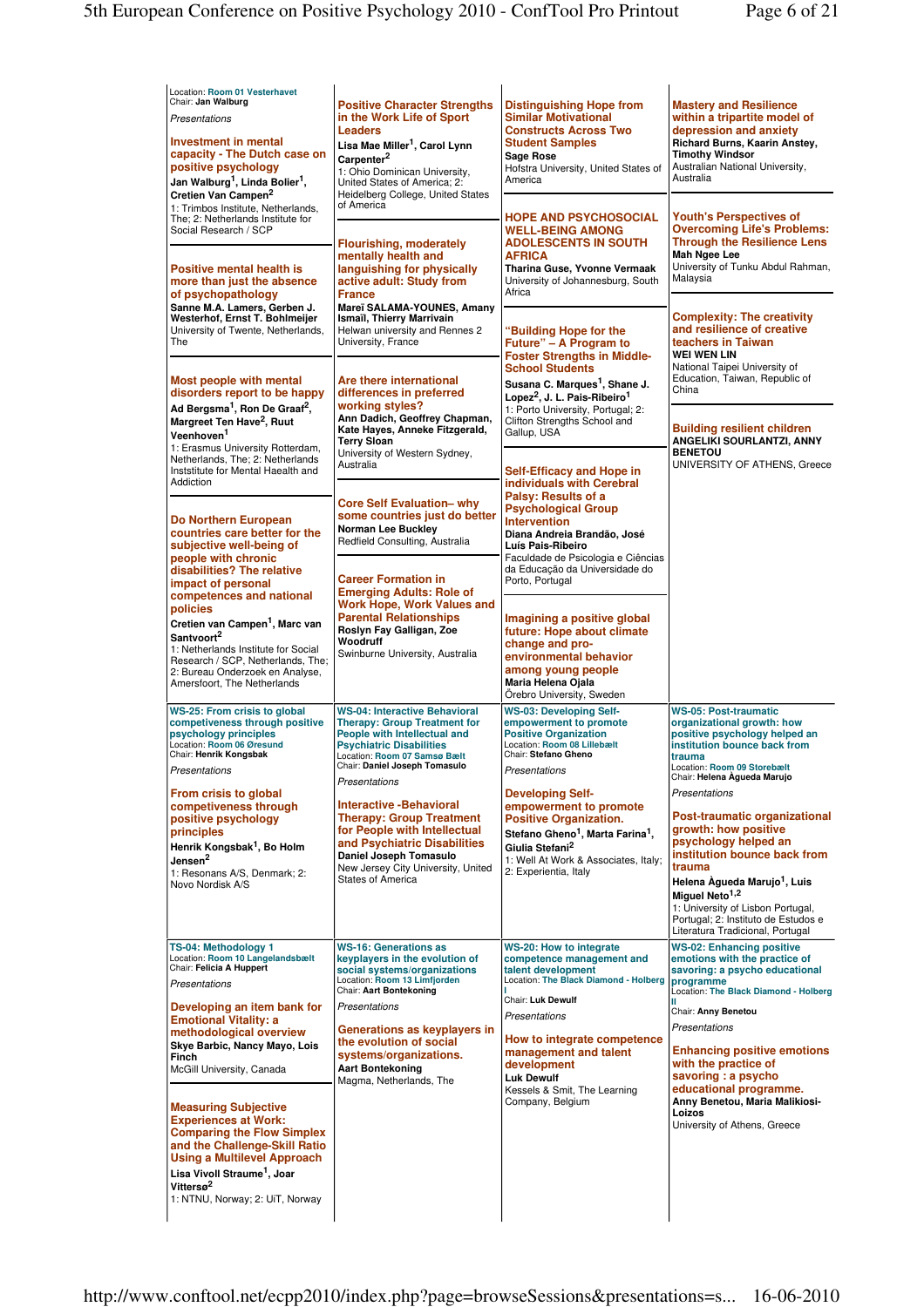| Location: Room 01 Vesterhavet<br>Chair: Jan Walburg<br>Presentations<br><b>Investment in mental</b><br>capacity - The Dutch case on<br>positive psychology<br>Jan Walburg <sup>1</sup> , Linda Bolier <sup>1</sup> ,<br>Cretien Van Campen <sup>2</sup><br>1: Trimbos Institute, Netherlands, | <b>Positive Character Strengths</b><br>in the Work Life of Sport<br><b>Leaders</b><br>Lisa Mae Miller <sup>1</sup> , Carol Lynn<br>Carpenter <sup>2</sup><br>1: Ohio Dominican University,<br>United States of America; 2:<br>Heidelberg College, United States<br>of America | <b>Distinguishing Hope from</b><br><b>Similar Motivational</b><br><b>Constructs Across Two</b><br><b>Student Samples</b><br>Sage Rose<br>Hofstra University, United States of<br>America                                                       | <b>Mastery and Resilience</b><br>within a tripartite model of<br>depression and anxiety<br>Richard Burns, Kaarin Anstey,<br><b>Timothy Windsor</b><br>Australian National University,<br>Australia                                                                                                                                 |
|-----------------------------------------------------------------------------------------------------------------------------------------------------------------------------------------------------------------------------------------------------------------------------------------------|-------------------------------------------------------------------------------------------------------------------------------------------------------------------------------------------------------------------------------------------------------------------------------|------------------------------------------------------------------------------------------------------------------------------------------------------------------------------------------------------------------------------------------------|------------------------------------------------------------------------------------------------------------------------------------------------------------------------------------------------------------------------------------------------------------------------------------------------------------------------------------|
| The; 2: Netherlands Institute for<br>Social Research / SCP<br>Positive mental health is<br>more than just the absence<br>of psychopathology                                                                                                                                                   | <b>Flourishing, moderately</b><br>mentally health and<br>languishing for physically<br>active adult: Study from<br><b>France</b>                                                                                                                                              | <b>HOPE AND PSYCHOSOCIAL</b><br><b>WELL-BEING AMONG</b><br><b>ADOLESCENTS IN SOUTH</b><br><b>AFRICA</b><br>Tharina Guse, Yvonne Vermaak<br>University of Johannesburg, South<br>Africa                                                         | <b>Youth's Perspectives of</b><br><b>Overcoming Life's Problems:</b><br><b>Through the Resilience Lens</b><br>Mah Ngee Lee<br>University of Tunku Abdul Rahman.<br>Malaysia                                                                                                                                                        |
| Sanne M.A. Lamers, Gerben J.<br>Westerhof, Ernst T. Bohlmeijer<br>University of Twente, Netherlands,<br>The                                                                                                                                                                                   | Mareï SALAMA-YOUNES, Amany<br>Ismaïl, Thierry Marrivain<br>Helwan university and Rennes 2<br>University, France                                                                                                                                                               | "Building Hope for the<br>Future" – A Program to<br><b>Foster Strengths in Middle-</b><br><b>School Students</b>                                                                                                                               | <b>Complexity: The creativity</b><br>and resilience of creative<br>teachers in Taiwan<br><b>WEI WEN LIN</b><br>National Taipei University of                                                                                                                                                                                       |
| Most people with mental<br>disorders report to be happy<br>Ad Bergsma <sup>1</sup> , Ron De Graaf <sup>2</sup> ,<br>Margreet Ten Have <sup>2</sup> , Ruut<br>Veenhoven <sup>1</sup>                                                                                                           | Are there international<br>differences in preferred<br>working styles?<br>Ann Dadich, Geoffrey Chapman,<br>Kate Hayes, Anneke Fitzgerald,<br><b>Terry Sloan</b>                                                                                                               | Susana C. Marques <sup>1</sup> , Shane J.<br>Lopez <sup>2</sup> , J. L. Pais-Ribeiro <sup>1</sup><br>1: Porto University, Portugal; 2:<br>Clifton Strengths School and<br>Gallup, USA                                                          | Education, Taiwan, Republic of<br>China<br><b>Building resilient children</b><br>ANGELIKI SOURLANTZI, ANNY                                                                                                                                                                                                                         |
| 1: Erasmus University Rotterdam,<br>Netherlands, The; 2: Netherlands<br>Inststitute for Mental Haealth and<br>Addiction                                                                                                                                                                       | University of Western Sydney,<br>Australia<br><b>Core Self Evaluation- why</b>                                                                                                                                                                                                | <b>Self-Efficacy and Hope in</b><br>individuals with Cerebral<br>Palsy: Results of a<br><b>Psychological Group</b>                                                                                                                             | <b>BENETOU</b><br>UNIVERSITY OF ATHENS, Greece                                                                                                                                                                                                                                                                                     |
| Do Northern European<br>countries care better for the<br>subjective well-being of<br>people with chronic<br>disabilities? The relative                                                                                                                                                        | some countries just do better<br><b>Norman Lee Buckley</b><br>Redfield Consulting, Australia<br><b>Career Formation in</b>                                                                                                                                                    | <b>Intervention</b><br>Diana Andreia Brandão, José<br>Luís Pais-Ribeiro<br>Faculdade de Psicologia e Ciências<br>da Educação da Universidade do<br>Porto, Portugal                                                                             |                                                                                                                                                                                                                                                                                                                                    |
| impact of personal<br>competences and national<br>policies<br>Cretien van Campen <sup>1</sup> , Marc van<br>Santvoort <sup>2</sup><br>1: Netherlands Institute for Social<br>Research / SCP, Netherlands, The;<br>2: Bureau Onderzoek en Analyse,<br>Amersfoort, The Netherlands              | <b>Emerging Adults: Role of</b><br><b>Work Hope, Work Values and</b><br><b>Parental Relationships</b><br>Roslyn Fay Galligan, Zoe<br>Woodruff<br>Swinburne University, Australia                                                                                              | Imagining a positive global<br>future: Hope about climate<br>change and pro-<br>environmental behavior<br>among young people<br>Maria Helena Ojala<br>Örebro University, Sweden                                                                |                                                                                                                                                                                                                                                                                                                                    |
| WS-25: From crisis to global<br>competiveness through positive<br>psychology principles<br>Location: Room 06 Øresund<br>Chair: Henrik Kongsbak<br>Presentations                                                                                                                               | <b>WS-04: Interactive Behavioral</b><br><b>Therapy: Group Treatment for</b><br>People with Intellectual and<br><b>Psychiatric Disabilities</b><br>Location: Room 07 Samsø Bælt<br>Chair: Daniel Joseph Tomasulo                                                               | <b>WS-03: Developing Self-</b><br>empowerment to promote<br><b>Positive Organization</b><br>Location: Room 08 Lillebælt<br>Chair: Stefano Gheno<br>Presentations                                                                               | <b>WS-05: Post-traumatic</b><br>organizational growth: how<br>positive psychology helped an<br>institution bounce back from<br>trauma<br>Location: Room 09 Storebælt<br>Chair: Helena Agueda Marujo                                                                                                                                |
| From crisis to global<br>competiveness through<br>positive psychology<br>principles<br>Henrik Kongsbak <sup>1</sup> , Bo Holm<br>Jensen <sup>2</sup><br>1: Resonans A/S, Denmark; 2:<br>Novo Nordisk A/S                                                                                      | Presentations<br><b>Interactive -Behavioral</b><br><b>Therapy: Group Treatment</b><br>for People with Intellectual<br>and Psychiatric Disabilities<br>Daniel Joseph Tomasulo<br>New Jersey City University, United<br><b>States of America</b>                                | <b>Developing Self-</b><br>empowerment to promote<br><b>Positive Organization.</b><br>Stefano Gheno <sup>1</sup> , Marta Farina <sup>1</sup> ,<br>Giulia Stefani <sup>2</sup><br>1: Well At Work & Associates, Italy;<br>2: Experientia, Italy | Presentations<br>Post-traumatic organizational<br>growth: how positive<br>psychology helped an<br>institution bounce back from<br>trauma<br>Helena Àgueda Marujo <sup>1</sup> , Luis<br>Miguel Neto <sup>1,2</sup><br>1: University of Lisbon Portugal,<br>Portugal; 2: Instituto de Estudos e<br>Literatura Tradicional, Portugal |
| TS-04: Methodology 1<br>Location: Room 10 Langelandsbælt<br>Chair: Felicia A Huppert<br>Presentations<br>Developing an item bank for                                                                                                                                                          | <b>WS-16: Generations as</b><br>keyplayers in the evolution of<br>social systems/organizations<br>Location: Room 13 Limfjorden<br>Chair: Aart Bontekoning<br>Presentations                                                                                                    | WS-20: How to integrate<br>competence management and<br>talent development<br>Location: The Black Diamond - Holberg<br>Chair: Luk Dewulf<br>Presentations                                                                                      | <b>WS-02: Enhancing positive</b><br>emotions with the practice of<br>savoring: a psycho educational<br>programme<br>Location: The Black Diamond - Holberg<br>Chair: Anny Benetou                                                                                                                                                   |
| <b>Emotional Vitality: a</b><br>methodological overview<br>Skye Barbic, Nancy Mayo, Lois<br><b>Finch</b><br>McGill University, Canada                                                                                                                                                         | Generations as keyplayers in<br>the evolution of social<br>systems/organizations.<br><b>Aart Bontekoning</b><br>Magma, Netherlands, The                                                                                                                                       | How to integrate competence<br>management and talent<br>development<br><b>Luk Dewulf</b><br>Kessels & Smit, The Learning                                                                                                                       | Presentations<br><b>Enhancing positive emotions</b><br>with the practice of<br>savoring : a psycho<br>educational programme.                                                                                                                                                                                                       |
| <b>Measuring Subjective</b><br><b>Experiences at Work:</b><br><b>Comparing the Flow Simplex</b><br>and the Challenge-Skill Ratio<br>Using a Multilevel Approach<br>Lisa Vivoll Straume <sup>1</sup> , Joar<br>Vittersø <sup>2</sup><br>1: NTNU, Norway; 2: UiT, Norway                        |                                                                                                                                                                                                                                                                               | Company, Belgium                                                                                                                                                                                                                               | Anny Benetou, Maria Malikiosi-<br>Loizos<br>University of Athens, Greece                                                                                                                                                                                                                                                           |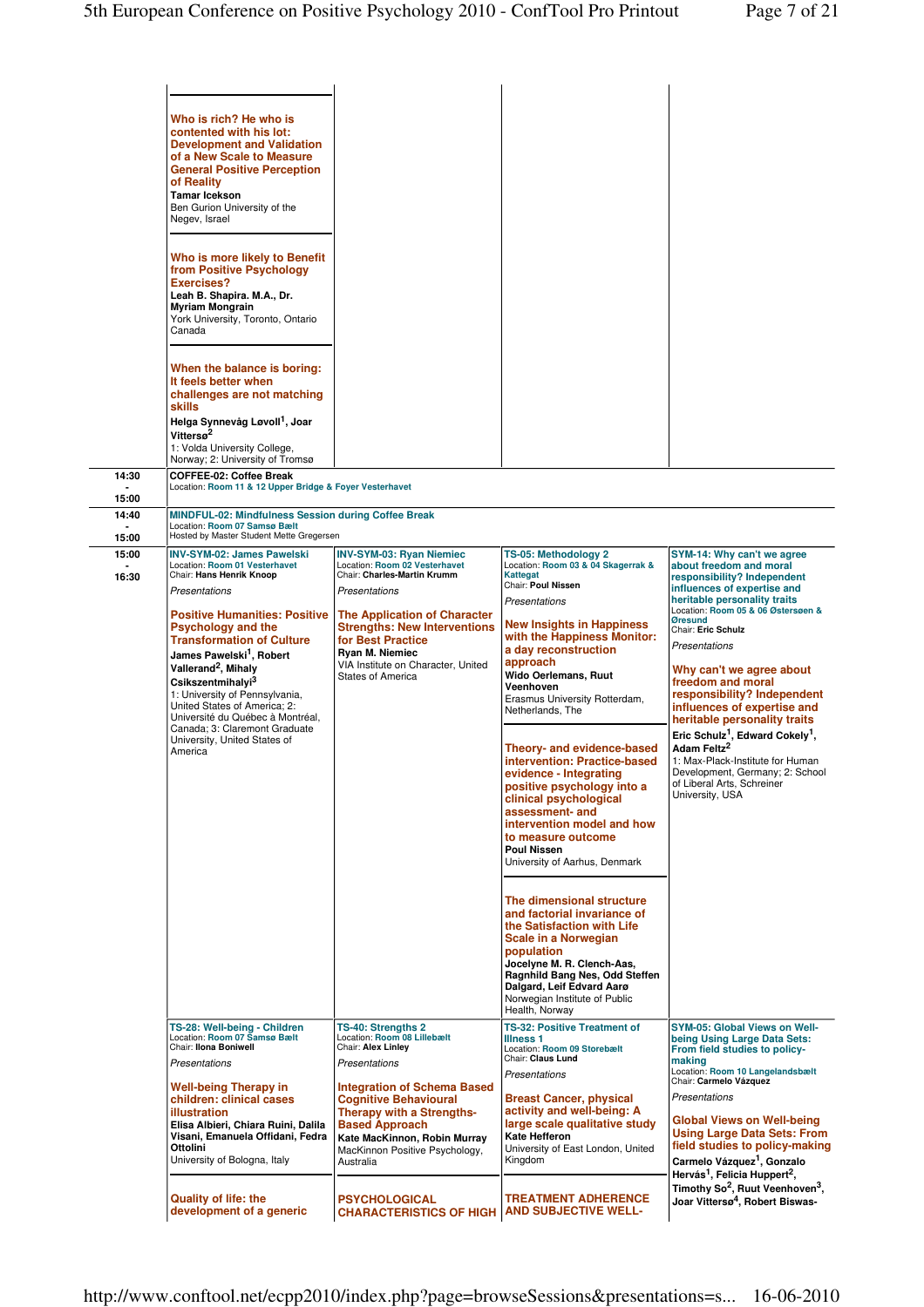|                         | Who is rich? He who is<br>contented with his lot:<br><b>Development and Validation</b><br>of a New Scale to Measure<br><b>General Positive Perception</b><br>of Reality<br><b>Tamar Icekson</b><br>Ben Gurion University of the<br>Negev, Israel<br>Who is more likely to Benefit<br>from Positive Psychology<br><b>Exercises?</b><br>Leah B. Shapira. M.A., Dr.<br><b>Myriam Mongrain</b><br>York University, Toronto, Ontario<br>Canada<br>When the balance is boring:<br>It feels better when<br>challenges are not matching<br><b>skills</b><br>Helga Synnevåg Løvoll <sup>1</sup> , Joar<br>Vittersø <sup>2</sup><br>1: Volda University College,<br>Norway; 2: University of Tromsø |                                                                                                                                                                                                                |                                                                                                                                                                                                                                                                                                                                                                                                                                                                             |                                                                                                                                                                                                                                                                                                                                                                                                                                                          |
|-------------------------|-------------------------------------------------------------------------------------------------------------------------------------------------------------------------------------------------------------------------------------------------------------------------------------------------------------------------------------------------------------------------------------------------------------------------------------------------------------------------------------------------------------------------------------------------------------------------------------------------------------------------------------------------------------------------------------------|----------------------------------------------------------------------------------------------------------------------------------------------------------------------------------------------------------------|-----------------------------------------------------------------------------------------------------------------------------------------------------------------------------------------------------------------------------------------------------------------------------------------------------------------------------------------------------------------------------------------------------------------------------------------------------------------------------|----------------------------------------------------------------------------------------------------------------------------------------------------------------------------------------------------------------------------------------------------------------------------------------------------------------------------------------------------------------------------------------------------------------------------------------------------------|
| 14:30                   | <b>COFFEE-02: Coffee Break</b><br>Location: Room 11 & 12 Upper Bridge & Foyer Vesterhavet                                                                                                                                                                                                                                                                                                                                                                                                                                                                                                                                                                                                 |                                                                                                                                                                                                                |                                                                                                                                                                                                                                                                                                                                                                                                                                                                             |                                                                                                                                                                                                                                                                                                                                                                                                                                                          |
| 15:00<br>14:40<br>15:00 | MINDFUL-02: Mindfulness Session during Coffee Break<br>Location: Room 07 Samsø Bælt<br>Hosted by Master Student Mette Gregersen                                                                                                                                                                                                                                                                                                                                                                                                                                                                                                                                                           |                                                                                                                                                                                                                |                                                                                                                                                                                                                                                                                                                                                                                                                                                                             |                                                                                                                                                                                                                                                                                                                                                                                                                                                          |
| 15:00<br>16:30          | <b>INV-SYM-02: James Pawelski</b><br>Location: Room 01 Vesterhavet<br>Chair: Hans Henrik Knoop                                                                                                                                                                                                                                                                                                                                                                                                                                                                                                                                                                                            | <b>INV-SYM-03: Ryan Niemiec</b><br>Location: Room 02 Vesterhavet<br>Chair: Charles-Martin Krumm                                                                                                                | TS-05: Methodology 2<br>Location: Room 03 & 04 Skagerrak &<br><b>Kattegat</b>                                                                                                                                                                                                                                                                                                                                                                                               | SYM-14: Why can't we agree<br>about freedom and moral<br>responsibility? Independent                                                                                                                                                                                                                                                                                                                                                                     |
|                         | Presentations                                                                                                                                                                                                                                                                                                                                                                                                                                                                                                                                                                                                                                                                             | Presentations                                                                                                                                                                                                  | Chair: Poul Nissen<br>Presentations                                                                                                                                                                                                                                                                                                                                                                                                                                         | influences of expertise and<br>heritable personality traits                                                                                                                                                                                                                                                                                                                                                                                              |
|                         | <b>Positive Humanities: Positive</b><br><b>Psychology and the</b><br><b>Transformation of Culture</b><br>James Pawelski <sup>1</sup> , Robert<br>Vallerand <sup>2</sup> , Mihaly<br>Csikszentmihalyi <sup>3</sup><br>1: University of Pennsylvania,<br>United States of America; 2:<br>Université du Québec à Montréal,<br>Canada; 3: Claremont Graduate<br>University, United States of<br>America                                                                                                                                                                                                                                                                                       | <b>The Application of Character</b><br><b>Strengths: New Interventions</b><br>for Best Practice<br>Ryan M. Niemiec<br>VIA Institute on Character, United<br><b>States of America</b>                           | <b>New Insights in Happiness</b><br>with the Happiness Monitor:<br>a day reconstruction<br>approach<br>Wido Oerlemans, Ruut<br>Veenhoven<br>Erasmus University Rotterdam,<br>Netherlands, The<br>Theory- and evidence-based<br>intervention: Practice-based<br>evidence - Integrating<br>positive psychology into a<br>clinical psychological<br>assessment- and<br>intervention model and how<br>to measure outcome<br><b>Poul Nissen</b><br>University of Aarhus, Denmark | Location: Room 05 & 06 Østersøen &<br><b>Øresund</b><br>Chair: Eric Schulz<br>Presentations<br>Why can't we agree about<br>freedom and moral<br>responsibility? Independent<br>influences of expertise and<br>heritable personality traits<br>Eric Schulz <sup>1</sup> , Edward Cokely <sup>1</sup> ,<br>Adam Feltz <sup>2</sup><br>1: Max-Plack-Institute for Human<br>Development, Germany; 2: School<br>of Liberal Arts, Schreiner<br>University, USA |
|                         |                                                                                                                                                                                                                                                                                                                                                                                                                                                                                                                                                                                                                                                                                           |                                                                                                                                                                                                                | The dimensional structure<br>and factorial invariance of<br>the Satisfaction with Life<br><b>Scale in a Norwegian</b><br>population<br>Jocelyne M. R. Clench-Aas,<br>Ragnhild Bang Nes, Odd Steffen<br>Dalgard, Leif Edvard Aarø<br>Norwegian Institute of Public<br>Health, Norway                                                                                                                                                                                         |                                                                                                                                                                                                                                                                                                                                                                                                                                                          |
|                         | TS-28: Well-being - Children<br>Location: Room 07 Samsø Bælt<br>Chair: Ilona Boniwell<br>Presentations                                                                                                                                                                                                                                                                                                                                                                                                                                                                                                                                                                                    | TS-40: Strengths 2<br>Location: Room 08 Lillebælt<br>Chair: Alex Linley<br>Presentations                                                                                                                       | <b>TS-32: Positive Treatment of</b><br><b>Illness 1</b><br>Location: Room 09 Storebælt<br>Chair: Claus Lund                                                                                                                                                                                                                                                                                                                                                                 | <b>SYM-05: Global Views on Well-</b><br>being Using Large Data Sets:<br>From field studies to policy-<br>making                                                                                                                                                                                                                                                                                                                                          |
|                         | <b>Well-being Therapy in</b><br>children: clinical cases<br><b>illustration</b><br>Elisa Albieri, Chiara Ruini, Dalila<br>Visani, Emanuela Offidani, Fedra<br>Ottolini<br>University of Bologna, Italy                                                                                                                                                                                                                                                                                                                                                                                                                                                                                    | <b>Integration of Schema Based</b><br><b>Cognitive Behavioural</b><br><b>Therapy with a Strengths-</b><br><b>Based Approach</b><br>Kate MacKinnon, Robin Murray<br>MacKinnon Positive Psychology,<br>Australia | Presentations<br><b>Breast Cancer, physical</b><br>activity and well-being: A<br>large scale qualitative study<br><b>Kate Hefferon</b><br>University of East London, United<br>Kingdom                                                                                                                                                                                                                                                                                      | Location: Room 10 Langelandsbælt<br>Chair: Carmelo Vázquez<br>Presentations<br>Global Views on Well-being<br><b>Using Large Data Sets: From</b><br>field studies to policy-making<br>Carmelo Vázquez <sup>1</sup> , Gonzalo<br>Hervás <sup>1</sup> , Felicia Huppert <sup>2</sup> ,                                                                                                                                                                      |
|                         | <b>Quality of life: the</b><br>development of a generic                                                                                                                                                                                                                                                                                                                                                                                                                                                                                                                                                                                                                                   | <b>PSYCHOLOGICAL</b><br><b>CHARACTERISTICS OF HIGH   AND SUBJECTIVE WELL-</b>                                                                                                                                  | <b>TREATMENT ADHERENCE</b>                                                                                                                                                                                                                                                                                                                                                                                                                                                  | Timothy So <sup>2</sup> , Ruut Veenhoven <sup>3</sup> ,<br>Joar Vittersø <sup>4</sup> , Robert Biswas-                                                                                                                                                                                                                                                                                                                                                   |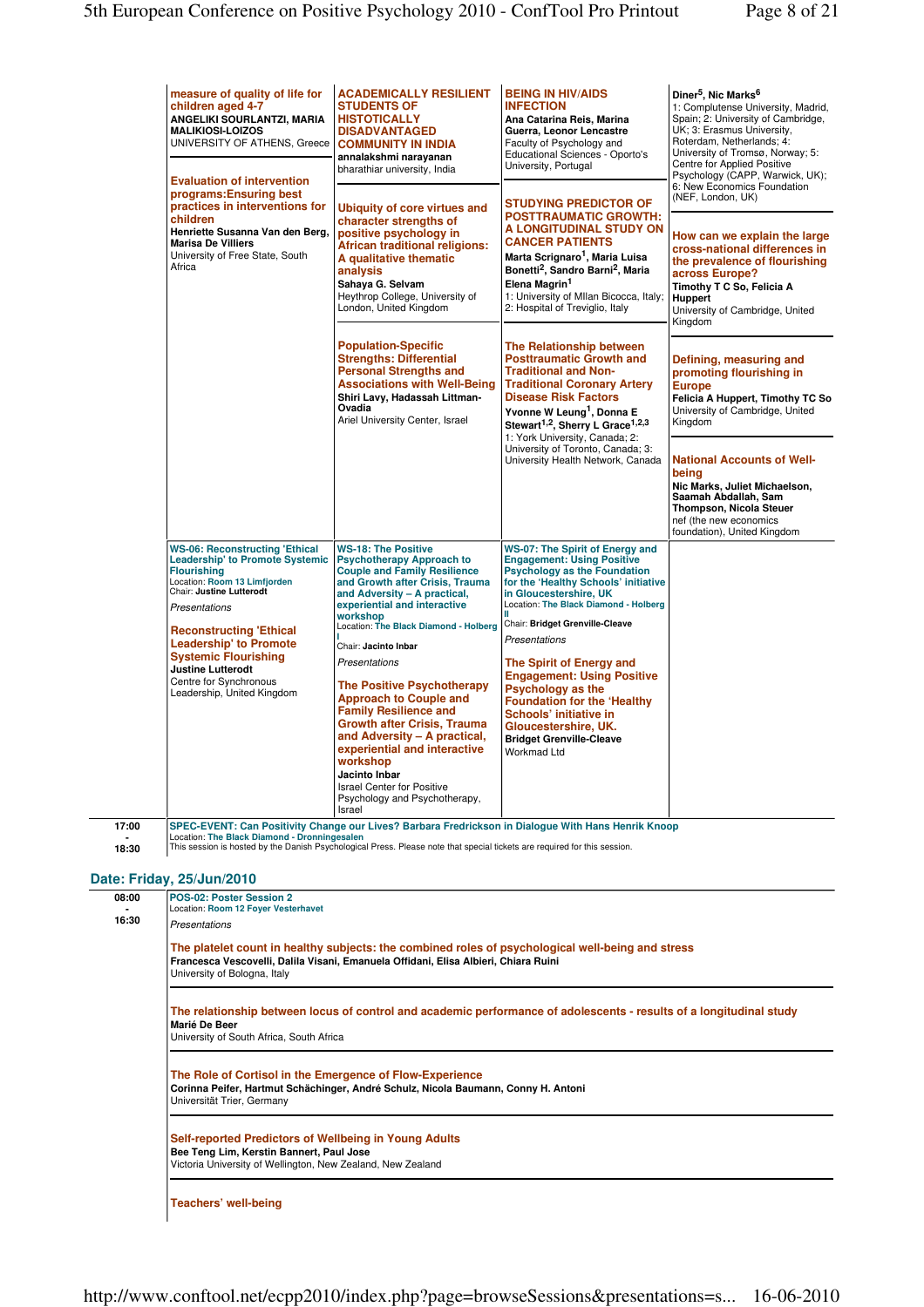|                | measure of quality of life for<br>children aged 4-7<br>ANGELIKI SOURLANTZI, MARIA<br><b>MALIKIOSI-LOIZOS</b><br>UNIVERSITY OF ATHENS, Greece<br><b>Evaluation of intervention</b><br>programs: Ensuring best<br>practices in interventions for<br>children<br>Henriette Susanna Van den Berg,<br><b>Marisa De Villiers</b><br>University of Free State, South<br>Africa | <b>ACADEMICALLY RESILIENT</b><br><b>STUDENTS OF</b><br><b>HISTOTICALLY</b><br><b>DISADVANTAGED</b><br><b>COMMUNITY IN INDIA</b><br>annalakshmi narayanan<br>bharathiar university, India                                                                                                                                                                                                                                                                                                                                                                                                                                        | <b>BEING IN HIV/AIDS</b><br><b>INFECTION</b><br>Ana Catarina Reis, Marina<br>Guerra, Leonor Lencastre<br>Faculty of Psychology and<br>Educational Sciences - Oporto's<br>University, Portugal                                                                                                                                                                                                                                                                                                                             | Diner <sup>5</sup> , Nic Marks <sup>6</sup><br>1: Complutense University, Madrid,<br>Spain; 2: University of Cambridge,<br>UK; 3: Erasmus University,<br>Roterdam, Netherlands; 4:<br>University of Tromsø, Norway; 5:<br>Centre for Applied Positive<br>Psychology (CAPP, Warwick, UK);<br>6: New Economics Foundation<br>(NEF, London, UK)<br>How can we explain the large<br>cross-national differences in<br>the prevalence of flourishing<br>across Europe?<br>Timothy T C So, Felicia A<br>Huppert<br>University of Cambridge, United<br>Kingdom |
|----------------|-------------------------------------------------------------------------------------------------------------------------------------------------------------------------------------------------------------------------------------------------------------------------------------------------------------------------------------------------------------------------|---------------------------------------------------------------------------------------------------------------------------------------------------------------------------------------------------------------------------------------------------------------------------------------------------------------------------------------------------------------------------------------------------------------------------------------------------------------------------------------------------------------------------------------------------------------------------------------------------------------------------------|---------------------------------------------------------------------------------------------------------------------------------------------------------------------------------------------------------------------------------------------------------------------------------------------------------------------------------------------------------------------------------------------------------------------------------------------------------------------------------------------------------------------------|--------------------------------------------------------------------------------------------------------------------------------------------------------------------------------------------------------------------------------------------------------------------------------------------------------------------------------------------------------------------------------------------------------------------------------------------------------------------------------------------------------------------------------------------------------|
|                |                                                                                                                                                                                                                                                                                                                                                                         | Ubiquity of core virtues and<br>character strengths of<br>positive psychology in<br><b>African traditional religions:</b><br>A qualitative thematic<br>analysis<br>Sahaya G. Selvam<br>Heythrop College, University of<br>London, United Kingdom                                                                                                                                                                                                                                                                                                                                                                                | <b>STUDYING PREDICTOR OF</b><br><b>POSTTRAUMATIC GROWTH:</b><br>A LONGITUDINAL STUDY ON<br><b>CANCER PATIENTS</b><br>Marta Scrignaro <sup>1</sup> , Maria Luisa<br>Bonetti <sup>2</sup> , Sandro Barni <sup>2</sup> , Maria<br>Elena Magrin <sup>1</sup><br>1: University of Mllan Bicocca, Italy;<br>2: Hospital of Treviglio, Italy                                                                                                                                                                                     |                                                                                                                                                                                                                                                                                                                                                                                                                                                                                                                                                        |
|                |                                                                                                                                                                                                                                                                                                                                                                         | <b>Population-Specific</b><br><b>Strengths: Differential</b><br><b>Personal Strengths and</b><br><b>Associations with Well-Being</b><br>Shiri Lavy, Hadassah Littman-<br>Ovadia<br>Ariel University Center, Israel                                                                                                                                                                                                                                                                                                                                                                                                              | <b>The Relationship between</b><br><b>Posttraumatic Growth and</b><br><b>Traditional and Non-</b><br><b>Traditional Coronary Artery</b><br><b>Disease Risk Factors</b><br>Yvonne W Leung <sup>1</sup> , Donna E<br>Stewart <sup>1,2</sup> , Sherry L Grace <sup>1,2,3</sup>                                                                                                                                                                                                                                               | Defining, measuring and<br>promoting flourishing in<br><b>Europe</b><br>Felicia A Huppert, Timothy TC So<br>University of Cambridge, United<br>Kingdom                                                                                                                                                                                                                                                                                                                                                                                                 |
|                |                                                                                                                                                                                                                                                                                                                                                                         |                                                                                                                                                                                                                                                                                                                                                                                                                                                                                                                                                                                                                                 | 1: York University, Canada; 2:<br>University of Toronto, Canada; 3:<br>University Health Network, Canada                                                                                                                                                                                                                                                                                                                                                                                                                  | <b>National Accounts of Well-</b><br>being<br>Nic Marks, Juliet Michaelson,<br>Saamah Abdallah, Sam<br><b>Thompson, Nicola Steuer</b><br>nef (the new economics<br>foundation), United Kingdom                                                                                                                                                                                                                                                                                                                                                         |
|                | <b>WS-06: Reconstructing 'Ethical</b><br><b>Leadership' to Promote Systemic</b><br><b>Flourishing</b><br>Location: Room 13 Limfjorden<br>Chair: Justine Lutterodt<br>Presentations<br><b>Reconstructing 'Ethical</b><br><b>Leadership' to Promote</b><br><b>Systemic Flourishing</b><br>Justine Lutterodt<br>Centre for Synchronous<br>Leadership, United Kingdom       | <b>WS-18: The Positive</b><br><b>Psychotherapy Approach to</b><br><b>Couple and Family Resilience</b><br>and Growth after Crisis, Trauma<br>and Adversity - A practical,<br>experiential and interactive<br>workshop<br>Location: The Black Diamond - Holberg<br>Chair: Jacinto Inbar<br>Presentations<br><b>The Positive Psychotherapy</b><br><b>Approach to Couple and</b><br><b>Family Resilience and</b><br><b>Growth after Crisis, Trauma</b><br>and Adversity - A practical,<br>experiential and interactive<br>workshop<br>Jacinto Inbar<br><b>Israel Center for Positive</b><br>Psychology and Psychotherapy,<br>Israel | <b>WS-07: The Spirit of Energy and</b><br><b>Engagement: Using Positive</b><br><b>Psychology as the Foundation</b><br>for the 'Healthy Schools' initiative<br>in Gloucestershire, UK<br>Location: The Black Diamond - Holberg<br>Chair: Bridget Grenville-Cleave<br>Presentations<br>The Spirit of Energy and<br><b>Engagement: Using Positive</b><br><b>Psychology as the</b><br><b>Foundation for the 'Healthy'</b><br>Schools' initiative in<br>Gloucestershire, UK.<br><b>Bridget Grenville-Cleave</b><br>Workmad Ltd |                                                                                                                                                                                                                                                                                                                                                                                                                                                                                                                                                        |
| 17:00<br>18:30 | Location: The Black Diamond - Dronningesalen                                                                                                                                                                                                                                                                                                                            | SPEC-EVENT: Can Positivity Change our Lives? Barbara Fredrickson in Dialogue With Hans Henrik Knoop<br>This session is hosted by the Danish Psychological Press. Please note that special tickets are required for this session.                                                                                                                                                                                                                                                                                                                                                                                                |                                                                                                                                                                                                                                                                                                                                                                                                                                                                                                                           |                                                                                                                                                                                                                                                                                                                                                                                                                                                                                                                                                        |

# **Date: Friday, 25/Jun/2010**

| 08:00 | POS-02: Poster Session 2<br>Location: Room 12 Foyer Vesterhavet                                                                                                                                                          |
|-------|--------------------------------------------------------------------------------------------------------------------------------------------------------------------------------------------------------------------------|
| 16:30 | Presentations                                                                                                                                                                                                            |
|       | The platelet count in healthy subjects: the combined roles of psychological well-being and stress<br>Francesca Vescovelli, Dalila Visani, Emanuela Offidani, Elisa Albieri, Chiara Ruini<br>University of Bologna, Italy |
|       | The relationship between locus of control and academic performance of adolescents - results of a longitudinal study<br>Marié De Beer<br>University of South Africa, South Africa                                         |
|       | The Role of Cortisol in the Emergence of Flow-Experience<br>Corinna Peifer, Hartmut Schächinger, André Schulz, Nicola Baumann, Conny H. Antoni<br>Universität Trier, Germany                                             |
|       | Self-reported Predictors of Wellbeing in Young Adults<br>Bee Teng Lim, Kerstin Bannert, Paul Jose<br>Victoria University of Wellington, New Zealand, New Zealand                                                         |
|       | <b>Teachers' well-being</b>                                                                                                                                                                                              |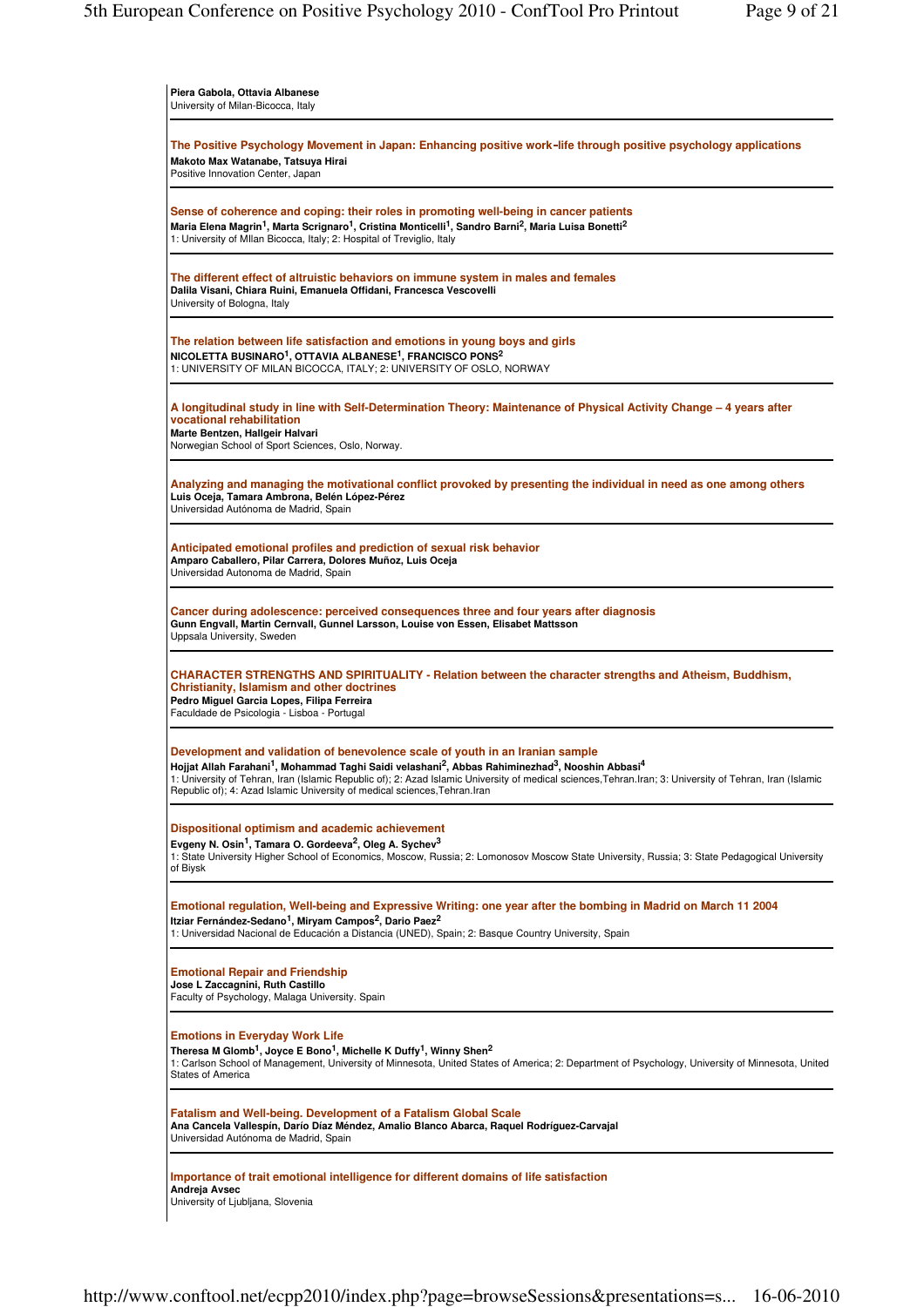| Piera Gabola, Ottavia Albanese<br>University of Milan-Bicocca, Italy                                                                                                                                                                                                                                                                                                                                                                                                         |
|------------------------------------------------------------------------------------------------------------------------------------------------------------------------------------------------------------------------------------------------------------------------------------------------------------------------------------------------------------------------------------------------------------------------------------------------------------------------------|
| The Positive Psychology Movement in Japan: Enhancing positive work-life through positive psychology applications<br>Makoto Max Watanabe, Tatsuya Hirai<br>Positive Innovation Center, Japan                                                                                                                                                                                                                                                                                  |
| Sense of coherence and coping: their roles in promoting well-being in cancer patients<br>Maria Elena Magrin <sup>1</sup> , Marta Scrignaro <sup>1</sup> , Cristina Monticelli <sup>1</sup> , Sandro Barni <sup>2</sup> , Maria Luisa Bonetti <sup>2</sup><br>1: University of MIlan Bicocca, Italy; 2: Hospital of Treviglio, Italy                                                                                                                                          |
| The different effect of altruistic behaviors on immune system in males and females<br>Dalila Visani, Chiara Ruini, Emanuela Offidani, Francesca Vescovelli<br>University of Bologna, Italy                                                                                                                                                                                                                                                                                   |
| The relation between life satisfaction and emotions in young boys and girls<br>NICOLETTA BUSINARO <sup>1</sup> , OTTAVIA ALBANESE <sup>1</sup> , FRANCISCO PONS <sup>2</sup><br>1: UNIVERSITY OF MILAN BICOCCA, ITALY; 2: UNIVERSITY OF OSLO, NORWAY                                                                                                                                                                                                                         |
| A longitudinal study in line with Self-Determination Theory: Maintenance of Physical Activity Change – 4 years after<br>vocational rehabilitation<br>Marte Bentzen, Hallgeir Halvari<br>Norwegian School of Sport Sciences, Oslo, Norway.                                                                                                                                                                                                                                    |
| Analyzing and managing the motivational conflict provoked by presenting the individual in need as one among others<br>Luis Oceja, Tamara Ambrona, Belén López-Pérez<br>Universidad Autónoma de Madrid, Spain                                                                                                                                                                                                                                                                 |
| Anticipated emotional profiles and prediction of sexual risk behavior<br>Amparo Caballero, Pilar Carrera, Dolores Muñoz, Luis Oceja<br>Universidad Autonoma de Madrid, Spain                                                                                                                                                                                                                                                                                                 |
| Cancer during adolescence: perceived consequences three and four years after diagnosis<br>Gunn Engvall, Martin Cernvall, Gunnel Larsson, Louise von Essen, Elisabet Mattsson<br>Uppsala University, Sweden                                                                                                                                                                                                                                                                   |
| CHARACTER STRENGTHS AND SPIRITUALITY - Relation between the character strengths and Atheism, Buddhism,<br><b>Christianity, Islamism and other doctrines</b><br>Pedro Miquel Garcia Lopes, Filipa Ferreira<br>Faculdade de Psicologia - Lisboa - Portugal                                                                                                                                                                                                                     |
| Development and validation of benevolence scale of youth in an Iranian sample<br>Hojjat Allah Farahani <sup>1</sup> , Mohammad Taghi Saidi velashani <sup>2</sup> , Abbas Rahiminezhad <sup>3</sup> , Nooshin Abbasi <sup>4</sup><br>1: University of Tehran, Iran (Islamic Republic of); 2: Azad Islamic University of medical sciences, Tehran. Iran; 3: University of Tehran, Iran (Islamic<br>Republic of); 4: Azad Islamic University of medical sciences, Tehran. Iran |
| Dispositional optimism and academic achievement<br>Evgeny N. Osin <sup>1</sup> , Tamara O. Gordeeva <sup>2</sup> , Oleg A. Sychev <sup>3</sup><br>1: State University Higher School of Economics, Moscow, Russia; 2: Lomonosov Moscow State University, Russia; 3: State Pedagogical University<br>of Biysk                                                                                                                                                                  |
| Emotional regulation, Well-being and Expressive Writing: one year after the bombing in Madrid on March 11 2004<br>Itziar Fernández-Sedano <sup>1</sup> , Miryam Campos <sup>2</sup> , Dario Paez <sup>2</sup><br>1: Universidad Nacional de Educación a Distancia (UNED), Spain; 2: Basque Country University, Spain                                                                                                                                                         |
| <b>Emotional Repair and Friendship</b><br>Jose L Zaccagnini, Ruth Castillo<br>Faculty of Psychology, Malaga University. Spain                                                                                                                                                                                                                                                                                                                                                |
| <b>Emotions in Everyday Work Life</b><br>Theresa M Glomb <sup>1</sup> , Joyce E Bono <sup>1</sup> , Michelle K Duffy <sup>1</sup> , Winny Shen <sup>2</sup><br>1: Carlson School of Management, University of Minnesota, United States of America; 2: Department of Psychology, University of Minnesota, United<br><b>States of America</b>                                                                                                                                  |
| Fatalism and Well-being. Development of a Fatalism Global Scale<br>Ana Cancela Vallespín, Darío Díaz Méndez, Amalio Blanco Abarca, Raquel Rodríguez-Carvajal<br>Universidad Autónoma de Madrid, Spain                                                                                                                                                                                                                                                                        |
| Importance of trait emotional intelligence for different domains of life satisfaction<br>Andreja Avsec<br>University of Ljubljana, Slovenia                                                                                                                                                                                                                                                                                                                                  |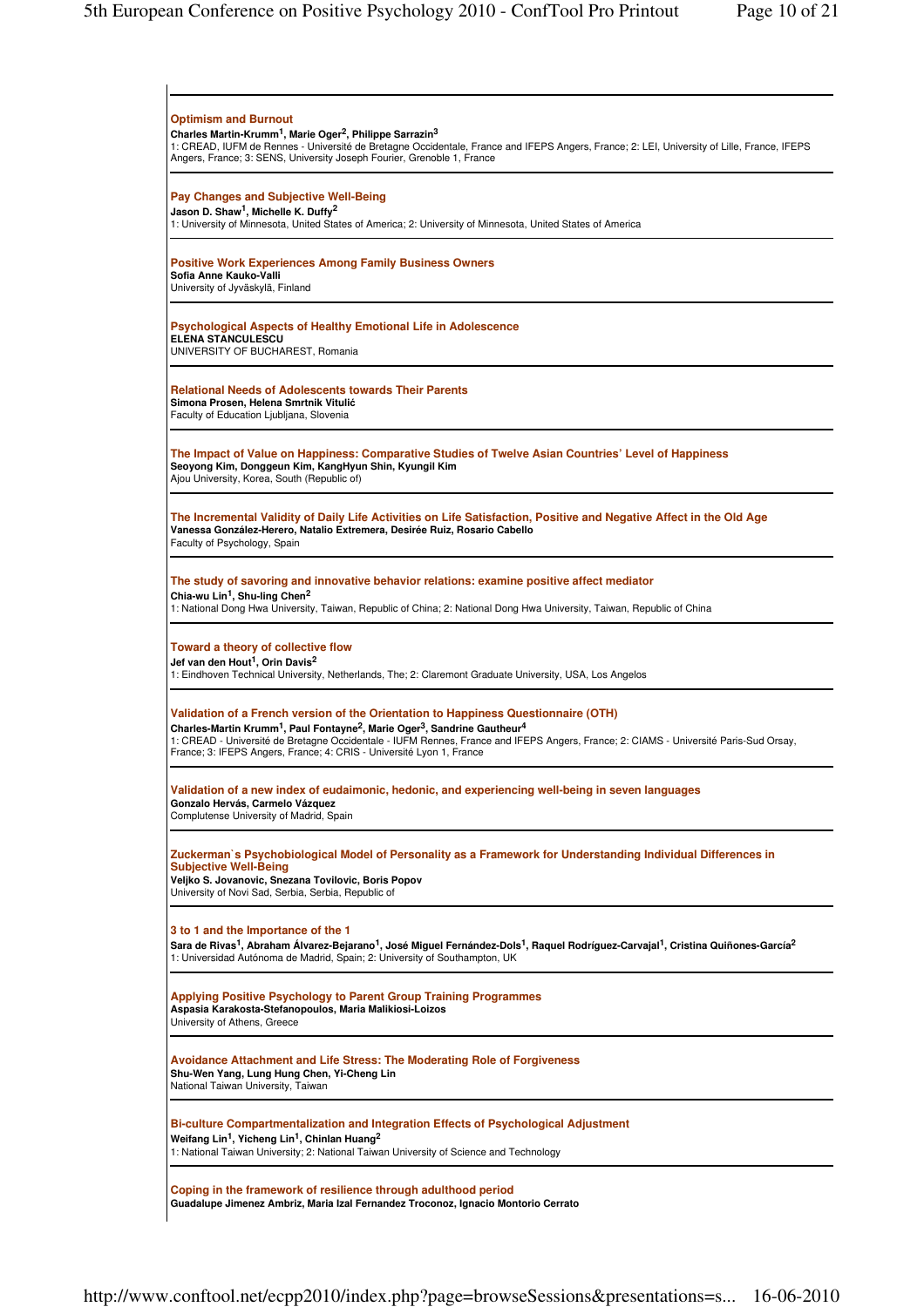| <b>Optimism and Burnout</b><br>Charles Martin-Krumm <sup>1</sup> , Marie Oger <sup>2</sup> , Philippe Sarrazin <sup>3</sup><br>1: CREAD, IUFM de Rennes - Université de Bretagne Occidentale, France and IFEPS Angers, France; 2: LEI, University of Lille, France, IFEPS<br>Angers, France; 3: SENS, University Joseph Fourier, Grenoble 1, France                                                                             |  |
|---------------------------------------------------------------------------------------------------------------------------------------------------------------------------------------------------------------------------------------------------------------------------------------------------------------------------------------------------------------------------------------------------------------------------------|--|
| <b>Pay Changes and Subjective Well-Being</b><br>Jason D. Shaw <sup>1</sup> , Michelle K. Duffy <sup>2</sup><br>1: University of Minnesota, United States of America; 2: University of Minnesota, United States of America                                                                                                                                                                                                       |  |
| <b>Positive Work Experiences Among Family Business Owners</b><br>Sofia Anne Kauko-Valli<br>University of Jyväskylä, Finland                                                                                                                                                                                                                                                                                                     |  |
| <b>Psychological Aspects of Healthy Emotional Life in Adolescence</b><br><b>ELENA STANCULESCU</b><br>UNIVERSITY OF BUCHAREST, Romania                                                                                                                                                                                                                                                                                           |  |
| <b>Relational Needs of Adolescents towards Their Parents</b><br>Simona Prosen, Helena Smrtnik Vitulić<br>Faculty of Education Ljubljana, Slovenia                                                                                                                                                                                                                                                                               |  |
| The Impact of Value on Happiness: Comparative Studies of Twelve Asian Countries' Level of Happiness<br>Seoyong Kim, Donggeun Kim, KangHyun Shin, Kyungil Kim<br>Ajou University, Korea, South (Republic of)                                                                                                                                                                                                                     |  |
| The Incremental Validity of Daily Life Activities on Life Satisfaction, Positive and Negative Affect in the Old Age<br>Vanessa González-Herero, Natalio Extremera, Desirée Ruiz, Rosario Cabello<br>Faculty of Psychology, Spain                                                                                                                                                                                                |  |
| The study of savoring and innovative behavior relations: examine positive affect mediator<br>Chia-wu Lin <sup>1</sup> , Shu-ling Chen <sup>2</sup><br>1: National Dong Hwa University, Taiwan, Republic of China; 2: National Dong Hwa University, Taiwan, Republic of China                                                                                                                                                    |  |
| Toward a theory of collective flow<br>Jef van den Hout <sup>1</sup> , Orin Davis <sup>2</sup><br>1: Eindhoven Technical University, Netherlands, The; 2: Claremont Graduate University, USA, Los Angelos                                                                                                                                                                                                                        |  |
| Validation of a French version of the Orientation to Happiness Questionnaire (OTH)<br>Charles-Martin Krumm <sup>1</sup> , Paul Fontayne <sup>2</sup> , Marie Oger <sup>3</sup> , Sandrine Gautheur <sup>4</sup><br>1: CREAD - Université de Bretagne Occidentale - IUFM Rennes, France and IFEPS Angers, France; 2: CIAMS - Université Paris-Sud Orsay,<br>France; 3: IFEPS Angers, France; 4: CRIS - Université Lyon 1, France |  |
| Validation of a new index of eudaimonic, hedonic, and experiencing well-being in seven languages<br>Gonzalo Hervás, Carmelo Vázquez<br>Complutense University of Madrid, Spain                                                                                                                                                                                                                                                  |  |
| Zuckerman's Psychobiological Model of Personality as a Framework for Understanding Individual Differences in<br><b>Subjective Well-Being</b><br>Veliko S. Jovanovic, Snezana Tovilovic, Boris Popov<br>University of Novi Sad, Serbia, Serbia, Republic of                                                                                                                                                                      |  |
| 3 to 1 and the Importance of the 1<br>Sara de Rivas <sup>1</sup> , Abraham Álvarez-Bejarano <sup>1</sup> , José Miguel Fernández-Dols <sup>1</sup> , Raguel Rodríguez-Carvajal <sup>1</sup> , Cristina Quiñones-García <sup>2</sup><br>1: Universidad Autónoma de Madrid, Spain; 2: University of Southampton, UK                                                                                                               |  |
| <b>Applying Positive Psychology to Parent Group Training Programmes</b><br>Aspasia Karakosta-Stefanopoulos, Maria Malikiosi-Loizos<br>University of Athens, Greece                                                                                                                                                                                                                                                              |  |
| Avoidance Attachment and Life Stress: The Moderating Role of Forgiveness<br>Shu-Wen Yang, Lung Hung Chen, Yi-Cheng Lin<br>National Taiwan University, Taiwan                                                                                                                                                                                                                                                                    |  |
| Bi-culture Compartmentalization and Integration Effects of Psychological Adjustment<br>Weifang Lin <sup>1</sup> , Yicheng Lin <sup>1</sup> , Chinlan Huang <sup>2</sup><br>1: National Taiwan University; 2: National Taiwan University of Science and Technology                                                                                                                                                               |  |
| Coping in the framework of resilience through adulthood period<br>Guadalupe Jimenez Ambriz, Maria Izal Fernandez Troconoz, Ignacio Montorio Cerrato                                                                                                                                                                                                                                                                             |  |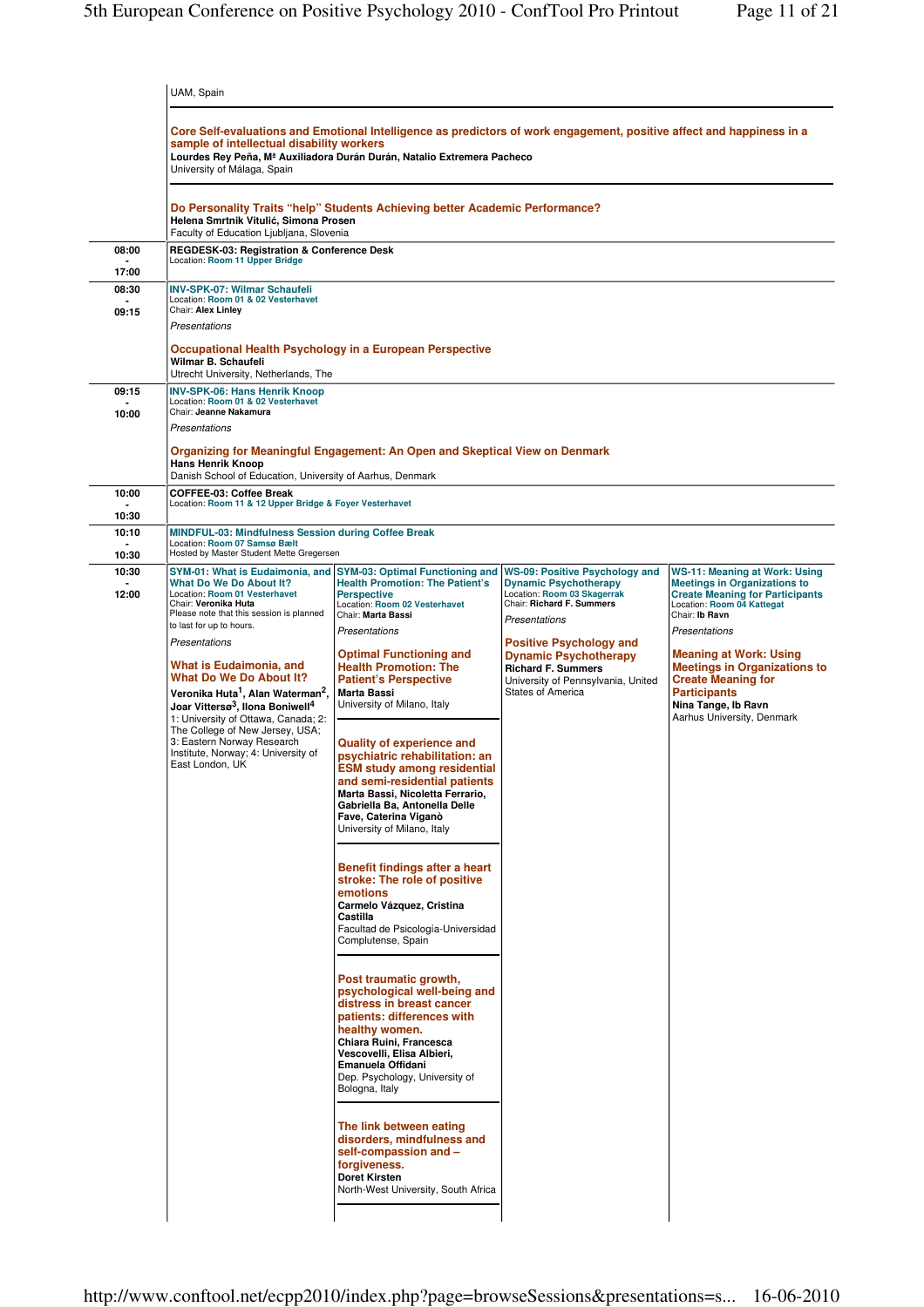|                | UAM, Spain                                                                                                                                                                                                                                                                                                                                                                                                                                                                                                                               |                                                                                                                                                                                                                                                                                                                                                                                                                                                                                                                                                                                                                                                          |                                                                                                                                                                                                                                                                     |                                                                                                                                                                                                                                                                                                                                        |  |
|----------------|------------------------------------------------------------------------------------------------------------------------------------------------------------------------------------------------------------------------------------------------------------------------------------------------------------------------------------------------------------------------------------------------------------------------------------------------------------------------------------------------------------------------------------------|----------------------------------------------------------------------------------------------------------------------------------------------------------------------------------------------------------------------------------------------------------------------------------------------------------------------------------------------------------------------------------------------------------------------------------------------------------------------------------------------------------------------------------------------------------------------------------------------------------------------------------------------------------|---------------------------------------------------------------------------------------------------------------------------------------------------------------------------------------------------------------------------------------------------------------------|----------------------------------------------------------------------------------------------------------------------------------------------------------------------------------------------------------------------------------------------------------------------------------------------------------------------------------------|--|
|                | Core Self-evaluations and Emotional Intelligence as predictors of work engagement, positive affect and happiness in a<br>sample of intellectual disability workers<br>Lourdes Rey Peña, M <sup>ª</sup> Auxiliadora Durán Durán, Natalio Extremera Pacheco<br>University of Málaga, Spain                                                                                                                                                                                                                                                 |                                                                                                                                                                                                                                                                                                                                                                                                                                                                                                                                                                                                                                                          |                                                                                                                                                                                                                                                                     |                                                                                                                                                                                                                                                                                                                                        |  |
|                | Do Personality Traits "help" Students Achieving better Academic Performance?<br>Helena Smrtnik Vitulić, Simona Prosen<br>Faculty of Education Ljubljana, Slovenia                                                                                                                                                                                                                                                                                                                                                                        |                                                                                                                                                                                                                                                                                                                                                                                                                                                                                                                                                                                                                                                          |                                                                                                                                                                                                                                                                     |                                                                                                                                                                                                                                                                                                                                        |  |
| 08:00<br>17:00 | REGDESK-03: Registration & Conference Desk<br>Location: Room 11 Upper Bridge                                                                                                                                                                                                                                                                                                                                                                                                                                                             |                                                                                                                                                                                                                                                                                                                                                                                                                                                                                                                                                                                                                                                          |                                                                                                                                                                                                                                                                     |                                                                                                                                                                                                                                                                                                                                        |  |
| 08:30<br>09:15 | <b>INV-SPK-07: Wilmar Schaufeli</b><br>Location: Room 01 & 02 Vesterhavet<br>Chair: Alex Linley<br>Presentations<br>Occupational Health Psychology in a European Perspective                                                                                                                                                                                                                                                                                                                                                             |                                                                                                                                                                                                                                                                                                                                                                                                                                                                                                                                                                                                                                                          |                                                                                                                                                                                                                                                                     |                                                                                                                                                                                                                                                                                                                                        |  |
|                | Wilmar B. Schaufeli<br>Utrecht University, Netherlands, The                                                                                                                                                                                                                                                                                                                                                                                                                                                                              |                                                                                                                                                                                                                                                                                                                                                                                                                                                                                                                                                                                                                                                          |                                                                                                                                                                                                                                                                     |                                                                                                                                                                                                                                                                                                                                        |  |
| 09:15<br>10:00 | <b>INV-SPK-06: Hans Henrik Knoop</b><br>Location: Room 01 & 02 Vesterhavet<br>Chair: Jeanne Nakamura                                                                                                                                                                                                                                                                                                                                                                                                                                     |                                                                                                                                                                                                                                                                                                                                                                                                                                                                                                                                                                                                                                                          |                                                                                                                                                                                                                                                                     |                                                                                                                                                                                                                                                                                                                                        |  |
|                | Presentations                                                                                                                                                                                                                                                                                                                                                                                                                                                                                                                            |                                                                                                                                                                                                                                                                                                                                                                                                                                                                                                                                                                                                                                                          |                                                                                                                                                                                                                                                                     |                                                                                                                                                                                                                                                                                                                                        |  |
|                | Hans Henrik Knoop<br>Danish School of Education, University of Aarhus, Denmark                                                                                                                                                                                                                                                                                                                                                                                                                                                           | Organizing for Meaningful Engagement: An Open and Skeptical View on Denmark                                                                                                                                                                                                                                                                                                                                                                                                                                                                                                                                                                              |                                                                                                                                                                                                                                                                     |                                                                                                                                                                                                                                                                                                                                        |  |
| 10:00<br>10:30 | <b>COFFEE-03: Coffee Break</b><br>Location: Room 11 & 12 Upper Bridge & Foyer Vesterhavet                                                                                                                                                                                                                                                                                                                                                                                                                                                |                                                                                                                                                                                                                                                                                                                                                                                                                                                                                                                                                                                                                                                          |                                                                                                                                                                                                                                                                     |                                                                                                                                                                                                                                                                                                                                        |  |
| 10:10          | MINDFUL-03: Mindfulness Session during Coffee Break<br>Location: Room 07 Samsø Bælt                                                                                                                                                                                                                                                                                                                                                                                                                                                      |                                                                                                                                                                                                                                                                                                                                                                                                                                                                                                                                                                                                                                                          |                                                                                                                                                                                                                                                                     |                                                                                                                                                                                                                                                                                                                                        |  |
| 10:30<br>10:30 | Hosted by Master Student Mette Gregersen<br>SYM-01: What is Eudaimonia, and                                                                                                                                                                                                                                                                                                                                                                                                                                                              | <b>SYM-03: Optimal Functioning and</b>                                                                                                                                                                                                                                                                                                                                                                                                                                                                                                                                                                                                                   | <b>WS-09: Positive Psychology and</b>                                                                                                                                                                                                                               | <b>WS-11: Meaning at Work: Using</b>                                                                                                                                                                                                                                                                                                   |  |
| 12:00          | What Do We Do About It?<br>Location: Room 01 Vesterhavet<br>Chair: Veronika Huta<br>Please note that this session is planned<br>to last for up to hours.<br>Presentations<br><b>What is Eudaimonia, and</b><br><b>What Do We Do About It?</b><br>Veronika Huta <sup>1</sup> , Alan Waterman <sup>2</sup> ,<br>Joar Vittersø <sup>3</sup> , Ilona Boniwell <sup>4</sup><br>1: University of Ottawa, Canada; 2:<br>The College of New Jersey, USA;<br>3: Eastern Norway Research<br>Institute, Norway; 4: University of<br>East London, UK | <b>Health Promotion: The Patient's</b><br><b>Perspective</b><br>Location: Room 02 Vesterhavet<br>Chair: Marta Bassi<br>Presentations<br><b>Optimal Functioning and</b><br><b>Health Promotion: The</b><br><b>Patient's Perspective</b><br>Marta Bassi<br>University of Milano, Italy<br><b>Quality of experience and</b><br>psychiatric rehabilitation: an<br><b>ESM study among residential</b><br>and semi-residential patients<br>Marta Bassi, Nicoletta Ferrario,<br>Gabriella Ba, Antonella Delle<br>Fave, Caterina Viganò                                                                                                                          | <b>Dynamic Psychotherapy</b><br>Location: Room 03 Skagerrak<br>Chair: Richard F. Summers<br>Presentations<br><b>Positive Psychology and</b><br><b>Dynamic Psychotherapy</b><br><b>Richard F. Summers</b><br>University of Pennsylvania, United<br>States of America | <b>Meetings in Organizations to</b><br><b>Create Meaning for Participants</b><br>Location: Room 04 Kattegat<br>Chair: Ib Ravn<br><b>Presentations</b><br><b>Meaning at Work: Using</b><br><b>Meetings in Organizations to</b><br><b>Create Meaning for</b><br><b>Participants</b><br>Nina Tange, Ib Ravn<br>Aarhus University, Denmark |  |
|                |                                                                                                                                                                                                                                                                                                                                                                                                                                                                                                                                          | University of Milano, Italy<br>Benefit findings after a heart<br>stroke: The role of positive<br>emotions<br>Carmelo Vázquez, Cristina<br>Castilla<br>Facultad de Psicología-Universidad<br>Complutense, Spain<br>Post traumatic growth,<br>psychological well-being and<br>distress in breast cancer<br>patients: differences with<br>healthy women.<br>Chiara Ruini, Francesca<br>Vescovelli, Elisa Albieri,<br>Emanuela Offidani<br>Dep. Psychology, University of<br>Bologna, Italy<br>The link between eating<br>disorders, mindfulness and<br>self-compassion and -<br>forgiveness.<br><b>Doret Kirsten</b><br>North-West University, South Africa |                                                                                                                                                                                                                                                                     |                                                                                                                                                                                                                                                                                                                                        |  |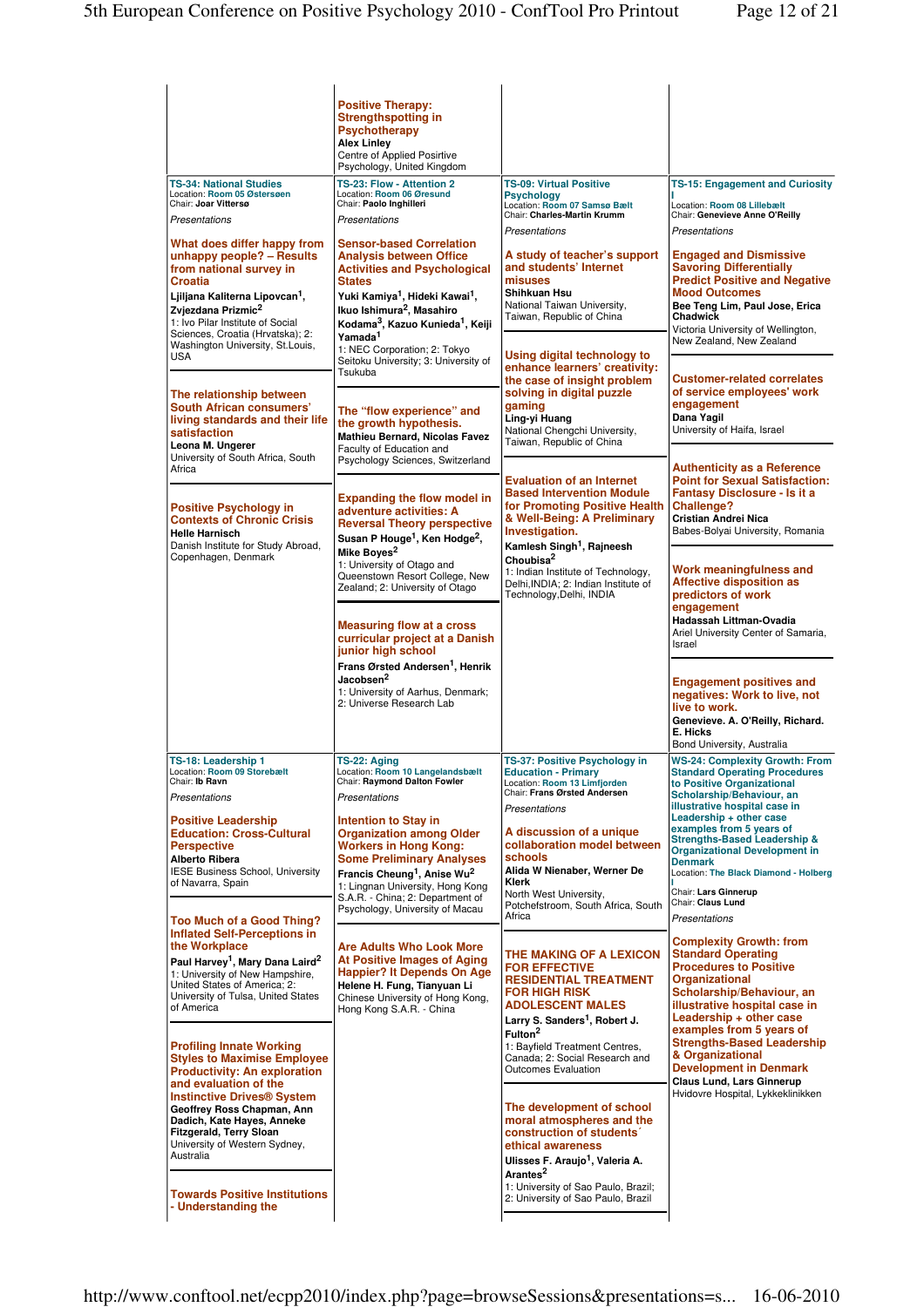| <b>TS-34: National Studies</b><br>Location: Room 05 Østersøen<br>Chair: Joar Vittersø<br>Presentations<br>What does differ happy from<br>unhappy people? - Results<br>from national survey in<br><b>Croatia</b><br>Ljiljana Kaliterna Lipovcan <sup>1</sup> ,<br>Zvjezdana Prizmic <sup>2</sup><br>1: Ivo Pilar Institute of Social<br>Sciences, Croatia (Hrvatska); 2:<br>Washington University, St.Louis,<br><b>USA</b><br>The relationship between<br><b>South African consumers'</b><br>living standards and their life<br>satisfaction<br>Leona M. Ungerer<br>University of South Africa, South<br>Africa<br><b>Positive Psychology in</b><br><b>Contexts of Chronic Crisis</b><br><b>Helle Harnisch</b><br>Danish Institute for Study Abroad,<br>Copenhagen, Denmark | <b>Positive Therapy:</b><br><b>Strengthspotting in</b><br><b>Psychotherapy</b><br><b>Alex Linley</b><br>Centre of Applied Posirtive<br>Psychology, United Kingdom<br>TS-23: Flow - Attention 2<br>Location: Room 06 Øresund<br>Chair: Paolo Inghilleri<br>Presentations<br><b>Sensor-based Correlation</b><br><b>Analysis between Office</b><br><b>Activities and Psychological</b><br><b>States</b><br>Yuki Kamiya <sup>1</sup> , Hideki Kawai <sup>1</sup> ,<br>Ikuo Ishimura <sup>2</sup> , Masahiro<br>Kodama <sup>3</sup> , Kazuo Kunieda <sup>1</sup> , Keiji<br>Yamada <sup>1</sup><br>1: NEC Corporation; 2: Tokyo<br>Seitoku University; 3: University of<br>Tsukuba<br>The "flow experience" and<br>the growth hypothesis.<br>Mathieu Bernard, Nicolas Favez<br>Faculty of Education and<br>Psychology Sciences, Switzerland<br><b>Expanding the flow model in</b><br>adventure activities: A<br><b>Reversal Theory perspective</b><br>Susan P Houge <sup>1</sup> , Ken Hodge <sup>2</sup> ,<br>Mike Boves <sup>2</sup><br>1: University of Otago and<br>Queenstown Resort College, New<br>Zealand; 2: University of Otago | <b>TS-09: Virtual Positive</b><br><b>Psychology</b><br>Location: Room 07 Samsø Bælt<br>Chair: Charles-Martin Krumm<br>Presentations<br>A study of teacher's support<br>and students' Internet<br>misuses<br>Shihkuan Hsu<br>National Taiwan University.<br>Taiwan, Republic of China<br>Using digital technology to<br>enhance learners' creativity:<br>the case of insight problem<br>solving in digital puzzle<br>gaming<br>Ling-yi Huang<br>National Chengchi University.<br>Taiwan, Republic of China<br><b>Evaluation of an Internet</b><br><b>Based Intervention Module</b><br>for Promoting Positive Health<br>& Well-Being: A Preliminary<br>Investigation.<br>Kamlesh Singh <sup>1</sup> , Rajneesh<br>Choubisa <sup>2</sup><br>1: Indian Institute of Technology,<br>Delhi, INDIA; 2: Indian Institute of<br>Technology, Delhi, INDIA | TS-15: Engagement and Curiosity<br>Location: Room 08 Lillebælt<br>Chair: Genevieve Anne O'Reilly<br>Presentations<br><b>Engaged and Dismissive</b><br><b>Savoring Differentially</b><br><b>Predict Positive and Negative</b><br><b>Mood Outcomes</b><br>Bee Teng Lim, Paul Jose, Erica<br>Chadwick<br>Victoria University of Wellington,<br>New Zealand, New Zealand<br><b>Customer-related correlates</b><br>of service employees' work<br>engagement<br>Dana Yagil<br>University of Haifa, Israel<br><b>Authenticity as a Reference</b><br><b>Point for Sexual Satisfaction:</b><br><b>Fantasy Disclosure - Is it a</b><br><b>Challenge?</b><br>Cristian Andrei Nica<br>Babes-Bolyai University, Romania<br>Work meaningfulness and<br><b>Affective disposition as</b><br>predictors of work |
|----------------------------------------------------------------------------------------------------------------------------------------------------------------------------------------------------------------------------------------------------------------------------------------------------------------------------------------------------------------------------------------------------------------------------------------------------------------------------------------------------------------------------------------------------------------------------------------------------------------------------------------------------------------------------------------------------------------------------------------------------------------------------|--------------------------------------------------------------------------------------------------------------------------------------------------------------------------------------------------------------------------------------------------------------------------------------------------------------------------------------------------------------------------------------------------------------------------------------------------------------------------------------------------------------------------------------------------------------------------------------------------------------------------------------------------------------------------------------------------------------------------------------------------------------------------------------------------------------------------------------------------------------------------------------------------------------------------------------------------------------------------------------------------------------------------------------------------------------------------------------------------------------------------------------|-------------------------------------------------------------------------------------------------------------------------------------------------------------------------------------------------------------------------------------------------------------------------------------------------------------------------------------------------------------------------------------------------------------------------------------------------------------------------------------------------------------------------------------------------------------------------------------------------------------------------------------------------------------------------------------------------------------------------------------------------------------------------------------------------------------------------------------------------|------------------------------------------------------------------------------------------------------------------------------------------------------------------------------------------------------------------------------------------------------------------------------------------------------------------------------------------------------------------------------------------------------------------------------------------------------------------------------------------------------------------------------------------------------------------------------------------------------------------------------------------------------------------------------------------------------------------------------------------------------------------------------------------------|
|                                                                                                                                                                                                                                                                                                                                                                                                                                                                                                                                                                                                                                                                                                                                                                            | <b>Measuring flow at a cross</b><br>curricular project at a Danish<br>junior high school<br>Frans Ørsted Andersen <sup>1</sup> , Henrik<br>Jacobsen <sup>2</sup><br>1: University of Aarhus, Denmark;<br>2: Universe Research Lab                                                                                                                                                                                                                                                                                                                                                                                                                                                                                                                                                                                                                                                                                                                                                                                                                                                                                                    |                                                                                                                                                                                                                                                                                                                                                                                                                                                                                                                                                                                                                                                                                                                                                                                                                                                 | engagement<br>Hadassah Littman-Ovadia<br>Ariel University Center of Samaria,<br>Israel<br><b>Engagement positives and</b><br>negatives: Work to live, not<br>live to work.<br>Genevieve. A. O'Reilly, Richard.<br>E. Hicks<br>Bond University, Australia                                                                                                                                                                                                                                                                                                                                                                                                                                                                                                                                       |
| TS-18: Leadership 1<br>Location: Room 09 Storebælt<br>Chair: <b>Ib Ravn</b><br>Presentations<br><b>Positive Leadership</b><br><b>Education: Cross-Cultural</b><br><b>Perspective</b><br><b>Alberto Ribera</b><br>IESE Business School, University<br>of Navarra, Spain<br><b>Too Much of a Good Thing?</b><br><b>Inflated Self-Perceptions in</b><br>the Workplace<br>Paul Harvey <sup>1</sup> , Mary Dana Laird <sup>2</sup><br>1: University of New Hampshire,<br>United States of America; 2:<br>University of Tulsa, United States<br>of America                                                                                                                                                                                                                       | TS-22: Aging<br>Location: Room 10 Langelandsbælt<br>Chair: Raymond Dalton Fowler<br>Presentations<br><b>Intention to Stay in</b><br><b>Organization among Older</b><br><b>Workers in Hong Kong:</b><br><b>Some Preliminary Analyses</b><br>Francis Cheung <sup>1</sup> , Anise Wu <sup>2</sup><br>1: Lingnan University, Hong Kong<br>S.A.R. - China; 2: Department of<br>Psychology, University of Macau<br><b>Are Adults Who Look More</b><br>At Positive Images of Aging<br><b>Happier? It Depends On Age</b><br>Helene H. Fung, Tianyuan Li<br>Chinese University of Hong Kong,<br>Hong Kong S.A.R. - China                                                                                                                                                                                                                                                                                                                                                                                                                                                                                                                      | TS-37: Positive Psychology in<br><b>Education - Primary</b><br>Location: Room 13 Limfjorden<br>Chair: Frans Ørsted Andersen<br>Presentations<br>A discussion of a unique<br>collaboration model between<br>schools<br>Alida W Nienaber, Werner De<br><b>Klerk</b><br>North West University,<br>Potchefstroom, South Africa, South<br>Africa<br>THE MAKING OF A LEXICON<br><b>FOR EFFECTIVE</b><br><b>RESIDENTIAL TREATMENT</b><br>FOR HIGH RISK<br><b>ADOLESCENT MALES</b>                                                                                                                                                                                                                                                                                                                                                                      | <b>WS-24: Complexity Growth: From</b><br><b>Standard Operating Procedures</b><br>to Positive Organizational<br>Scholarship/Behaviour, an<br>illustrative hospital case in<br>Leadership + other case<br>examples from 5 years of<br><b>Strengths-Based Leadership &amp;</b><br><b>Organizational Development in</b><br><b>Denmark</b><br>Location: The Black Diamond - Holberg<br>Chair: Lars Ginnerup<br>Chair: Claus Lund<br>Presentations<br><b>Complexity Growth: from</b><br><b>Standard Operating</b><br><b>Procedures to Positive</b><br><b>Organizational</b><br>Scholarship/Behaviour, an<br>illustrative hospital case in<br>Leadership + other case                                                                                                                                 |
| <b>Profiling Innate Working</b><br><b>Styles to Maximise Employee</b><br><b>Productivity: An exploration</b><br>and evaluation of the<br><b>Instinctive Drives<sup>®</sup> System</b><br>Geoffrey Ross Chapman, Ann<br>Dadich, Kate Hayes, Anneke<br><b>Fitzgerald, Terry Sloan</b><br>University of Western Sydney,<br>Australia<br><b>Towards Positive Institutions</b><br>- Understanding the                                                                                                                                                                                                                                                                                                                                                                           |                                                                                                                                                                                                                                                                                                                                                                                                                                                                                                                                                                                                                                                                                                                                                                                                                                                                                                                                                                                                                                                                                                                                      | Larry S. Sanders <sup>1</sup> , Robert J.<br>Fulton <sup>2</sup><br>1: Bayfield Treatment Centres.<br>Canada; 2: Social Research and<br>Outcomes Evaluation<br>The development of school<br>moral atmospheres and the<br>construction of students'<br>ethical awareness<br>Ulisses F. Araujo <sup>1</sup> , Valeria A.<br>Arantes <sup>2</sup><br>1: University of Sao Paulo, Brazil;<br>2: University of Sao Paulo, Brazil                                                                                                                                                                                                                                                                                                                                                                                                                     | examples from 5 years of<br><b>Strengths-Based Leadership</b><br>& Organizational<br><b>Development in Denmark</b><br>Claus Lund, Lars Ginnerup<br>Hvidovre Hospital, Lykkeklinikken                                                                                                                                                                                                                                                                                                                                                                                                                                                                                                                                                                                                           |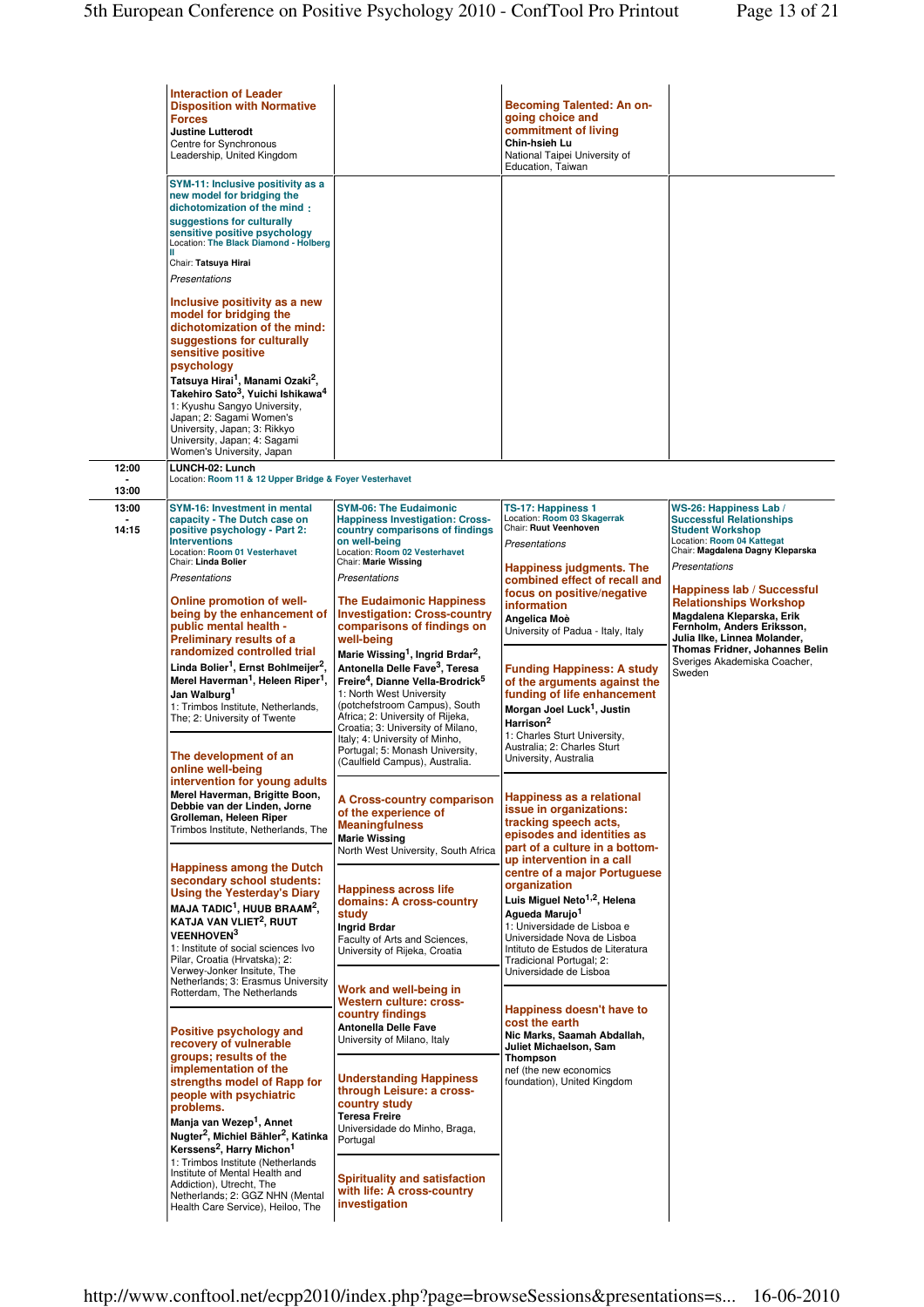|                | <b>Interaction of Leader</b><br><b>Disposition with Normative</b><br><b>Forces</b><br><b>Justine Lutterodt</b><br>Centre for Synchronous<br>Leadership, United Kingdom<br>SYM-11: Inclusive positivity as a<br>new model for bridging the<br>dichotomization of the mind<br>suggestions for culturally<br>sensitive positive psychology<br>Location: The Black Diamond - Holberg<br>Ш<br>Chair: Tatsuya Hirai<br>Presentations<br>Inclusive positivity as a new<br>model for bridging the<br>dichotomization of the mind:<br>suggestions for culturally<br>sensitive positive<br>psychology<br>Tatsuya Hirai <sup>1</sup> , Manami Ozaki <sup>2</sup> ,<br>Takehiro Sato <sup>3</sup> , Yuichi Ishikawa <sup>4</sup><br>1: Kyushu Sangyo University,<br>Japan; 2: Sagami Women's<br>University, Japan; 3: Rikkyo                                                                                                                                                                                                                                                                                                                                                                                                                                                                                                                                                                             |                                                                                                                                                                                                                                                                                                                                                                                                                                                                                                                                                                                                                                                                                                                                                                                                                                                                                                                                                                                                                                                                                                                                                                                                                                                                                   | <b>Becoming Talented: An on-</b><br>going choice and<br>commitment of living<br>Chin-hsieh Lu<br>National Taipei University of<br>Education, Taiwan                                                                                                                                                                                                                                                                                                                                                                                                                                                                                                                                                                                                                                                                                                                                                                                                                                                                                                                                                                                                                      |                                                                                                                                                                                                                                                                                                                                                                                                                      |
|----------------|----------------------------------------------------------------------------------------------------------------------------------------------------------------------------------------------------------------------------------------------------------------------------------------------------------------------------------------------------------------------------------------------------------------------------------------------------------------------------------------------------------------------------------------------------------------------------------------------------------------------------------------------------------------------------------------------------------------------------------------------------------------------------------------------------------------------------------------------------------------------------------------------------------------------------------------------------------------------------------------------------------------------------------------------------------------------------------------------------------------------------------------------------------------------------------------------------------------------------------------------------------------------------------------------------------------------------------------------------------------------------------------------|-----------------------------------------------------------------------------------------------------------------------------------------------------------------------------------------------------------------------------------------------------------------------------------------------------------------------------------------------------------------------------------------------------------------------------------------------------------------------------------------------------------------------------------------------------------------------------------------------------------------------------------------------------------------------------------------------------------------------------------------------------------------------------------------------------------------------------------------------------------------------------------------------------------------------------------------------------------------------------------------------------------------------------------------------------------------------------------------------------------------------------------------------------------------------------------------------------------------------------------------------------------------------------------|--------------------------------------------------------------------------------------------------------------------------------------------------------------------------------------------------------------------------------------------------------------------------------------------------------------------------------------------------------------------------------------------------------------------------------------------------------------------------------------------------------------------------------------------------------------------------------------------------------------------------------------------------------------------------------------------------------------------------------------------------------------------------------------------------------------------------------------------------------------------------------------------------------------------------------------------------------------------------------------------------------------------------------------------------------------------------------------------------------------------------------------------------------------------------|----------------------------------------------------------------------------------------------------------------------------------------------------------------------------------------------------------------------------------------------------------------------------------------------------------------------------------------------------------------------------------------------------------------------|
|                | University, Japan; 4: Sagami<br>Women's University, Japan                                                                                                                                                                                                                                                                                                                                                                                                                                                                                                                                                                                                                                                                                                                                                                                                                                                                                                                                                                                                                                                                                                                                                                                                                                                                                                                                    |                                                                                                                                                                                                                                                                                                                                                                                                                                                                                                                                                                                                                                                                                                                                                                                                                                                                                                                                                                                                                                                                                                                                                                                                                                                                                   |                                                                                                                                                                                                                                                                                                                                                                                                                                                                                                                                                                                                                                                                                                                                                                                                                                                                                                                                                                                                                                                                                                                                                                          |                                                                                                                                                                                                                                                                                                                                                                                                                      |
| 12:00<br>13:00 | LUNCH-02: Lunch<br>Location: Room 11 & 12 Upper Bridge & Foyer Vesterhavet                                                                                                                                                                                                                                                                                                                                                                                                                                                                                                                                                                                                                                                                                                                                                                                                                                                                                                                                                                                                                                                                                                                                                                                                                                                                                                                   |                                                                                                                                                                                                                                                                                                                                                                                                                                                                                                                                                                                                                                                                                                                                                                                                                                                                                                                                                                                                                                                                                                                                                                                                                                                                                   |                                                                                                                                                                                                                                                                                                                                                                                                                                                                                                                                                                                                                                                                                                                                                                                                                                                                                                                                                                                                                                                                                                                                                                          |                                                                                                                                                                                                                                                                                                                                                                                                                      |
| 13:00<br>14:15 | <b>SYM-16: Investment in mental</b><br>capacity - The Dutch case on<br>positive psychology - Part 2:<br><b>Interventions</b><br>Location: Room 01 Vesterhavet<br>Chair: Linda Bolier<br>Presentations<br>Online promotion of well-<br>being by the enhancement of<br>public mental health -<br>Preliminary results of a<br>randomized controlled trial<br>Linda Bolier <sup>1</sup> , Ernst Bohlmeijer <sup>2</sup> ,<br>Merel Haverman <sup>1</sup> , Heleen Riper <sup>1</sup> ,<br>Jan Walburg <sup>1</sup><br>1: Trimbos Institute, Netherlands,<br>The; 2: University of Twente<br>The development of an<br>online well-being<br>intervention for young adults<br>Merel Haverman, Brigitte Boon,<br>Debbie van der Linden, Jorne<br>Grolleman, Heleen Riper<br>Trimbos Institute, Netherlands, The<br><b>Happiness among the Dutch</b><br>secondary school students:<br><b>Using the Yesterday's Diary</b><br>MAJA TADIC <sup>1</sup> , HUUB BRAAM <sup>2</sup> ,<br>KATJA VAN VLIET <sup>2</sup> , RUUT<br><b>VEENHOVEN3</b><br>1: Institute of social sciences Ivo<br>Pilar, Croatia (Hrvatska); 2:<br>Verwey-Jonker Insitute, The<br>Netherlands; 3: Erasmus University<br>Rotterdam, The Netherlands<br>Positive psychology and<br>recovery of vulnerable<br>groups; results of the<br>implementation of the<br>strengths model of Rapp for<br>people with psychiatric<br>problems. | <b>SYM-06: The Eudaimonic</b><br><b>Happiness Investigation: Cross-</b><br>country comparisons of findings<br>on well-beina<br>Location: Room 02 Vesterhavet<br>Chair: Marie Wissing<br>Presentations<br><b>The Eudaimonic Happiness</b><br><b>Investigation: Cross-country</b><br>comparisons of findings on<br>well-being<br>Marie Wissing <sup>1</sup> , Ingrid Brdar <sup>2</sup> ,<br>Antonella Delle Fave <sup>3</sup> , Teresa<br>Freire <sup>4</sup> , Dianne Vella-Brodrick <sup>5</sup><br>1: North West University<br>(potchefstroom Campus), South<br>Africa; 2: University of Rijeka,<br>Croatia; 3: University of Milano,<br>Italy; 4: University of Minho,<br>Portugal; 5: Monash University,<br>(Caulfield Campus), Australia.<br><b>A Cross-country comparison</b><br>of the experience of<br><b>Meaningfulness</b><br><b>Marie Wissing</b><br>North West University, South Africa<br><b>Happiness across life</b><br>domains: A cross-country<br>study<br>Ingrid Brdar<br>Faculty of Arts and Sciences,<br>University of Rijeka, Croatia<br>Work and well-being in<br>Western culture: cross-<br>country findings<br><b>Antonella Delle Fave</b><br>University of Milano, Italy<br><b>Understanding Happiness</b><br>through Leisure: a cross-<br>country study | TS-17: Happiness 1<br>Location: Room 03 Skagerrak<br>Chair: Ruut Veenhoven<br>Presentations<br>Happiness judgments. The<br>combined effect of recall and<br>focus on positive/negative<br>information<br>Angelica Moè<br>University of Padua - Italy, Italy<br><b>Funding Happiness: A study</b><br>of the arguments against the<br>funding of life enhancement<br>Morgan Joel Luck <sup>1</sup> , Justin<br>Harrison <sup>2</sup><br>1: Charles Sturt University,<br>Australia; 2: Charles Sturt<br>University, Australia<br>Happiness as a relational<br>issue in organizations:<br>tracking speech acts.<br>episodes and identities as<br>part of a culture in a bottom-<br>up intervention in a call<br>centre of a major Portuguese<br>organization<br>Luis Miguel Neto <sup>1,2</sup> , Helena<br>Agueda Marujo <sup>1</sup><br>1: Universidade de Lisboa e<br>Universidade Nova de Lisboa<br>Intituto de Estudos de Literatura<br>Tradicional Portugal; 2:<br>Universidade de Lisboa<br>Happiness doesn't have to<br>cost the earth<br>Nic Marks, Saamah Abdallah,<br>Juliet Michaelson, Sam<br>Thompson<br>nef (the new economics<br>foundation), United Kingdom | WS-26: Happiness Lab /<br><b>Successful Relationships</b><br><b>Student Workshop</b><br>Location: Room 04 Kattegat<br>Chair: Magdalena Dagny Kleparska<br>Presentations<br><b>Happiness lab / Successful</b><br><b>Relationships Workshop</b><br>Magdalena Kleparska, Erik<br>Fernholm, Anders Eriksson,<br>Julia Ilke, Linnea Molander,<br>Thomas Fridner, Johannes Belin<br>Sveriges Akademiska Coacher,<br>Sweden |
|                | Manja van Wezep <sup>1</sup> , Annet<br>Nugter <sup>2</sup> , Michiel Bähler <sup>2</sup> , Katinka<br>Kerssens <sup>2</sup> , Harry Michon <sup>1</sup><br>1: Trimbos Institute (Netherlands<br>Institute of Mental Health and<br>Addiction), Utrecht, The<br>Netherlands; 2: GGZ NHN (Mental<br>Health Care Service), Heiloo, The                                                                                                                                                                                                                                                                                                                                                                                                                                                                                                                                                                                                                                                                                                                                                                                                                                                                                                                                                                                                                                                          | <b>Teresa Freire</b><br>Universidade do Minho, Braga,<br>Portugal<br><b>Spirituality and satisfaction</b><br>with life: A cross-country<br>investigation                                                                                                                                                                                                                                                                                                                                                                                                                                                                                                                                                                                                                                                                                                                                                                                                                                                                                                                                                                                                                                                                                                                          |                                                                                                                                                                                                                                                                                                                                                                                                                                                                                                                                                                                                                                                                                                                                                                                                                                                                                                                                                                                                                                                                                                                                                                          |                                                                                                                                                                                                                                                                                                                                                                                                                      |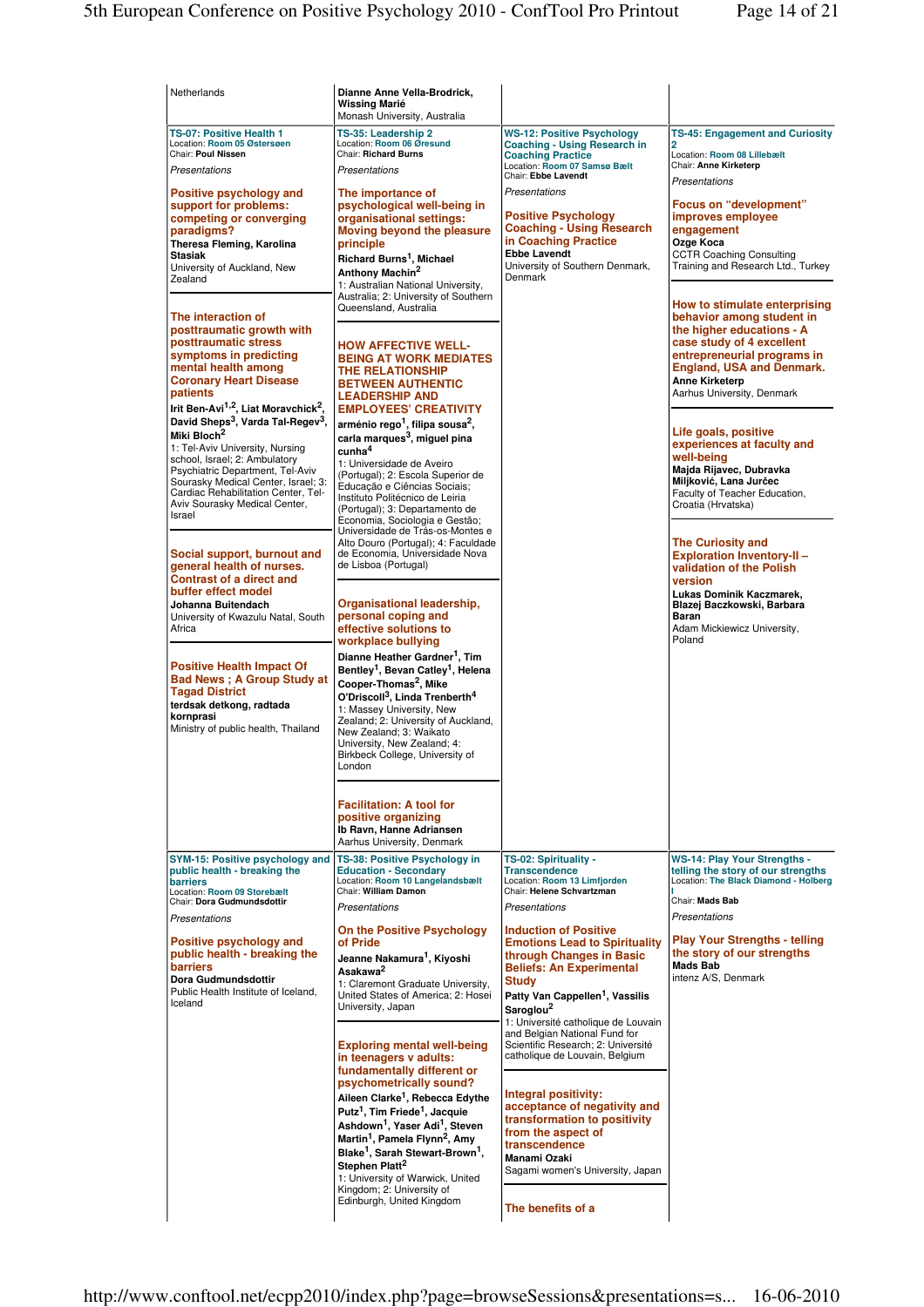| Netherlands                                                                                                                                                                                                                                                                                                                                                                                                                                                                                                                                                                                                    | Dianne Anne Vella-Brodrick,<br>Wissing Marié                                                                                                                                                                                                                                                                                                                                                                                                                                                                                                                                                                                                                                                                      |                                                                                                                                                                                                                                                                                                                                             |                                                                                                                                                                                                                                                                                                                                                                                                                                                                                                                                                          |
|----------------------------------------------------------------------------------------------------------------------------------------------------------------------------------------------------------------------------------------------------------------------------------------------------------------------------------------------------------------------------------------------------------------------------------------------------------------------------------------------------------------------------------------------------------------------------------------------------------------|-------------------------------------------------------------------------------------------------------------------------------------------------------------------------------------------------------------------------------------------------------------------------------------------------------------------------------------------------------------------------------------------------------------------------------------------------------------------------------------------------------------------------------------------------------------------------------------------------------------------------------------------------------------------------------------------------------------------|---------------------------------------------------------------------------------------------------------------------------------------------------------------------------------------------------------------------------------------------------------------------------------------------------------------------------------------------|----------------------------------------------------------------------------------------------------------------------------------------------------------------------------------------------------------------------------------------------------------------------------------------------------------------------------------------------------------------------------------------------------------------------------------------------------------------------------------------------------------------------------------------------------------|
| TS-07: Positive Health 1<br>Location: Room 05 Østersøen<br>Chair: Poul Nissen<br>Presentations<br>Positive psychology and<br>support for problems:<br>competing or converging<br>paradigms?<br>Theresa Fleming, Karolina<br>Stasiak<br>University of Auckland, New<br>Zealand<br>The interaction of<br>posttraumatic growth with<br>posttraumatic stress<br>symptoms in predicting<br>mental health among<br><b>Coronary Heart Disease</b><br>patients<br>Irit Ben-Avi <sup>1,2</sup> , Liat Moravchick <sup>2</sup> ,<br>David Sheps <sup>3</sup> , Varda Tal-Regev <sup>3</sup> .<br>Miki Bloch <sup>2</sup> | Monash University, Australia<br>TS-35: Leadership 2<br>Location: Room 06 Øresund<br>Chair: Richard Burns<br>Presentations<br>The importance of<br>psychological well-being in<br>organisational settings:<br>Moving beyond the pleasure<br>principle<br>Richard Burns <sup>1</sup> , Michael<br>Anthony Machin <sup>2</sup><br>1: Australian National University,<br>Australia; 2: University of Southern<br>Queensland, Australia<br><b>HOW AFFECTIVE WELL-</b><br><b>BEING AT WORK MEDIATES</b><br>THE RELATIONSHIP<br><b>BETWEEN AUTHENTIC</b><br><b>LEADERSHIP AND</b><br><b>EMPLOYEES' CREATIVITY</b><br>arménio rego <sup>1</sup> , filipa sousa <sup>2</sup> ,<br>carla marques <sup>3</sup> , miquel pina | <b>WS-12: Positive Psychology</b><br><b>Coaching - Using Research in</b><br><b>Coaching Practice</b><br>Location: Room 07 Samsø Bælt<br>Chair: Ebbe Lavendt<br>Presentations<br><b>Positive Psychology</b><br><b>Coaching - Using Research</b><br>in Coaching Practice<br><b>Ebbe Lavendt</b><br>University of Southern Denmark,<br>Denmark | <b>TS-45: Engagement and Curiosity</b><br>2<br>Location: Room 08 Lillebælt<br>Chair: Anne Kirketerp<br>Presentations<br><b>Focus on "development"</b><br>improves employee<br>engagement<br>Ozge Koca<br><b>CCTR Coaching Consulting</b><br>Training and Research Ltd., Turkey<br>How to stimulate enterprising<br>behavior among student in<br>the higher educations - A<br>case study of 4 excellent<br>entrepreneurial programs in<br><b>England, USA and Denmark.</b><br><b>Anne Kirketerp</b><br>Aarhus University, Denmark<br>Life goals, positive |
| 1: Tel-Aviv University, Nursing<br>school, Israel; 2: Ambulatory<br>Psychiatric Department, Tel-Aviv<br>Sourasky Medical Center, Israel; 3:<br>Cardiac Rehabilitation Center, Tel-<br>Aviv Sourasky Medical Center,<br>Israel                                                                                                                                                                                                                                                                                                                                                                                  | $c$ unha $^4$<br>1: Universidade de Aveiro<br>(Portugal); 2: Escola Superior de<br>Educação e Ciências Sociais:<br>Instituto Politécnico de Leiria<br>(Portugal); 3: Departamento de<br>Economia, Sociologia e Gestão;                                                                                                                                                                                                                                                                                                                                                                                                                                                                                            |                                                                                                                                                                                                                                                                                                                                             | experiences at faculty and<br>well-being<br>Majda Rijavec, Dubravka<br>Miljković, Lana Jurčec<br>Faculty of Teacher Education,<br>Croatia (Hrvatska)                                                                                                                                                                                                                                                                                                                                                                                                     |
| Social support, burnout and<br>general health of nurses.<br><b>Contrast of a direct and</b><br>buffer effect model<br>Johanna Buitendach<br>University of Kwazulu Natal, South<br>Africa                                                                                                                                                                                                                                                                                                                                                                                                                       | Universidade de Trás-os-Montes e<br>Alto Douro (Portugal); 4: Faculdade<br>de Economia, Universidade Nova<br>de Lisboa (Portugal)<br>Organisational leadership,<br>personal coping and<br>effective solutions to<br>workplace bullying                                                                                                                                                                                                                                                                                                                                                                                                                                                                            |                                                                                                                                                                                                                                                                                                                                             | <b>The Curiosity and</b><br><b>Exploration Inventory-II-</b><br>validation of the Polish<br>version<br>Lukas Dominik Kaczmarek,<br>Blazej Baczkowski, Barbara<br>Baran<br>Adam Mickiewicz University,<br>Poland                                                                                                                                                                                                                                                                                                                                          |
| <b>Positive Health Impact Of</b><br><b>Bad News; A Group Study at</b><br><b>Tagad District</b><br>terdsak detkong, radtada<br>kornprasi<br>Ministry of public health, Thailand                                                                                                                                                                                                                                                                                                                                                                                                                                 | Dianne Heather Gardner <sup>1</sup> , Tim<br>Bentley <sup>1</sup> , Bevan Catley <sup>1</sup> , Helena<br>Cooper-Thomas <sup>2</sup> , Mike<br>O'Driscoll <sup>3</sup> , Linda Trenberth <sup>4</sup><br>1: Massey University, New<br>Zealand; 2: University of Auckland,<br>New Zealand: 3: Waikato<br>University, New Zealand; 4:<br>Birkbeck College, University of<br>London                                                                                                                                                                                                                                                                                                                                  |                                                                                                                                                                                                                                                                                                                                             |                                                                                                                                                                                                                                                                                                                                                                                                                                                                                                                                                          |
|                                                                                                                                                                                                                                                                                                                                                                                                                                                                                                                                                                                                                | <b>Facilitation: A tool for</b><br>positive organizing<br>Ib Ravn, Hanne Adriansen<br>Aarhus University, Denmark                                                                                                                                                                                                                                                                                                                                                                                                                                                                                                                                                                                                  |                                                                                                                                                                                                                                                                                                                                             |                                                                                                                                                                                                                                                                                                                                                                                                                                                                                                                                                          |
| SYM-15: Positive psychology and<br>public health - breaking the<br><b>barriers</b><br>Location: Room 09 Storebælt<br>Chair: Dora Gudmundsdottir<br>Presentations                                                                                                                                                                                                                                                                                                                                                                                                                                               | TS-38: Positive Psychology in<br><b>Education - Secondary</b><br>Location: Room 10 Langelandsbælt<br>Chair: William Damon<br>Presentations                                                                                                                                                                                                                                                                                                                                                                                                                                                                                                                                                                        | TS-02: Spirituality -<br><b>Transcendence</b><br>Location: Room 13 Limfiorden<br>Chair: Helene Schvartzman<br>Presentations                                                                                                                                                                                                                 | <b>WS-14: Play Your Strengths -</b><br>telling the story of our strengths<br><b>Location: The Black Diamond - Holberg</b><br>Chair: Mads Bab<br>Presentations                                                                                                                                                                                                                                                                                                                                                                                            |
| Positive psychology and<br>public health - breaking the<br><b>barriers</b><br>Dora Gudmundsdottir<br>Public Health Institute of Iceland,<br>Iceland                                                                                                                                                                                                                                                                                                                                                                                                                                                            | <b>On the Positive Psychology</b><br>of Pride<br>Jeanne Nakamura <sup>1</sup> , Kiyoshi<br>Asakawa <sup>2</sup><br>1: Claremont Graduate University,<br>United States of America; 2: Hosei<br>University, Japan                                                                                                                                                                                                                                                                                                                                                                                                                                                                                                   | <b>Induction of Positive</b><br><b>Emotions Lead to Spirituality</b><br>through Changes in Basic<br><b>Beliefs: An Experimental</b><br><b>Study</b><br>Patty Van Cappellen <sup>1</sup> , Vassilis<br>Saroglou <sup>2</sup><br>1: Université catholique de Louvain                                                                          | <b>Play Your Strengths - telling</b><br>the story of our strengths<br><b>Mads Bab</b><br>intenz A/S, Denmark                                                                                                                                                                                                                                                                                                                                                                                                                                             |
|                                                                                                                                                                                                                                                                                                                                                                                                                                                                                                                                                                                                                | <b>Exploring mental well-being</b><br>in teenagers v adults:<br>fundamentally different or<br>psychometrically sound?<br>Aileen Clarke <sup>1</sup> , Rebecca Edythe<br>Putz <sup>1</sup> , Tim Friede <sup>1</sup> , Jacquie<br>Ashdown <sup>1</sup> , Yaser Adi <sup>1</sup> , Steven<br>Martin <sup>1</sup> , Pamela Flynn <sup>2</sup> , Amy                                                                                                                                                                                                                                                                                                                                                                  | and Belgian National Fund for<br>Scientific Research; 2: Université<br>catholique de Louvain, Belgium<br>Integral positivity:<br>acceptance of negativity and<br>transformation to positivity<br>from the aspect of<br>transcendence                                                                                                        |                                                                                                                                                                                                                                                                                                                                                                                                                                                                                                                                                          |
|                                                                                                                                                                                                                                                                                                                                                                                                                                                                                                                                                                                                                | Blake <sup>1</sup> , Sarah Stewart-Brown <sup>1</sup> ,<br>Stephen Platt <sup>2</sup><br>1: University of Warwick, United<br>Kingdom; 2: University of<br>Edinburgh, United Kingdom                                                                                                                                                                                                                                                                                                                                                                                                                                                                                                                               | Manami Ozaki<br>Sagami women's University, Japan<br>The benefits of a                                                                                                                                                                                                                                                                       |                                                                                                                                                                                                                                                                                                                                                                                                                                                                                                                                                          |
|                                                                                                                                                                                                                                                                                                                                                                                                                                                                                                                                                                                                                |                                                                                                                                                                                                                                                                                                                                                                                                                                                                                                                                                                                                                                                                                                                   |                                                                                                                                                                                                                                                                                                                                             |                                                                                                                                                                                                                                                                                                                                                                                                                                                                                                                                                          |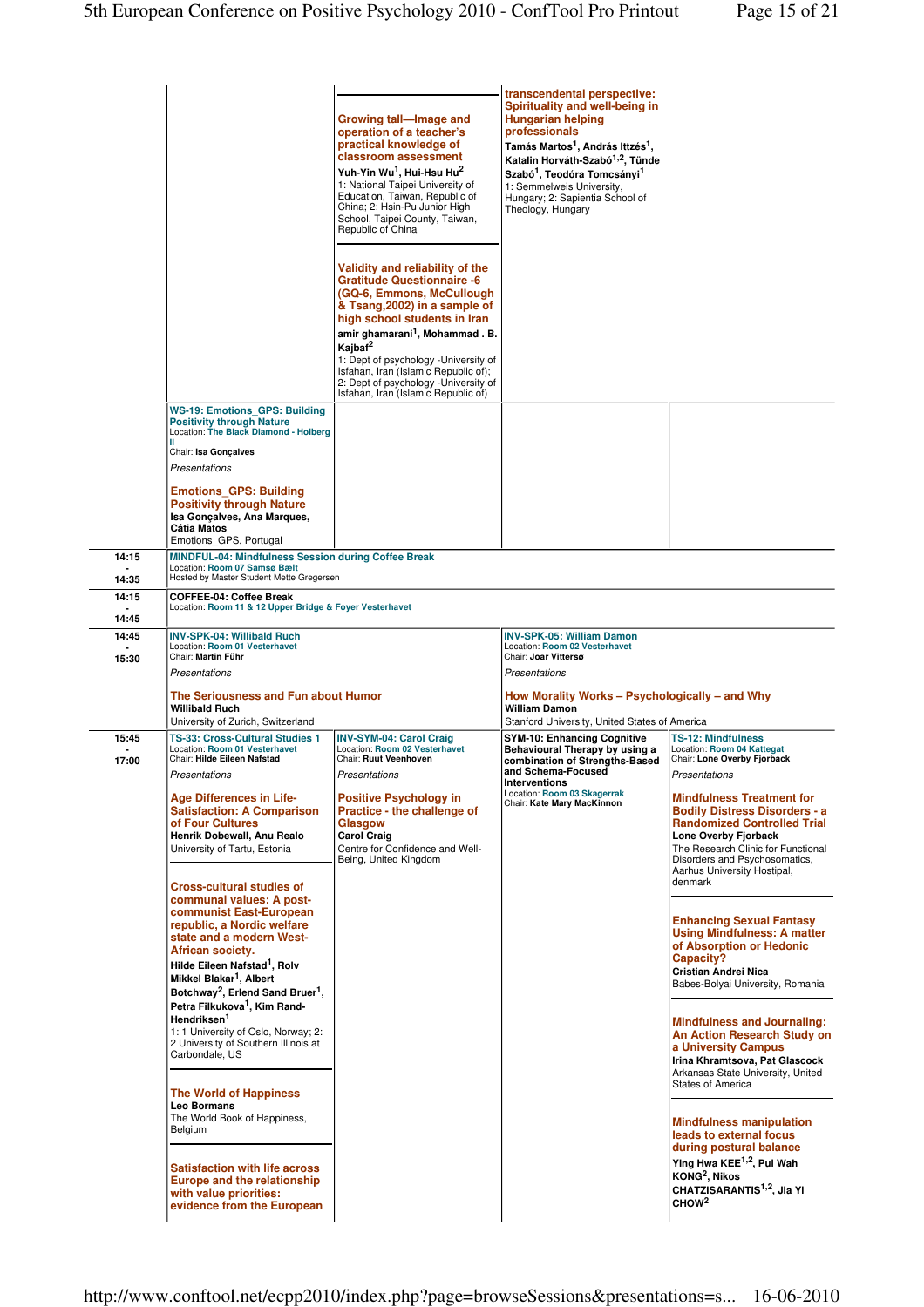|                | <b>WS-19: Emotions GPS: Building</b>                                                                                                                                                                                                                                                             | Growing tall—Image and<br>operation of a teacher's<br>practical knowledge of<br>classroom assessment<br>Yuh-Yin Wu <sup>1</sup> , Hui-Hsu Hu <sup>2</sup><br>1: National Taipei University of<br>Education, Taiwan, Republic of<br>China; 2: Hsin-Pu Junior High<br>School, Taipei County, Taiwan,<br>Republic of China<br>Validity and reliability of the<br><b>Gratitude Questionnaire -6</b><br>(GQ-6, Emmons, McCullough)<br>& Tsang, 2002) in a sample of<br>high school students in Iran<br>amir ghamarani <sup>1</sup> , Mohammad. B.<br>Kajbaf <sup>2</sup><br>1: Dept of psychology - University of<br>Isfahan, Iran (Islamic Republic of);<br>2: Dept of psychology - University of<br>Isfahan, Iran (Islamic Republic of) | transcendental perspective:<br>Spirituality and well-being in<br><b>Hungarian helping</b><br>professionals<br>Tamás Martos <sup>1</sup> , András Ittzés <sup>1</sup> ,<br>Katalin Horváth-Szabó <sup>1,2</sup> , Tünde<br>Szabó <sup>1</sup> . Teodóra Tomcsánvi <sup>1</sup><br>1: Semmelweis University,<br>Hungary; 2: Sapientia School of<br>Theology, Hungary |                                                                                                                                                                                                                                                         |
|----------------|--------------------------------------------------------------------------------------------------------------------------------------------------------------------------------------------------------------------------------------------------------------------------------------------------|--------------------------------------------------------------------------------------------------------------------------------------------------------------------------------------------------------------------------------------------------------------------------------------------------------------------------------------------------------------------------------------------------------------------------------------------------------------------------------------------------------------------------------------------------------------------------------------------------------------------------------------------------------------------------------------------------------------------------------------|--------------------------------------------------------------------------------------------------------------------------------------------------------------------------------------------------------------------------------------------------------------------------------------------------------------------------------------------------------------------|---------------------------------------------------------------------------------------------------------------------------------------------------------------------------------------------------------------------------------------------------------|
|                | <b>Positivity through Nature</b><br>Location: The Black Diamond - Holberg<br>Chair: Isa Gonçalves<br>Presentations                                                                                                                                                                               |                                                                                                                                                                                                                                                                                                                                                                                                                                                                                                                                                                                                                                                                                                                                      |                                                                                                                                                                                                                                                                                                                                                                    |                                                                                                                                                                                                                                                         |
|                | <b>Emotions GPS: Building</b><br><b>Positivity through Nature</b><br>Isa Gonçalves, Ana Marques,<br>Cátia Matos<br>Emotions_GPS, Portugal                                                                                                                                                        |                                                                                                                                                                                                                                                                                                                                                                                                                                                                                                                                                                                                                                                                                                                                      |                                                                                                                                                                                                                                                                                                                                                                    |                                                                                                                                                                                                                                                         |
| 14:15          | <b>MINDFUL-04: Mindfulness Session during Coffee Break</b><br>Location: Room 07 Samsø Bælt                                                                                                                                                                                                       |                                                                                                                                                                                                                                                                                                                                                                                                                                                                                                                                                                                                                                                                                                                                      |                                                                                                                                                                                                                                                                                                                                                                    |                                                                                                                                                                                                                                                         |
| 14:35          | Hosted by Master Student Mette Gregersen                                                                                                                                                                                                                                                         |                                                                                                                                                                                                                                                                                                                                                                                                                                                                                                                                                                                                                                                                                                                                      |                                                                                                                                                                                                                                                                                                                                                                    |                                                                                                                                                                                                                                                         |
| 14:15          | <b>COFFEE-04: Coffee Break</b><br>Location: Room 11 & 12 Upper Bridge & Foyer Vesterhavet                                                                                                                                                                                                        |                                                                                                                                                                                                                                                                                                                                                                                                                                                                                                                                                                                                                                                                                                                                      |                                                                                                                                                                                                                                                                                                                                                                    |                                                                                                                                                                                                                                                         |
| 14:45          |                                                                                                                                                                                                                                                                                                  |                                                                                                                                                                                                                                                                                                                                                                                                                                                                                                                                                                                                                                                                                                                                      |                                                                                                                                                                                                                                                                                                                                                                    |                                                                                                                                                                                                                                                         |
| 14:45          | INV-SPK-04: Willibald Ruch<br>Location: Room 01 Vesterhavet                                                                                                                                                                                                                                      |                                                                                                                                                                                                                                                                                                                                                                                                                                                                                                                                                                                                                                                                                                                                      | <b>INV-SPK-05: William Damon</b><br>Location: Room 02 Vesterhavet                                                                                                                                                                                                                                                                                                  |                                                                                                                                                                                                                                                         |
| 15:30          | Chair: Martin Führ                                                                                                                                                                                                                                                                               |                                                                                                                                                                                                                                                                                                                                                                                                                                                                                                                                                                                                                                                                                                                                      | Chair: Joar Vittersø<br>Presentations                                                                                                                                                                                                                                                                                                                              |                                                                                                                                                                                                                                                         |
|                | Presentations<br>The Seriousness and Fun about Humor<br><b>Willibald Ruch</b><br>University of Zurich, Switzerland                                                                                                                                                                               |                                                                                                                                                                                                                                                                                                                                                                                                                                                                                                                                                                                                                                                                                                                                      | How Morality Works – Psychologically – and Why<br><b>William Damon</b><br>Stanford University, United States of America                                                                                                                                                                                                                                            |                                                                                                                                                                                                                                                         |
| 15:45<br>17:00 | TS-33: Cross-Cultural Studies 1<br>Location: Room 01 Vesterhavet<br>Chair: Hilde Eileen Nafstad<br><b>Presentations</b>                                                                                                                                                                          | <b>INV-SYM-04: Carol Craig</b><br>Location: Room 02 Vesterhavet<br>Chair: Ruut Veenhoven<br>Presentations                                                                                                                                                                                                                                                                                                                                                                                                                                                                                                                                                                                                                            | <b>SYM-10: Enhancing Cognitive</b><br>Behavioural Therapy by using a<br>combination of Strengths-Based<br>and Schema-Focused<br><b>Interventions</b>                                                                                                                                                                                                               | <b>TS-12: Mindfulness</b><br>Location: Room 04 Kattegat<br>Chair: Lone Overby Fjorback<br>Presentations                                                                                                                                                 |
|                | <b>Age Differences in Life-</b><br><b>Satisfaction: A Comparison</b><br>of Four Cultures<br>Henrik Dobewall, Anu Realo<br>University of Tartu, Estonia<br><b>Cross-cultural studies of</b><br>communal values: A post-                                                                           | <b>Positive Psychology in</b><br>Practice - the challenge of<br>Glasgow<br><b>Carol Craig</b><br>Centre for Confidence and Well-<br>Being, United Kingdom                                                                                                                                                                                                                                                                                                                                                                                                                                                                                                                                                                            | Location: Room 03 Skagerrak<br>Chair: Kate Mary MacKinnon                                                                                                                                                                                                                                                                                                          | <b>Mindfulness Treatment for</b><br><b>Bodily Distress Disorders - a</b><br><b>Randomized Controlled Trial</b><br>Lone Overby Fjorback<br>The Research Clinic for Functional<br>Disorders and Psychosomatics,<br>Aarhus University Hostipal,<br>denmark |
|                | communist East-European<br>republic, a Nordic welfare<br>state and a modern West-<br>African society.<br>Hilde Eileen Nafstad <sup>1</sup> , Rolv<br>Mikkel Blakar <sup>1</sup> , Albert<br>Botchway <sup>2</sup> , Erlend Sand Bruer <sup>1</sup> ,<br>Petra Filkukova <sup>1</sup> , Kim Rand- |                                                                                                                                                                                                                                                                                                                                                                                                                                                                                                                                                                                                                                                                                                                                      |                                                                                                                                                                                                                                                                                                                                                                    | <b>Enhancing Sexual Fantasy</b><br><b>Using Mindfulness: A matter</b><br>of Absorption or Hedonic<br>Capacity?<br>Cristian Andrei Nica<br>Babes-Bolyai University, Romania                                                                              |
|                | Hendriksen <sup>1</sup><br>1: 1 University of Oslo, Norway; 2:<br>2 University of Southern Illinois at<br>Carbondale, US<br>The World of Happiness                                                                                                                                               |                                                                                                                                                                                                                                                                                                                                                                                                                                                                                                                                                                                                                                                                                                                                      |                                                                                                                                                                                                                                                                                                                                                                    | <b>Mindfulness and Journaling:</b><br>An Action Research Study on<br>a University Campus<br>Irina Khramtsova, Pat Glascock<br>Arkansas State University, United<br><b>States of America</b>                                                             |
|                | <b>Leo Bormans</b><br>The World Book of Happiness,<br>Belgium<br><b>Satisfaction with life across</b><br>Europe and the relationship                                                                                                                                                             |                                                                                                                                                                                                                                                                                                                                                                                                                                                                                                                                                                                                                                                                                                                                      |                                                                                                                                                                                                                                                                                                                                                                    | <b>Mindfulness manipulation</b><br>leads to external focus<br>during postural balance<br>Ying Hwa KEE <sup>1,2</sup> , Pui Wah<br>KONG <sup>2</sup> , Nikos                                                                                             |
|                | with value priorities:<br>evidence from the European                                                                                                                                                                                                                                             |                                                                                                                                                                                                                                                                                                                                                                                                                                                                                                                                                                                                                                                                                                                                      |                                                                                                                                                                                                                                                                                                                                                                    | CHATZISARANTIS <sup>1,2</sup> , Jia Yi<br>CHOW <sup>2</sup>                                                                                                                                                                                             |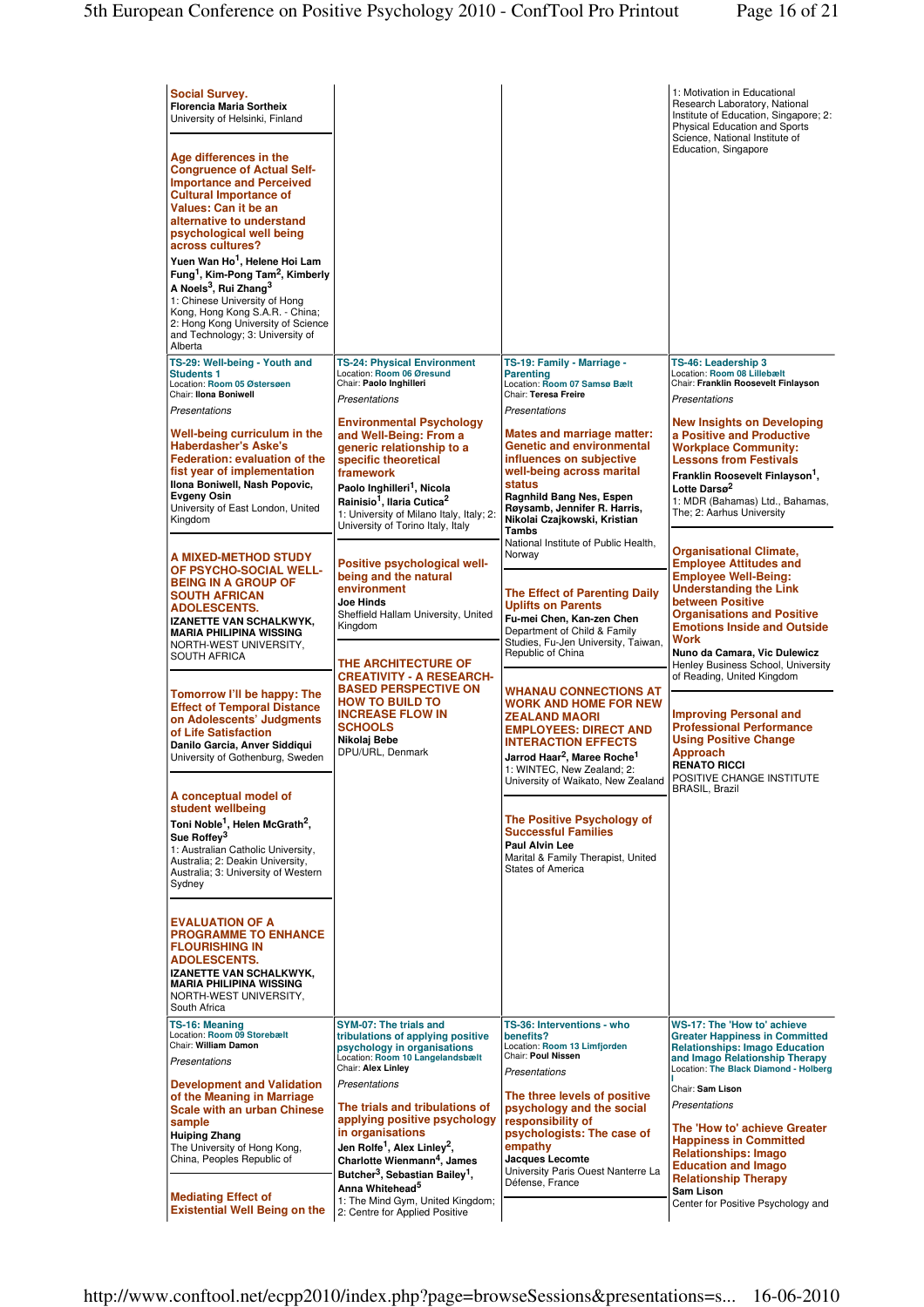| <b>Social Survey.</b><br><b>Florencia Maria Sortheix</b><br>University of Helsinki, Finland<br>Age differences in the<br><b>Congruence of Actual Self-</b><br><b>Importance and Perceived</b><br><b>Cultural Importance of</b><br>Values: Can it be an<br>alternative to understand<br>psychological well being<br>across cultures?<br>Yuen Wan Ho <sup>1</sup> , Helene Hoi Lam<br>Fung <sup>1</sup> , Kim-Pong Tam <sup>2</sup> , Kimberly<br>A Noels <sup>3</sup> , Rui Zhang <sup>3</sup><br>1: Chinese University of Hong<br>Kong, Hong Kong S.A.R. - China;<br>2: Hong Kong University of Science<br>and Technology; 3: University of<br>Alberta |                                                                                                                                                                                                                                                                                                              |                                                                                                                                                                                                                                                             | 1: Motivation in Educational<br>Research Laboratory, National<br>Institute of Education, Singapore; 2:<br>Physical Education and Sports<br>Science, National Institute of<br><b>Education, Singapore</b>                                                                  |
|--------------------------------------------------------------------------------------------------------------------------------------------------------------------------------------------------------------------------------------------------------------------------------------------------------------------------------------------------------------------------------------------------------------------------------------------------------------------------------------------------------------------------------------------------------------------------------------------------------------------------------------------------------|--------------------------------------------------------------------------------------------------------------------------------------------------------------------------------------------------------------------------------------------------------------------------------------------------------------|-------------------------------------------------------------------------------------------------------------------------------------------------------------------------------------------------------------------------------------------------------------|---------------------------------------------------------------------------------------------------------------------------------------------------------------------------------------------------------------------------------------------------------------------------|
| TS-29: Well-being - Youth and<br><b>Students 1</b><br>Location: Room 05 Østersøen<br>Chair: Ilona Boniwell<br><b>Presentations</b>                                                                                                                                                                                                                                                                                                                                                                                                                                                                                                                     | <b>TS-24: Physical Environment</b><br>Location: Room 06 Øresund<br>Chair: Paolo Inghilleri<br>Presentations                                                                                                                                                                                                  | TS-19: Family - Marriage -<br><b>Parenting</b><br>Location: Room 07 Samsø Bælt<br>Chair: Teresa Freire<br>Presentations                                                                                                                                     | TS-46: Leadership 3<br>Location: Room 08 Lillebælt<br>Chair: Franklin Roosevelt Finlayson<br>Presentations                                                                                                                                                                |
| Well-being curriculum in the<br><b>Haberdasher's Aske's</b><br><b>Federation: evaluation of the</b><br>fist year of implementation<br>Ilona Boniwell, Nash Popovic,<br>Evgeny Osin<br>University of East London, United<br>Kingdom                                                                                                                                                                                                                                                                                                                                                                                                                     | <b>Environmental Psychology</b><br>and Well-Being: From a<br>deneric relationship to a<br>specific theoretical<br>framework<br>Paolo Inghilleri <sup>1</sup> , Nicola<br>Rainisio <sup>1</sup> . Ilaria Cutica <sup>2</sup><br>1: University of Milano Italy, Italy; 2:<br>University of Torino Italy, Italy | <b>Mates and marriage matter:</b><br><b>Genetic and environmental</b><br>influences on subjective<br>well-being across marital<br><b>status</b><br>Ragnhild Bang Nes, Espen<br>Røysamb, Jennifer R. Harris,<br>Nikolai Czajkowski, Kristian<br><b>Tambs</b> | <b>New Insights on Developing</b><br>a Positive and Productive<br><b>Workplace Community:</b><br><b>Lessons from Festivals</b><br>Franklin Roosevelt Finlayson <sup>1</sup> ,<br>Lotte Darsø <sup>2</sup><br>1: MDR (Bahamas) Ltd., Bahamas,<br>The; 2: Aarhus University |
| A MIXED-METHOD STUDY<br><b>OF PSYCHO-SOCIAL WELL-</b><br><b>BEING IN A GROUP OF</b><br>SOUTH AFRICAN<br><b>ADOLESCENTS.</b><br>IZANETTE VAN SCHALKWYK,<br><b>MARIA PHILIPINA WISSING</b><br>NORTH-WEST UNIVERSITY,<br><b>SOUTH AFRICA</b>                                                                                                                                                                                                                                                                                                                                                                                                              | Positive psychological well-<br>being and the natural<br>environment<br>Joe Hinds<br>Sheffield Hallam University, United<br>Kingdom                                                                                                                                                                          | National Institute of Public Health,<br>Norway<br><b>The Effect of Parenting Daily</b><br><b>Uplifts on Parents</b><br>Fu-mei Chen, Kan-zen Chen<br>Department of Child & Family<br>Studies, Fu-Jen University, Taiwan,<br>Republic of China                | <b>Organisational Climate,</b><br><b>Employee Attitudes and</b><br><b>Employee Well-Being:</b><br><b>Understanding the Link</b><br>between Positive<br><b>Organisations and Positive</b><br><b>Emotions Inside and Outside</b><br>Work<br>Nuno da Camara, Vic Dulewicz    |
| Tomorrow I'll be happy: The<br><b>Effect of Temporal Distance</b><br>on Adolescents' Judgments<br>of Life Satisfaction<br>Danilo Garcia, Anver Siddiqui<br>University of Gothenburg, Sweden                                                                                                                                                                                                                                                                                                                                                                                                                                                            | THE ARCHITECTURE OF<br><b>CREATIVITY - A RESEARCH-</b><br><b>BASED PERSPECTIVE ON</b><br><b>HOW TO BUILD TO</b><br><b>INCREASE FLOW IN</b><br><b>SCHOOLS</b><br>Nikolaj Bebe<br>DPU/URL, Denmark                                                                                                             | <b>WHANAU CONNECTIONS AT</b><br><b>WORK AND HOME FOR NEW</b><br><b>ZEALAND MAORI</b><br><b>EMPLOYEES: DIRECT AND</b><br><b>INTERACTION EFFECTS</b><br>Jarrod Haar <sup>2</sup> . Maree Roche <sup>1</sup><br>1: WINTEC, New Zealand; 2:                     | Henley Business School, University<br>of Reading, United Kingdom<br><b>Improving Personal and</b><br><b>Professional Performance</b><br><b>Using Positive Change</b><br>Approach<br><b>RENATO RICCI</b><br>POSITIVE CHANGE INSTITUTE                                      |
| A conceptual model of<br>student wellbeing<br>Toni Noble <sup>1</sup> , Helen McGrath <sup>2</sup> ,<br>Sue Roffey <sup>3</sup><br>1: Australian Catholic University.<br>Australia; 2: Deakin University,<br>Australia; 3: University of Western<br>Sydney                                                                                                                                                                                                                                                                                                                                                                                             |                                                                                                                                                                                                                                                                                                              | University of Waikato, New Zealand<br><b>The Positive Psychology of</b><br><b>Successful Families</b><br><b>Paul Alvin Lee</b><br>Marital & Family Therapist, United<br>States of America                                                                   | <b>BRASIL, Brazil</b>                                                                                                                                                                                                                                                     |
| <b>EVALUATION OF A</b><br><b>PROGRAMME TO ENHANCE</b><br><b>FLOURISHING IN</b><br><b>ADOLESCENTS.</b><br><b>IZANETTE VAN SCHALKWYK,</b><br><b>MARIA PHILIPINA WISSING</b><br>NORTH-WEST UNIVERSITY,<br>South Africa                                                                                                                                                                                                                                                                                                                                                                                                                                    |                                                                                                                                                                                                                                                                                                              |                                                                                                                                                                                                                                                             |                                                                                                                                                                                                                                                                           |
| TS-16: Meaning<br>Location: Room 09 Storebælt<br>Chair: William Damon<br>Presentations                                                                                                                                                                                                                                                                                                                                                                                                                                                                                                                                                                 | SYM-07: The trials and<br>tribulations of applying positive<br>psychology in organisations<br>Location: Room 10 Langelandsbælt<br>Chair: Alex Linley                                                                                                                                                         | TS-36: Interventions - who<br>benefits?<br>Location: Room 13 Limfjorden<br>Chair: Poul Nissen<br>Presentations                                                                                                                                              | <b>WS-17: The 'How to' achieve</b><br><b>Greater Happiness in Committed</b><br><b>Relationships: Imago Education</b><br>and Imago Relationship Therapy<br>Location: The Black Diamond - Holberg                                                                           |
| <b>Development and Validation</b><br>of the Meaning in Marriage<br><b>Scale with an urban Chinese</b><br>sample<br><b>Huiping Zhang</b><br>The University of Hong Kong,<br>China, Peoples Republic of                                                                                                                                                                                                                                                                                                                                                                                                                                                  | Presentations<br>The trials and tribulations of<br>applying positive psychology<br>in organisations<br>Jen Rolfe <sup>1</sup> , Alex Linley <sup>2</sup> ,<br>Charlotte Wienmann <sup>4</sup> , James<br>Butcher <sup>3</sup> , Sebastian Bailey <sup>1</sup> ,                                              | The three levels of positive<br>psychology and the social<br>responsibility of<br>psychologists: The case of<br>empathy<br>Jacques Lecomte<br>University Paris Ouest Nanterre La<br>Défense, France                                                         | Chair: Sam Lison<br>Presentations<br>The 'How to' achieve Greater<br><b>Happiness in Committed</b><br><b>Relationships: Imago</b><br><b>Education and Imago</b><br><b>Relationship Therapy</b>                                                                            |
| <b>Mediating Effect of</b><br><b>Existential Well Being on the</b>                                                                                                                                                                                                                                                                                                                                                                                                                                                                                                                                                                                     | Anna Whitehead <sup>5</sup><br>1: The Mind Gym, United Kingdom;<br>2: Centre for Applied Positive                                                                                                                                                                                                            |                                                                                                                                                                                                                                                             | Sam Lison<br>Center for Positive Psychology and                                                                                                                                                                                                                           |

http://www.conftool.net/ecpp2010/index.php?page=browseSessions&presentations=s... 16-06-2010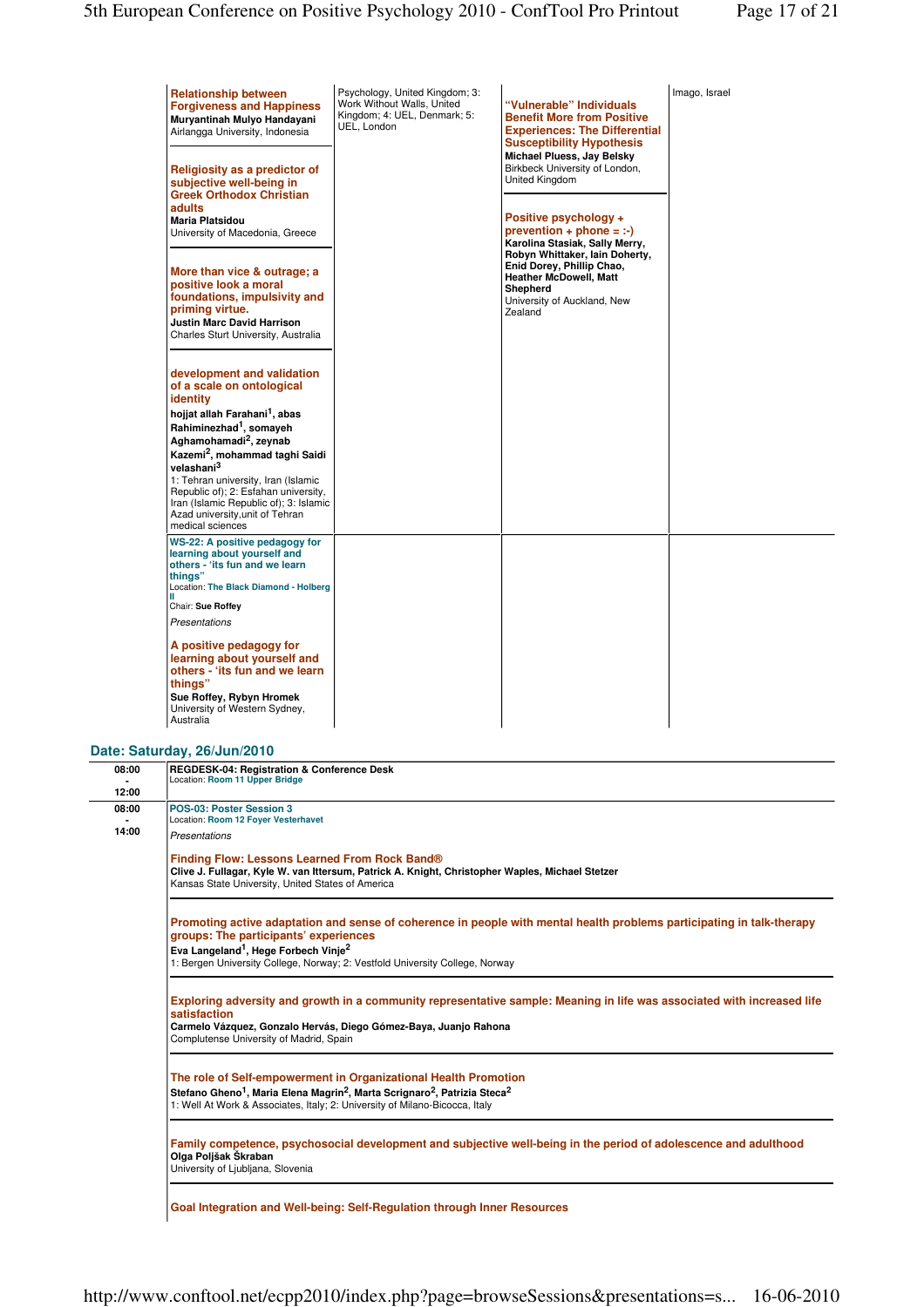| <b>Relationship between</b><br><b>Forgiveness and Happiness</b><br>Muryantinah Mulyo Handayani<br>Airlangga University, Indonesia                                                                                                                                                                                                                                                                                                                     | Psychology, United Kingdom; 3:<br>Work Without Walls, United<br>Kingdom; 4: UEL, Denmark; 5:<br>UEL, London | "Vulnerable" Individuals<br><b>Benefit More from Positive</b><br><b>Experiences: The Differential</b><br><b>Susceptibility Hypothesis</b>                               | Imago, Israel |
|-------------------------------------------------------------------------------------------------------------------------------------------------------------------------------------------------------------------------------------------------------------------------------------------------------------------------------------------------------------------------------------------------------------------------------------------------------|-------------------------------------------------------------------------------------------------------------|-------------------------------------------------------------------------------------------------------------------------------------------------------------------------|---------------|
| Religiosity as a predictor of<br>subjective well-being in<br><b>Greek Orthodox Christian</b><br>adults<br><b>Maria Platsidou</b><br>University of Macedonia, Greece                                                                                                                                                                                                                                                                                   |                                                                                                             | Michael Pluess, Jay Belsky<br>Birkbeck University of London,<br>United Kingdom<br>Positive psychology +<br>$prevention + phone = :-)$<br>Karolina Stasiak, Sally Merry, |               |
| More than vice & outrage; a<br>positive look a moral<br>foundations, impulsivity and<br>priming virtue.<br><b>Justin Marc David Harrison</b><br>Charles Sturt University, Australia                                                                                                                                                                                                                                                                   |                                                                                                             | Robyn Whittaker, Iain Doherty,<br>Enid Dorey, Phillip Chao,<br><b>Heather McDowell, Matt</b><br>Shepherd<br>University of Auckland, New<br>Zealand                      |               |
| development and validation<br>of a scale on ontological<br>identity<br>hojjat allah Farahani <sup>1</sup> , abas<br>Rahiminezhad <sup>1</sup> , somayeh<br>Aghamohamadi <sup>2</sup> , zeynab<br>Kazemi <sup>2</sup> , mohammad taghi Saidi<br>velashani <sup>3</sup><br>1: Tehran university, Iran (Islamic<br>Republic of); 2: Esfahan university,<br>Iran (Islamic Republic of); 3: Islamic<br>Azad university, unit of Tehran<br>medical sciences |                                                                                                             |                                                                                                                                                                         |               |
| WS-22: A positive pedagogy for<br>learning about yourself and<br>others - 'its fun and we learn<br>thinas"<br>Location: The Black Diamond - Holberg<br>Ш<br>Chair: Sue Roffey<br>Presentations                                                                                                                                                                                                                                                        |                                                                                                             |                                                                                                                                                                         |               |
| A positive pedagogy for<br>learning about yourself and<br>others - 'its fun and we learn<br>things"<br>Sue Roffey, Rybyn Hromek<br>University of Western Sydney,<br>Australia                                                                                                                                                                                                                                                                         |                                                                                                             |                                                                                                                                                                         |               |

## **Date: Saturday, 26/Jun/2010**

| 08:00 | REGDESK-04: Registration & Conference Desk<br>Location: Room 11 Upper Bridge                                                                                                                                                                                                                                    |
|-------|-----------------------------------------------------------------------------------------------------------------------------------------------------------------------------------------------------------------------------------------------------------------------------------------------------------------|
| 12:00 |                                                                                                                                                                                                                                                                                                                 |
| 08:00 | POS-03: Poster Session 3<br>Location: Room 12 Foyer Vesterhavet                                                                                                                                                                                                                                                 |
| 14:00 | Presentations                                                                                                                                                                                                                                                                                                   |
|       | Finding Flow: Lessons Learned From Rock Band®<br>Clive J. Fullagar, Kyle W. van Ittersum, Patrick A. Knight, Christopher Waples, Michael Stetzer<br>Kansas State University, United States of America                                                                                                           |
|       | Promoting active adaptation and sense of coherence in people with mental health problems participating in talk-therapy<br>groups: The participants' experiences<br>Eva Langeland <sup>1</sup> , Hege Forbech Vinje <sup>2</sup><br>1: Bergen University College, Norway; 2: Vestfold University College, Norway |
|       | Exploring adversity and growth in a community representative sample: Meaning in life was associated with increased life<br>satisfaction<br>Carmelo Vázquez, Gonzalo Hervás, Diego Gómez-Baya, Juanjo Rahona<br>Complutense University of Madrid, Spain                                                          |
|       | The role of Self-empowerment in Organizational Health Promotion<br>Stefano Gheno <sup>1</sup> , Maria Elena Magrin <sup>2</sup> , Marta Scrignaro <sup>2</sup> , Patrizia Steca <sup>2</sup><br>1: Well At Work & Associates, Italy; 2: University of Milano-Bicocca, Italy                                     |
|       | Family competence, psychosocial development and subjective well-being in the period of adolescence and adulthood<br>Olga Poljšak Škraban<br>University of Ljubljana, Slovenia                                                                                                                                   |
|       |                                                                                                                                                                                                                                                                                                                 |

**Goal Integration and Well-being: Self-Regulation through Inner Resources**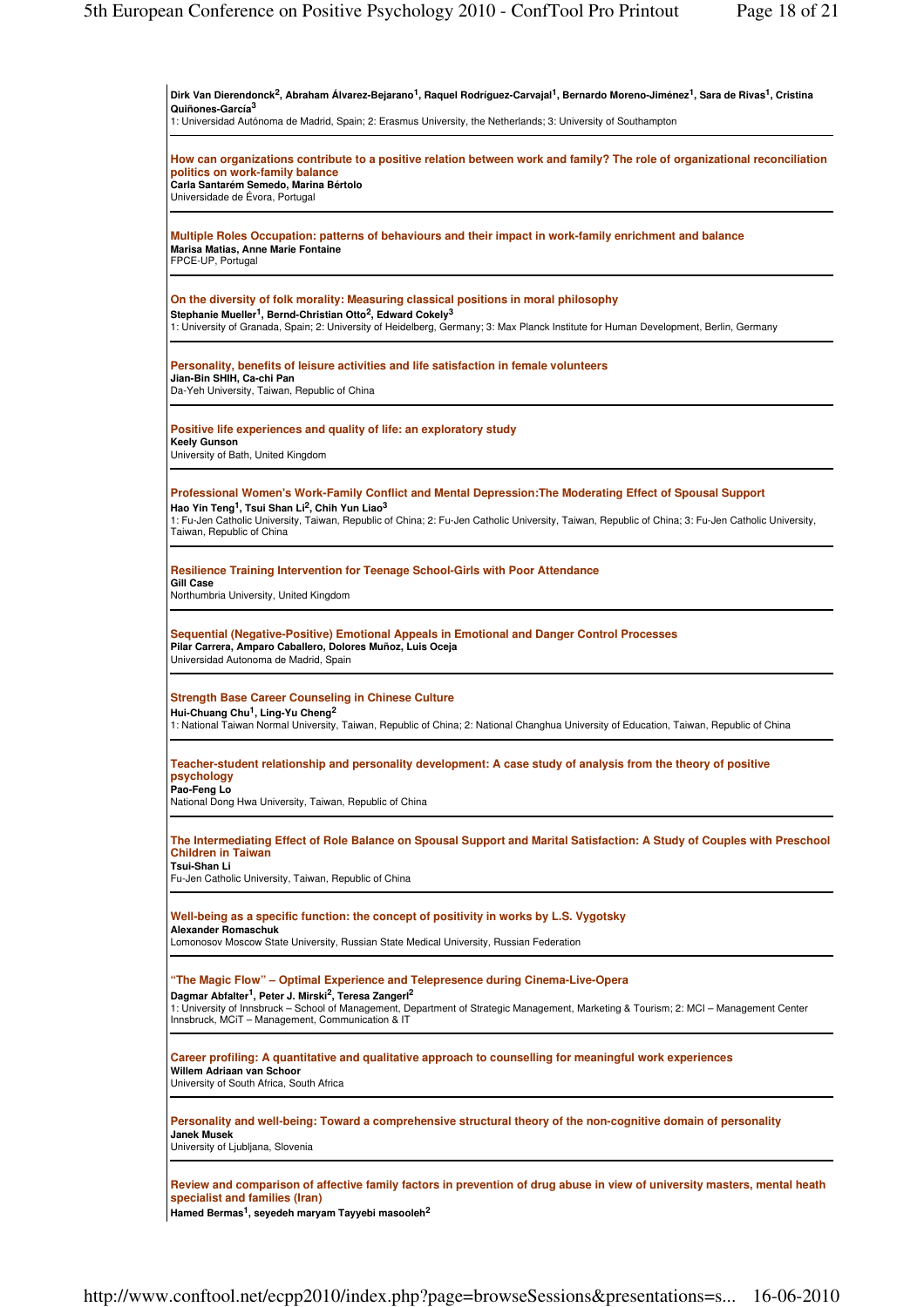| Quiñones-García <sup>3</sup><br>1: Universidad Autónoma de Madrid, Spain; 2: Erasmus University, the Netherlands; 3: University of Southampton                                                                                                                                                                                                                                     |  |
|------------------------------------------------------------------------------------------------------------------------------------------------------------------------------------------------------------------------------------------------------------------------------------------------------------------------------------------------------------------------------------|--|
| How can organizations contribute to a positive relation between work and family? The role of organizational reconciliation<br>politics on work-family balance<br>Carla Santarém Semedo, Marina Bértolo<br>Universidade de Évora, Portugal                                                                                                                                          |  |
| Multiple Roles Occupation: patterns of behaviours and their impact in work-family enrichment and balance<br>Marisa Matias, Anne Marie Fontaine<br>FPCE-UP, Portugal                                                                                                                                                                                                                |  |
| On the diversity of folk morality: Measuring classical positions in moral philosophy<br>Stephanie Mueller <sup>1</sup> , Bernd-Christian Otto <sup>2</sup> , Edward Cokely <sup>3</sup><br>1: University of Granada, Spain; 2: University of Heidelberg, Germany; 3: Max Planck Institute for Human Development, Berlin, Germany                                                   |  |
| Personality, benefits of leisure activities and life satisfaction in female volunteers<br>Jian-Bin SHIH, Ca-chi Pan<br>Da-Yeh University, Taiwan, Republic of China                                                                                                                                                                                                                |  |
| Positive life experiences and quality of life: an exploratory study<br>Keely Gunson<br>University of Bath, United Kingdom                                                                                                                                                                                                                                                          |  |
| Professional Women's Work-Family Conflict and Mental Depression: The Moderating Effect of Spousal Support<br>Hao Yin Teng <sup>1</sup> , Tsui Shan Li <sup>2</sup> , Chih Yun Liao <sup>3</sup><br>1: Fu-Jen Catholic University, Taiwan, Republic of China; 2: Fu-Jen Catholic University, Taiwan, Republic of China; 3: Fu-Jen Catholic University,<br>Taiwan, Republic of China |  |
| Resilience Training Intervention for Teenage School-Girls with Poor Attendance<br><b>Gill Case</b><br>Northumbria University, United Kingdom                                                                                                                                                                                                                                       |  |
| Sequential (Negative-Positive) Emotional Appeals in Emotional and Danger Control Processes<br>Pilar Carrera, Amparo Caballero, Dolores Muñoz, Luis Oceja<br>Universidad Autonoma de Madrid, Spain                                                                                                                                                                                  |  |
| <b>Strength Base Career Counseling in Chinese Culture</b><br>Hui-Chuang Chu <sup>1</sup> , Ling-Yu Cheng <sup>2</sup><br>1: National Taiwan Normal University, Taiwan, Republic of China; 2: National Changhua University of Education, Taiwan, Republic of China                                                                                                                  |  |
| Teacher-student relationship and personality development: A case study of analysis from the theory of positive<br>psychology<br>Pao-Feng Lo<br>National Dong Hwa University, Taiwan, Republic of China                                                                                                                                                                             |  |
| The Intermediating Effect of Role Balance on Spousal Support and Marital Satisfaction: A Study of Couples with Preschool<br><b>Children in Taiwan</b><br>Tsui-Shan Li<br>Fu-Jen Catholic University, Taiwan, Republic of China                                                                                                                                                     |  |
| Well-being as a specific function: the concept of positivity in works by L.S. Vygotsky<br><b>Alexander Romaschuk</b><br>Lomonosov Moscow State University, Russian State Medical University, Russian Federation                                                                                                                                                                    |  |
| "The Magic Flow" - Optimal Experience and Telepresence during Cinema-Live-Opera<br>Dagmar Abfalter <sup>1</sup> , Peter J. Mirski <sup>2</sup> , Teresa Zangerl <sup>2</sup><br>1: University of Innsbruck - School of Management, Department of Strategic Management, Marketing & Tourism; 2: MCI - Management Center<br>Innsbruck, MCiT - Management, Communication & IT         |  |
| Career profiling: A quantitative and qualitative approach to counselling for meaningful work experiences<br>Willem Adriaan van Schoor<br>University of South Africa, South Africa                                                                                                                                                                                                  |  |
| Personality and well-being: Toward a comprehensive structural theory of the non-cognitive domain of personality<br><b>Janek Musek</b><br>University of Ljubljana, Slovenia                                                                                                                                                                                                         |  |
| Review and comparison of affective family factors in prevention of drug abuse in view of university masters, mental heath<br>specialist and families (Iran)<br>Hamed Bermas <sup>1</sup> , seyedeh maryam Tayyebi masooleh <sup>2</sup>                                                                                                                                            |  |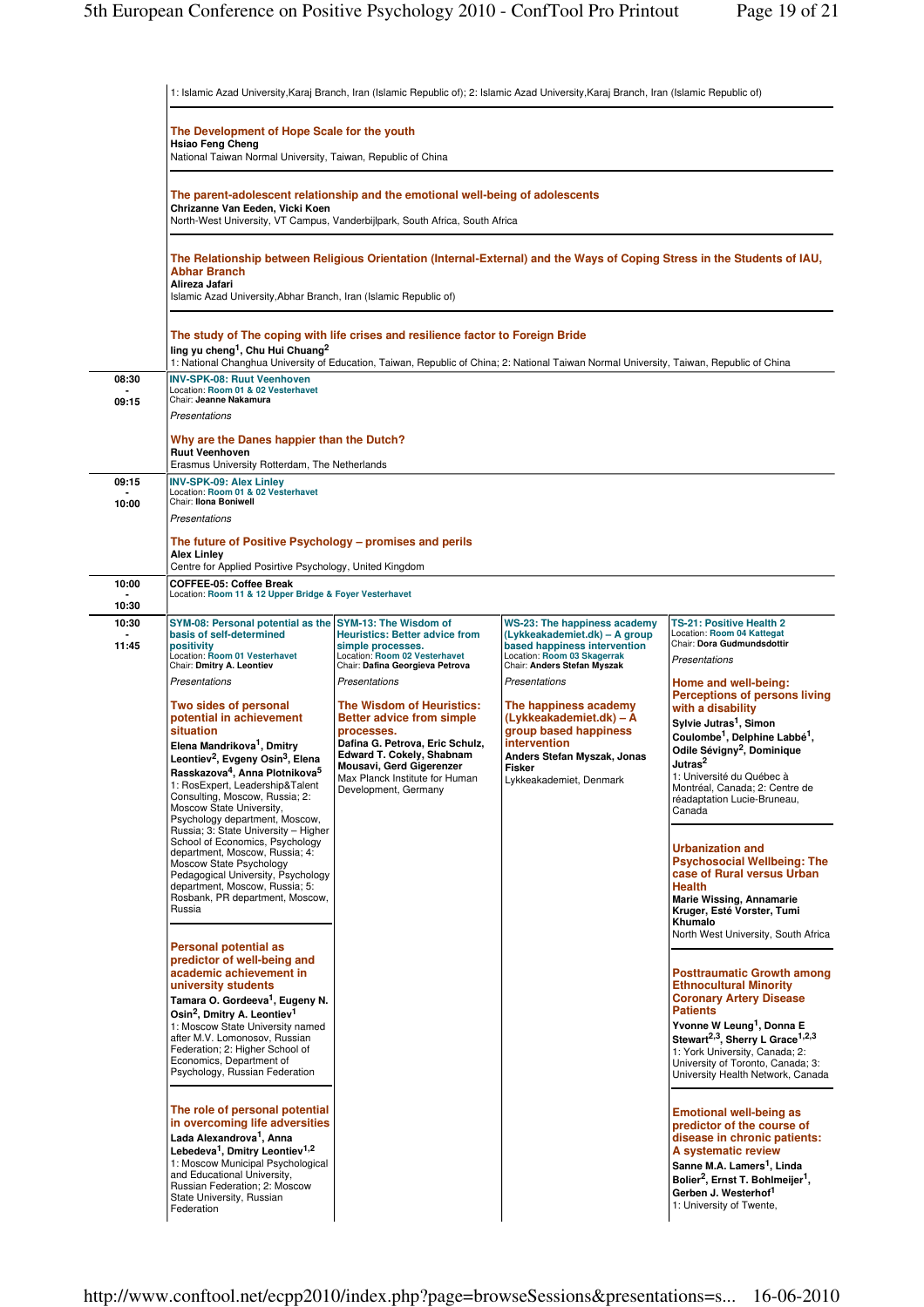|                | 1: Islamic Azad University, Karaj Branch, Iran (Islamic Republic of); 2: Islamic Azad University, Karaj Branch, Iran (Islamic Republic of)                                                                                                                                                                                                                                                                                                  |                                                                                                                                                                                                                                                    |                                                                                                                                                                                |                                                                                                                                                                                                                                                                                                                                                           |  |
|----------------|---------------------------------------------------------------------------------------------------------------------------------------------------------------------------------------------------------------------------------------------------------------------------------------------------------------------------------------------------------------------------------------------------------------------------------------------|----------------------------------------------------------------------------------------------------------------------------------------------------------------------------------------------------------------------------------------------------|--------------------------------------------------------------------------------------------------------------------------------------------------------------------------------|-----------------------------------------------------------------------------------------------------------------------------------------------------------------------------------------------------------------------------------------------------------------------------------------------------------------------------------------------------------|--|
|                | The Development of Hope Scale for the youth<br><b>Hsiao Feng Cheng</b><br>National Taiwan Normal University, Taiwan, Republic of China                                                                                                                                                                                                                                                                                                      |                                                                                                                                                                                                                                                    |                                                                                                                                                                                |                                                                                                                                                                                                                                                                                                                                                           |  |
|                | The parent-adolescent relationship and the emotional well-being of adolescents<br>Chrizanne Van Eeden, Vicki Koen<br>North-West University, VT Campus, Vanderbijlpark, South Africa, South Africa<br>The Relationship between Religious Orientation (Internal-External) and the Ways of Coping Stress in the Students of IAU,<br><b>Abhar Branch</b><br>Alireza Jafari<br>Islamic Azad University, Abhar Branch, Iran (Islamic Republic of) |                                                                                                                                                                                                                                                    |                                                                                                                                                                                |                                                                                                                                                                                                                                                                                                                                                           |  |
|                |                                                                                                                                                                                                                                                                                                                                                                                                                                             |                                                                                                                                                                                                                                                    |                                                                                                                                                                                |                                                                                                                                                                                                                                                                                                                                                           |  |
|                | ling yu cheng <sup>1</sup> , Chu Hui Chuang <sup>2</sup>                                                                                                                                                                                                                                                                                                                                                                                    | The study of The coping with life crises and resilience factor to Foreign Bride                                                                                                                                                                    | 1: National Changhua University of Education, Taiwan, Republic of China; 2: National Taiwan Normal University, Taiwan, Republic of China                                       |                                                                                                                                                                                                                                                                                                                                                           |  |
| 08:30          | <b>INV-SPK-08: Ruut Veenhoven</b><br>Location: Room 01 & 02 Vesterhavet                                                                                                                                                                                                                                                                                                                                                                     |                                                                                                                                                                                                                                                    |                                                                                                                                                                                |                                                                                                                                                                                                                                                                                                                                                           |  |
| 09:15          | Chair: Jeanne Nakamura<br>Presentations                                                                                                                                                                                                                                                                                                                                                                                                     |                                                                                                                                                                                                                                                    |                                                                                                                                                                                |                                                                                                                                                                                                                                                                                                                                                           |  |
|                | Why are the Danes happier than the Dutch?<br><b>Ruut Veenhoven</b><br>Erasmus University Rotterdam, The Netherlands                                                                                                                                                                                                                                                                                                                         |                                                                                                                                                                                                                                                    |                                                                                                                                                                                |                                                                                                                                                                                                                                                                                                                                                           |  |
| 09:15<br>10:00 | <b>INV-SPK-09: Alex Linley</b><br>Location: Room 01 & 02 Vesterhavet<br>Chair: Ilona Boniwell<br>Presentations                                                                                                                                                                                                                                                                                                                              |                                                                                                                                                                                                                                                    |                                                                                                                                                                                |                                                                                                                                                                                                                                                                                                                                                           |  |
|                | The future of Positive Psychology – promises and perils<br><b>Alex Linley</b><br>Centre for Applied Posirtive Psychology, United Kingdom                                                                                                                                                                                                                                                                                                    |                                                                                                                                                                                                                                                    |                                                                                                                                                                                |                                                                                                                                                                                                                                                                                                                                                           |  |
| 10:00          | COFFEE-05: Coffee Break<br>Location: Room 11 & 12 Upper Bridge & Foyer Vesterhavet                                                                                                                                                                                                                                                                                                                                                          |                                                                                                                                                                                                                                                    |                                                                                                                                                                                |                                                                                                                                                                                                                                                                                                                                                           |  |
| 10:30          |                                                                                                                                                                                                                                                                                                                                                                                                                                             |                                                                                                                                                                                                                                                    |                                                                                                                                                                                |                                                                                                                                                                                                                                                                                                                                                           |  |
| 10:30<br>11:45 | SYM-08: Personal potential as the SYM-13: The Wisdom of<br>basis of self-determined<br>positivity<br>Location: Room 01 Vesterhavet<br>Chair: Dmitry A. Leontiev                                                                                                                                                                                                                                                                             | <b>Heuristics: Better advice from</b><br>simple processes.<br>Location: Room 02 Vesterhavet<br>Chair: Dafina Georgieva Petrova                                                                                                                     | <b>WS-23: The happiness academy</b><br>(Lykkeakademiet.dk) – A group<br>based happiness intervention<br>Location: Room 03 Skagerrak<br>Chair: Anders Stefan Myszak             | TS-21: Positive Health 2<br>Location: Room 04 Kattegat<br>Chair: Dora Gudmundsdottir<br>Presentations                                                                                                                                                                                                                                                     |  |
|                | Presentations<br>Two sides of personal<br>potential in achievement<br>situation<br>Elena Mandrikova <sup>1</sup> , Dmitry<br>Leontiev <sup>2</sup> , Evgeny Osin <sup>3</sup> , Elena<br>Rasskazova <sup>4</sup> , Anna Plotnikova <sup>5</sup><br>1: RosExpert, Leadership&Talent<br>Consulting, Moscow, Russia; 2:<br>Moscow State University,<br>Psychology department, Moscow,                                                          | Presentations<br>The Wisdom of Heuristics:<br><b>Better advice from simple</b><br>processes.<br>Dafina G. Petrova, Eric Schulz,<br>Edward T. Cokely, Shabnam<br>Mousavi, Gerd Gigerenzer<br>Max Planck Institute for Human<br>Development, Germany | Presentations<br>The happiness academy<br>(Lykkeakademiet.dk) - A<br>group based happiness<br>intervention<br>Anders Stefan Myszak, Jonas<br>Fisker<br>Lykkeakademiet, Denmark | Home and well-being:<br><b>Perceptions of persons living</b><br>with a disability<br>Sylvie Jutras <sup>1</sup> , Simon<br>Coulombe <sup>1</sup> , Delphine Labbé <sup>1</sup> ,<br>Odile Sévigny <sup>2</sup> , Dominique<br>Jutras <sup>2</sup><br>1: Université du Québec à<br>Montréal, Canada; 2: Centre de<br>réadaptation Lucie-Bruneau,<br>Canada |  |
|                | Russia; 3: State University - Higher<br>School of Economics, Psychology<br>department, Moscow, Russia; 4:<br>Moscow State Psychology<br>Pedagogical University, Psychology<br>department, Moscow, Russia; 5:<br>Rosbank, PR department, Moscow,<br>Russia<br><b>Personal potential as</b>                                                                                                                                                   |                                                                                                                                                                                                                                                    |                                                                                                                                                                                | <b>Urbanization and</b><br><b>Psychosocial Wellbeing: The</b><br>case of Rural versus Urban<br><b>Health</b><br><b>Marie Wissing, Annamarie</b><br>Kruger, Esté Vorster, Tumi<br>Khumalo<br>North West University, South Africa                                                                                                                           |  |
|                | predictor of well-being and<br>academic achievement in<br>university students<br>Tamara O. Gordeeva <sup>1</sup> , Eugeny N.<br>Osin <sup>2</sup> , Dmitry A. Leontiev <sup>1</sup><br>1: Moscow State University named<br>after M.V. Lomonosov, Russian<br>Federation; 2: Higher School of<br>Economics, Department of<br>Psychology, Russian Federation                                                                                   |                                                                                                                                                                                                                                                    |                                                                                                                                                                                | <b>Posttraumatic Growth among</b><br><b>Ethnocultural Minority</b><br><b>Coronary Artery Disease</b><br><b>Patients</b><br>Yvonne W Leung <sup>1</sup> , Donna E<br>Stewart <sup>2,3</sup> , Sherry L Grace <sup>1,2,3</sup><br>1: York University, Canada; 2:<br>University of Toronto, Canada; 3:<br>University Health Network, Canada                  |  |
|                | The role of personal potential<br>in overcoming life adversities<br>Lada Alexandrova <sup>1</sup> , Anna<br>Lebedeva <sup>1</sup> , Dmitry Leontiev <sup>1,2</sup><br>1: Moscow Municipal Psychological<br>and Educational University,<br>Russian Federation; 2: Moscow<br>State University, Russian<br>Federation                                                                                                                          |                                                                                                                                                                                                                                                    |                                                                                                                                                                                | <b>Emotional well-being as</b><br>predictor of the course of<br>disease in chronic patients:<br>A systematic review<br>Sanne M.A. Lamers <sup>1</sup> , Linda<br>Bolier <sup>2</sup> , Ernst T. Bohlmeijer <sup>1</sup> ,<br>Gerben J. Westerhof <sup>1</sup><br>1: University of Twente,                                                                 |  |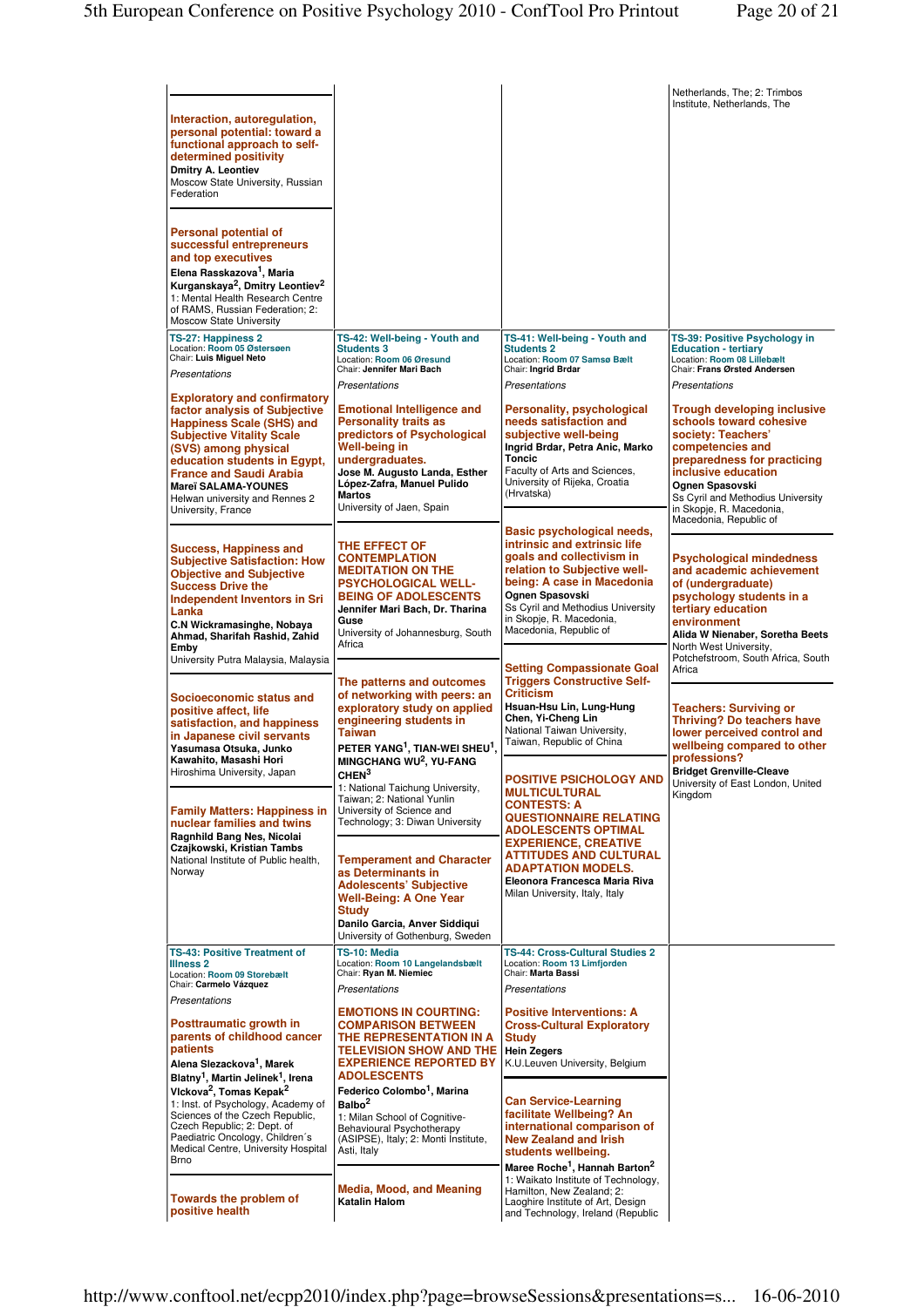|                                                                                                                                                                                                                                                                                                                              |                                                                                                                                                                                                                                                   |                                                                                                                                                                                                                                                                     | Netherlands, The; 2: Trimbos<br>Institute, Netherlands, The                                                                                                                                                                                                                 |
|------------------------------------------------------------------------------------------------------------------------------------------------------------------------------------------------------------------------------------------------------------------------------------------------------------------------------|---------------------------------------------------------------------------------------------------------------------------------------------------------------------------------------------------------------------------------------------------|---------------------------------------------------------------------------------------------------------------------------------------------------------------------------------------------------------------------------------------------------------------------|-----------------------------------------------------------------------------------------------------------------------------------------------------------------------------------------------------------------------------------------------------------------------------|
| Interaction, autoregulation,<br>personal potential: toward a<br>functional approach to self-<br>determined positivity<br><b>Dmitry A. Leontiev</b><br>Moscow State University, Russian<br>Federation                                                                                                                         |                                                                                                                                                                                                                                                   |                                                                                                                                                                                                                                                                     |                                                                                                                                                                                                                                                                             |
| Personal potential of<br>successful entrepreneurs<br>and top executives<br>Elena Rasskazova <sup>1</sup> , Maria<br>Kurganskaya <sup>2</sup> , Dmitry Leontiev <sup>2</sup>                                                                                                                                                  |                                                                                                                                                                                                                                                   |                                                                                                                                                                                                                                                                     |                                                                                                                                                                                                                                                                             |
| 1: Mental Health Research Centre<br>of RAMS, Russian Federation; 2:<br>Moscow State University                                                                                                                                                                                                                               |                                                                                                                                                                                                                                                   |                                                                                                                                                                                                                                                                     |                                                                                                                                                                                                                                                                             |
| TS-27: Happiness 2<br>Location: Room 05 Østersøen<br>Chair: Luis Miguel Neto<br>Presentations                                                                                                                                                                                                                                | TS-42: Well-being - Youth and<br><b>Students 3</b><br>Location: Room 06 Øresund<br>Chair: Jennifer Mari Bach<br><b>Presentations</b>                                                                                                              | TS-41: Well-being - Youth and<br><b>Students 2</b><br>Location: Room 07 Samsø Bælt<br>Chair: Ingrid Brdar<br>Presentations                                                                                                                                          | TS-39: Positive Psychology in<br><b>Education - tertiary</b><br>Location: Room 08 Lillebælt<br>Chair: Frans Ørsted Andersen<br>Presentations                                                                                                                                |
| <b>Exploratory and confirmatory</b><br>factor analysis of Subjective<br><b>Happiness Scale (SHS) and</b><br><b>Subjective Vitality Scale</b><br>(SVS) among physical<br>education students in Egypt,<br><b>France and Saudi Arabia</b><br><b>Mareï SALAMA-YOUNES</b><br>Helwan university and Rennes 2<br>University, France | <b>Emotional Intelligence and</b><br><b>Personality traits as</b><br>predictors of Psychological<br>Well-being in<br>undergraduates.<br>Jose M. Augusto Landa, Esther<br>López-Zafra, Manuel Pulido<br><b>Martos</b><br>University of Jaen, Spain | Personality, psychological<br>needs satisfaction and<br>subjective well-being<br>Ingrid Brdar, Petra Anic, Marko<br><b>Toncic</b><br>Faculty of Arts and Sciences,<br>University of Rijeka, Croatia<br>(Hrvatska)                                                   | <b>Trough developing inclusive</b><br>schools toward cohesive<br>society: Teachers'<br>competencies and<br>preparedness for practicing<br>inclusive education<br>Ognen Spasovski<br>Ss Cyril and Methodius University<br>in Skopje, R. Macedonia,<br>Macedonia, Republic of |
| <b>Success, Happiness and</b><br><b>Subjective Satisfaction: How</b><br><b>Objective and Subjective</b><br><b>Success Drive the</b><br><b>Independent Inventors in Sri</b><br>Lanka<br>C.N Wickramasinghe, Nobaya<br>Ahmad, Sharifah Rashid, Zahid<br>Emby                                                                   | THE EFFECT OF<br><b>CONTEMPLATION</b><br><b>MEDITATION ON THE</b><br><b>PSYCHOLOGICAL WELL-</b><br><b>BEING OF ADOLESCENTS</b><br>Jennifer Mari Bach, Dr. Tharina<br>Guse<br>University of Johannesburg, South<br>Africa                          | Basic psychological needs,<br>intrinsic and extrinsic life<br>goals and collectivism in<br>relation to Subjective well-<br>being: A case in Macedonia<br>Ognen Spasovski<br>Ss Cyril and Methodius University<br>in Skopje, R. Macedonia,<br>Macedonia, Republic of | <b>Psychological mindedness</b><br>and academic achievement<br>of (undergraduate)<br>psychology students in a<br>tertiary education<br>environment<br>Alida W Nienaber, Soretha Beets<br>North West University,                                                             |
| University Putra Malaysia, Malaysia<br>Socioeconomic status and<br>positive affect, life<br>satisfaction, and happiness<br>in Japanese civil servants<br>Yasumasa Otsuka, Junko<br>Kawahito, Masashi Hori                                                                                                                    | The patterns and outcomes<br>of networking with peers: an<br>exploratory study on applied<br>engineering students in<br><b>Taiwan</b><br>PETER YANG <sup>1</sup> , TIAN-WEI SHEU <sup>1</sup> ,<br>MINGCHANG WU <sup>2</sup> , YU-FANG            | <b>Setting Compassionate Goal</b><br><b>Triggers Constructive Self-</b><br><b>Criticism</b><br>Hsuan-Hsu Lin, Lung-Hung<br>Chen, Yi-Cheng Lin<br>National Taiwan University,<br>Taiwan, Republic of China                                                           | Potchefstroom, South Africa, South<br>Africa<br><b>Teachers: Surviving or</b><br><b>Thriving? Do teachers have</b><br>lower perceived control and<br>wellbeing compared to other<br>professions?                                                                            |
| Hiroshima University, Japan<br><b>Family Matters: Happiness in</b><br>nuclear families and twins                                                                                                                                                                                                                             | CHEN <sup>3</sup><br>1: National Taichung University,<br>Taiwan: 2: National Yunlin<br>University of Science and<br>Technology; 3: Diwan University                                                                                               | <b>POSITIVE PSICHOLOGY AND</b><br><b>MULTICULTURAL</b><br><b>CONTESTS: A</b><br><b>QUESTIONNAIRE RELATING</b><br><b>ADOLESCENTS OPTIMAL</b>                                                                                                                         | <b>Bridget Grenville-Cleave</b><br>University of East London, United<br>Kingdom                                                                                                                                                                                             |
| Ragnhild Bang Nes, Nicolai<br>Czajkowski, Kristian Tambs<br>National Institute of Public health,<br>Norway                                                                                                                                                                                                                   | <b>Temperament and Character</b><br>as Determinants in<br><b>Adolescents' Subjective</b><br><b>Well-Being: A One Year</b><br><b>Study</b><br>Danilo Garcia, Anver Siddiqui<br>University of Gothenburg, Sweden                                    | <b>EXPERIENCE, CREATIVE</b><br><b>ATTITUDES AND CULTURAL</b><br><b>ADAPTATION MODELS.</b><br>Eleonora Francesca Maria Riva<br>Milan University, Italy, Italy                                                                                                        |                                                                                                                                                                                                                                                                             |
| <b>TS-43: Positive Treatment of</b><br><b>Illness 2</b><br>Location: Room 09 Storebælt<br>Chair: Carmelo Vázquez<br>Presentations                                                                                                                                                                                            | TS-10: Media<br>Location: Room 10 Langelandsbælt<br>Chair: Ryan M. Niemiec<br>Presentations                                                                                                                                                       | TS-44: Cross-Cultural Studies 2<br>Location: Room 13 Limfjorden<br>Chair: Marta Bassi<br><b>Presentations</b>                                                                                                                                                       |                                                                                                                                                                                                                                                                             |
| Posttraumatic growth in<br>parents of childhood cancer<br>patients<br>Alena Slezackova <sup>1</sup> , Marek<br>Blatny <sup>1</sup> , Martin Jelinek <sup>1</sup> , Irena                                                                                                                                                     | <b>EMOTIONS IN COURTING:</b><br><b>COMPARISON BETWEEN</b><br>THE REPRESENTATION IN A<br><b>TELEVISION SHOW AND THE</b><br><b>EXPERIENCE REPORTED BY</b><br><b>ADOLESCENTS</b>                                                                     | <b>Positive Interventions: A</b><br><b>Cross-Cultural Exploratory</b><br><b>Study</b><br><b>Hein Zegers</b><br>K.U.Leuven University, Belgium                                                                                                                       |                                                                                                                                                                                                                                                                             |
| Vickova <sup>2</sup> , Tomas Kepak <sup>2</sup><br>1: Inst. of Psychology, Academy of<br>Sciences of the Czech Republic,<br>Czech Republic; 2: Dept. of<br>Paediatric Oncology, Children's<br>Medical Centre, University Hospital<br><b>Brno</b>                                                                             | Federico Colombo <sup>1</sup> , Marina<br>Balbo <sup>2</sup><br>1: Milan School of Cognitive-<br>Behavioural Psychotherapy<br>(ASIPSE), Italy; 2: Monti Institute,<br>Asti, Italy                                                                 | <b>Can Service-Learning</b><br>facilitate Wellbeing? An<br>international comparison of<br><b>New Zealand and Irish</b><br>students wellbeing.<br>Maree Roche <sup>1</sup> , Hannah Barton <sup>2</sup>                                                              |                                                                                                                                                                                                                                                                             |
| Towards the problem of<br>positive health                                                                                                                                                                                                                                                                                    | <b>Media, Mood, and Meaning</b><br><b>Katalin Halom</b>                                                                                                                                                                                           | 1: Waikato Institute of Technology,<br>Hamilton, New Zealand; 2:<br>Laoghire Institute of Art, Design<br>and Technology, Ireland (Republic                                                                                                                          |                                                                                                                                                                                                                                                                             |